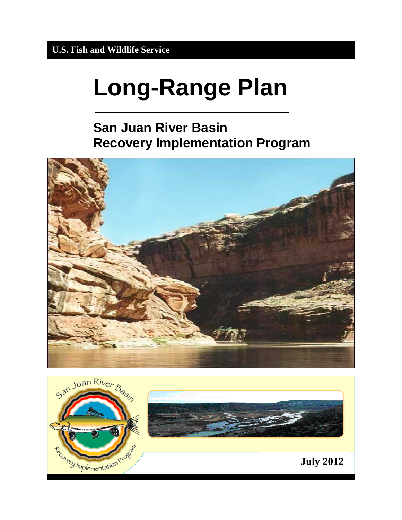# **Long-Range Plan**

# **San Juan River Basin Recovery Implementation Program**



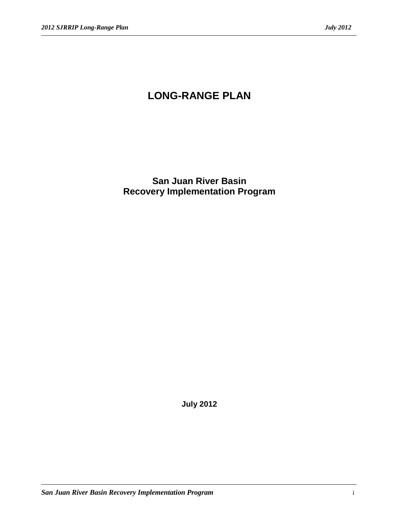## **LONG-RANGE PLAN**

**San Juan River Basin Recovery Implementation Program**

**July 2012**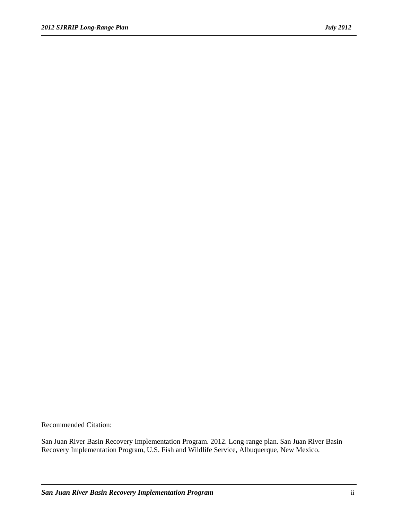Recommended Citation:

San Juan River Basin Recovery Implementation Program. 2012. Long-range plan. San Juan River Basin Recovery Implementation Program, U.S. Fish and Wildlife Service, Albuquerque, New Mexico.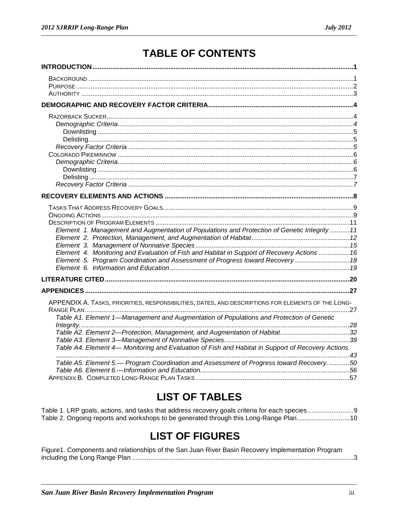# **TABLE OF CONTENTS**

| Element 1. Management and Augmentation of Populations and Protection of Genetic Integrity 11       |  |
|----------------------------------------------------------------------------------------------------|--|
|                                                                                                    |  |
| Element 4. Monitoring and Evaluation of Fish and Habitat in Support of Recovery Actions  16        |  |
| Element 5. Program Coordination and Assessment of Progress toward Recovery  18                     |  |
|                                                                                                    |  |
|                                                                                                    |  |
|                                                                                                    |  |
|                                                                                                    |  |
| APPENDIX A. TASKS, PRIORITIES, RESPONSIBILITIES, DATES, AND DESCRIPTIONS FOR ELEMENTS OF THE LONG- |  |
| Table A1. Element 1-Management and Augmentation of Populations and Protection of Genetic           |  |
|                                                                                                    |  |
|                                                                                                    |  |
|                                                                                                    |  |
| Table A4. Element 4— Monitoring and Evaluation of Fish and Habitat in Support of Recovery Actions. |  |
| Table A5. Element 5.- Program Coordination and Assessment of Progress toward Recovery. 50          |  |
|                                                                                                    |  |
|                                                                                                    |  |

# **LIST OF TABLES**

| Table 2. Ongoing reports and workshops to be generated through this Long-Range Plan10 |  |
|---------------------------------------------------------------------------------------|--|

# **LIST OF FIGURES**

| Figure1. Components and relationships of the San Juan River Basin Recovery Implementation Program |  |
|---------------------------------------------------------------------------------------------------|--|
|                                                                                                   |  |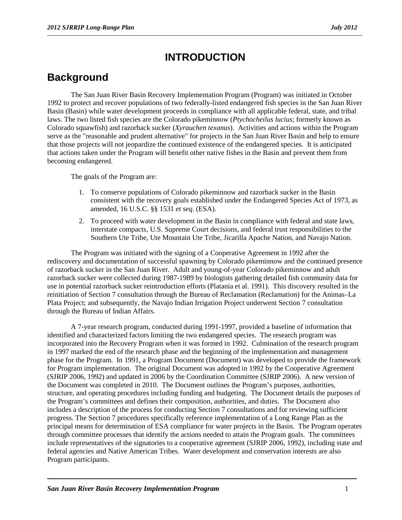### **INTRODUCTION**

### <span id="page-4-1"></span><span id="page-4-0"></span>**Background**

The San Juan River Basin Recovery Implementation Program (Program) was initiated in October 1992 to protect and recover populations of two federally-listed endangered fish species in the San Juan River Basin (Basin) while water development proceeds in compliance with all applicable federal, state, and tribal laws. The two listed fish species are the Colorado pikeminnow (*Ptychocheilus lucius*; formerly known as Colorado squawfish) and razorback sucker (*Xyrauchen texanus*). Activities and actions within the Program serve as the "reasonable and prudent alternative" for projects in the San Juan River Basin and help to ensure that those projects will not jeopardize the continued existence of the endangered species. It is anticipated that actions taken under the Program will benefit other native fishes in the Basin and prevent them from becoming endangered.

The goals of the Program are:

- 1. To conserve populations of Colorado pikeminnow and razorback sucker in the Basin consistent with the recovery goals established under the Endangered Species Act of 1973, as amended, 16 U.S.C. §§ 1531 *et seq.* (ESA).
- 2. To proceed with water development in the Basin in compliance with federal and state laws, interstate compacts, U.S. Supreme Court decisions, and federal trust responsibilities to the Southern Ute Tribe, Ute Mountain Ute Tribe, Jicarilla Apache Nation, and Navajo Nation.

The Program was initiated with the signing of a Cooperative Agreement in 1992 after the rediscovery and documentation of successful spawning by Colorado pikeminnow and the continued presence of razorback sucker in the San Juan River. Adult and young-of-year Colorado pikeminnow and adult razorback sucker were collected during 1987-1989 by biologists gathering detailed fish community data for use in potential razorback sucker reintroduction efforts (Platania et al. 1991). This discovery resulted in the reinitiation of Section 7 consultation through the Bureau of Reclamation (Reclamation) for the Animas–La Plata Project; and subsequently, the Navajo Indian Irrigation Project underwent Section 7 consultation through the Bureau of Indian Affairs.

A 7-year research program, conducted during 1991-1997, provided a baseline of information that identified and characterized factors limiting the two endangered species. The research program was incorporated into the Recovery Program when it was formed in 1992. Culmination of the research program in 1997 marked the end of the research phase and the beginning of the implementation and management phase for the Program. In 1991, a Program Document (Document) was developed to provide the framework for Program implementation. The original Document was adopted in 1992 by the Cooperative Agreement (SJRIP 2006, 1992) and updated in 2006 by the Coordination Committee (SJRIP 2006). A new version of the Document was completed in 2010. The Document outlines the Program's purposes, authorities, structure, and operating procedures including funding and budgeting. The Document details the purposes of the Program's committees and defines their composition, authorities, and duties. The Document also includes a description of the process for conducting Section 7 consultations and for reviewing sufficient progress. The Section 7 procedures specifically reference implementation of a Long Range Plan as the principal means for determination of ESA compliance for water projects in the Basin. The Program operates through committee processes that identify the actions needed to attain the Program goals. The committees include representatives of the signatories to a cooperative agreement (SJRIP 2006, 1992), including state and federal agencies and Native American Tribes. Water development and conservation interests are also Program participants.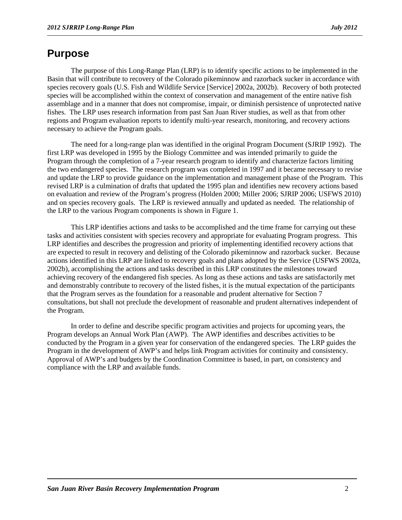#### <span id="page-5-0"></span>**Purpose**

The purpose of this Long-Range Plan (LRP) is to identify specific actions to be implemented in the Basin that will contribute to recovery of the Colorado pikeminnow and razorback sucker in accordance with species recovery goals (U.S. Fish and Wildlife Service [Service] 2002a, 2002b). Recovery of both protected species will be accomplished within the context of conservation and management of the entire native fish assemblage and in a manner that does not compromise, impair, or diminish persistence of unprotected native fishes. The LRP uses research information from past San Juan River studies, as well as that from other regions and Program evaluation reports to identify multi-year research, monitoring, and recovery actions necessary to achieve the Program goals.

The need for a long-range plan was identified in the original Program Document (SJRIP 1992). The first LRP was developed in 1995 by the Biology Committee and was intended primarily to guide the Program through the completion of a 7-year research program to identify and characterize factors limiting the two endangered species. The research program was completed in 1997 and it became necessary to revise and update the LRP to provide guidance on the implementation and management phase of the Program. This revised LRP is a culmination of drafts that updated the 1995 plan and identifies new recovery actions based on evaluation and review of the Program's progress (Holden 2000; Miller 2006; SJRIP 2006; USFWS 2010) and on species recovery goals. The LRP is reviewed annually and updated as needed. The relationship of the LRP to the various Program components is shown in Figure 1.

This LRP identifies actions and tasks to be accomplished and the time frame for carrying out these tasks and activities consistent with species recovery and appropriate for evaluating Program progress. This LRP identifies and describes the progression and priority of implementing identified recovery actions that are expected to result in recovery and delisting of the Colorado pikeminnow and razorback sucker. Because actions identified in this LRP are linked to recovery goals and plans adopted by the Service (USFWS 2002a, 2002b), accomplishing the actions and tasks described in this LRP constitutes the milestones toward achieving recovery of the endangered fish species. As long as these actions and tasks are satisfactorily met and demonstrably contribute to recovery of the listed fishes, it is the mutual expectation of the participants that the Program serves as the foundation for a reasonable and prudent alternative for Section 7 consultations, but shall not preclude the development of reasonable and prudent alternatives independent of the Program.

In order to define and describe specific program activities and projects for upcoming years, the Program develops an Annual Work Plan (AWP). The AWP identifies and describes activities to be conducted by the Program in a given year for conservation of the endangered species. The LRP guides the Program in the development of AWP's and helps link Program activities for continuity and consistency. Approval of AWP's and budgets by the Coordination Committee is based, in part, on consistency and compliance with the LRP and available funds.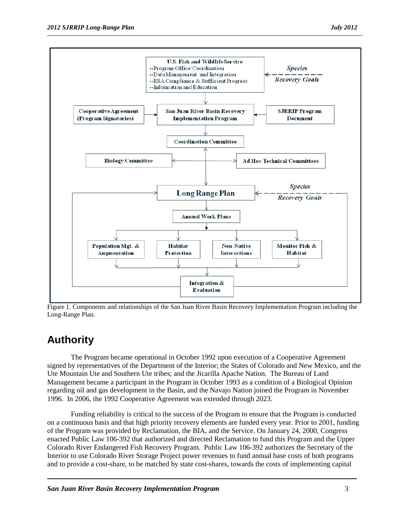

Figure 1. Components and relationships of the San Juan River Basin Recovery Implementation Program including the Long-Range Plan.

### <span id="page-6-0"></span>**Authority**

The Program became operational in October 1992 upon execution of a Cooperative Agreement signed by representatives of the Department of the Interior; the States of Colorado and New Mexico, and the Ute Mountain Ute and Southern Ute tribes; and the Jicarilla Apache Nation. The Bureau of Land Management became a participant in the Program in October 1993 as a condition of a Biological Opinion regarding oil and gas development in the Basin, and the Navajo Nation joined the Program in November 1996. In 2006, the 1992 Cooperative Agreement was extended through 2023.

Funding reliability is critical to the success of the Program to ensure that the Program is conducted on a continuous basis and that high priority recovery elements are funded every year. Prior to 2001, funding of the Program was provided by Reclamation, the BIA, and the Service. On January 24, 2000, Congress enacted Public Law 106-392 that authorized and directed Reclamation to fund this Program and the Upper Colorado River Endangered Fish Recovery Program. Public Law 106-392 authorizes the Secretary of the Interior to use Colorado River Storage Project power revenues to fund annual base costs of both programs and to provide a cost-share, to be matched by state cost-shares, towards the costs of implementing capital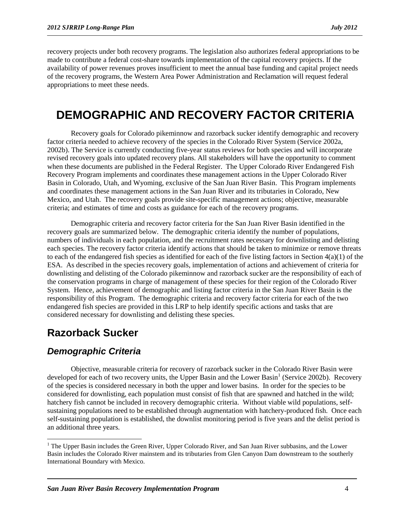recovery projects under both recovery programs. The legislation also authorizes federal appropriations to be made to contribute a federal cost-share towards implementation of the capital recovery projects. If the availability of power revenues proves insufficient to meet the annual base funding and capital project needs of the recovery programs, the Western Area Power Administration and Reclamation will request federal appropriations to meet these needs.

## <span id="page-7-0"></span>**DEMOGRAPHIC AND RECOVERY FACTOR CRITERIA**

Recovery goals for Colorado pikeminnow and razorback sucker identify demographic and recovery factor criteria needed to achieve recovery of the species in the Colorado River System (Service 2002a, 2002b). The Service is currently conducting five-year status reviews for both species and will incorporate revised recovery goals into updated recovery plans. All stakeholders will have the opportunity to comment when these documents are published in the Federal Register. The Upper Colorado River Endangered Fish Recovery Program implements and coordinates these management actions in the Upper Colorado River Basin in Colorado, Utah, and Wyoming, exclusive of the San Juan River Basin. This Program implements and coordinates these management actions in the San Juan River and its tributaries in Colorado, New Mexico, and Utah. The recovery goals provide site-specific management actions; objective, measurable criteria; and estimates of time and costs as guidance for each of the recovery programs.

Demographic criteria and recovery factor criteria for the San Juan River Basin identified in the recovery goals are summarized below. The demographic criteria identify the number of populations, numbers of individuals in each population, and the recruitment rates necessary for downlisting and delisting each species. The recovery factor criteria identify actions that should be taken to minimize or remove threats to each of the endangered fish species as identified for each of the five listing factors in Section  $4(a)(1)$  of the ESA. As described in the species recovery goals, implementation of actions and achievement of criteria for downlisting and delisting of the Colorado pikeminnow and razorback sucker are the responsibility of each of the conservation programs in charge of management of these species for their region of the Colorado River System. Hence, achievement of demographic and listing factor criteria in the San Juan River Basin is the responsibility of this Program. The demographic criteria and recovery factor criteria for each of the two endangered fish species are provided in this LRP to help identify specific actions and tasks that are considered necessary for downlisting and delisting these species.

### <span id="page-7-1"></span>**Razorback Sucker**

#### <span id="page-7-2"></span>*Demographic Criteria*

Objective, measurable criteria for recovery of razorback sucker in the Colorado River Basin were developed for each of two recovery units, the Upper Basin and the Lower Basin<sup>[1](#page-7-3)</sup> (Service 2002b). Recovery of the species is considered necessary in both the upper and lower basins. In order for the species to be considered for downlisting, each population must consist of fish that are spawned and hatched in the wild; hatchery fish cannot be included in recovery demographic criteria. Without viable wild populations, selfsustaining populations need to be established through augmentation with hatchery-produced fish. Once each self-sustaining population is established, the downlist monitoring period is five years and the delist period is an additional three years.

<span id="page-7-3"></span><sup>&</sup>lt;sup>1</sup> The Upper Basin includes the Green River, Upper Colorado River, and San Juan River subbasins, and the Lower Basin includes the Colorado River mainstem and its tributaries from Glen Canyon Dam downstream to the southerly International Boundary with Mexico.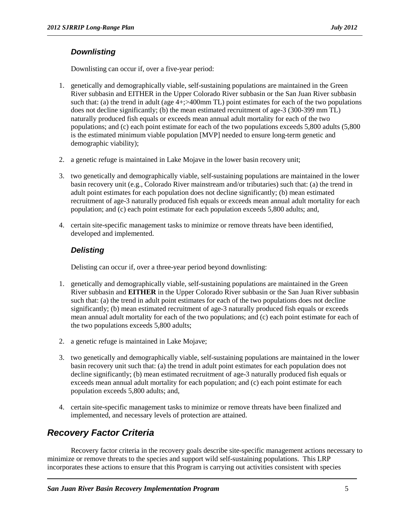#### <span id="page-8-0"></span>*Downlisting*

Downlisting can occur if, over a five-year period:

- 1. genetically and demographically viable, self-sustaining populations are maintained in the Green River subbasin and EITHER in the Upper Colorado River subbasin or the San Juan River subbasin such that: (a) the trend in adult (age  $4+$ ;  $>$  400mm TL) point estimates for each of the two populations does not decline significantly; (b) the mean estimated recruitment of age-3 (300-399 mm TL) naturally produced fish equals or exceeds mean annual adult mortality for each of the two populations; and (c) each point estimate for each of the two populations exceeds 5,800 adults (5,800 is the estimated minimum viable population [MVP] needed to ensure long-term genetic and demographic viability);
- 2. a genetic refuge is maintained in Lake Mojave in the lower basin recovery unit;
- 3. two genetically and demographically viable, self-sustaining populations are maintained in the lower basin recovery unit (e.g., Colorado River mainstream and/or tributaries) such that: (a) the trend in adult point estimates for each population does not decline significantly; (b) mean estimated recruitment of age-3 naturally produced fish equals or exceeds mean annual adult mortality for each population; and (c) each point estimate for each population exceeds 5,800 adults; and,
- 4. certain site-specific management tasks to minimize or remove threats have been identified, developed and implemented.

#### <span id="page-8-1"></span>*Delisting*

Delisting can occur if, over a three-year period beyond downlisting:

- 1. genetically and demographically viable, self-sustaining populations are maintained in the Green River subbasin and **EITHER** in the Upper Colorado River subbasin or the San Juan River subbasin such that: (a) the trend in adult point estimates for each of the two populations does not decline significantly; (b) mean estimated recruitment of age-3 naturally produced fish equals or exceeds mean annual adult mortality for each of the two populations; and (c) each point estimate for each of the two populations exceeds 5,800 adults;
- 2. a genetic refuge is maintained in Lake Mojave;
- 3. two genetically and demographically viable, self-sustaining populations are maintained in the lower basin recovery unit such that: (a) the trend in adult point estimates for each population does not decline significantly; (b) mean estimated recruitment of age-3 naturally produced fish equals or exceeds mean annual adult mortality for each population; and (c) each point estimate for each population exceeds 5,800 adults; and,
- 4. certain site-specific management tasks to minimize or remove threats have been finalized and implemented, and necessary levels of protection are attained.

### <span id="page-8-2"></span>*Recovery Factor Criteria*

Recovery factor criteria in the recovery goals describe site-specific management actions necessary to minimize or remove threats to the species and support wild self-sustaining populations. This LRP incorporates these actions to ensure that this Program is carrying out activities consistent with species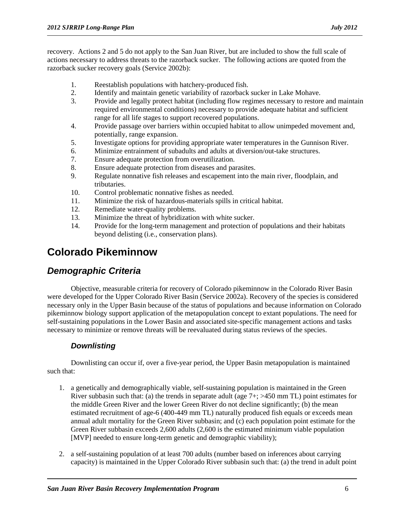recovery. Actions 2 and 5 do not apply to the San Juan River, but are included to show the full scale of actions necessary to address threats to the razorback sucker. The following actions are quoted from the razorback sucker recovery goals (Service 2002b):

- 1. Reestablish populations with hatchery-produced fish.
- 2. Identify and maintain genetic variability of razorback sucker in Lake Mohave.<br>Provide and legally protect habitat (including flow regimes necessary to restore
- 3. Provide and legally protect habitat (including flow regimes necessary to restore and maintain required environmental conditions) necessary to provide adequate habitat and sufficient range for all life stages to support recovered populations.
- 4. Provide passage over barriers within occupied habitat to allow unimpeded movement and, potentially, range expansion.
- 5. Investigate options for providing appropriate water temperatures in the Gunnison River.
- 6. Minimize entrainment of subadults and adults at diversion/out-take structures.<br>
7. Ensure adequate protection from overutilization.
- Ensure adequate protection from overutilization.
- 8. Ensure adequate protection from diseases and parasites.
- 9. Regulate nonnative fish releases and escapement into the main river, floodplain, and tributaries.
- 10. Control problematic nonnative fishes as needed.
- 11. Minimize the risk of hazardous-materials spills in critical habitat.
- 12. Remediate water-quality problems.
- 13. Minimize the threat of hybridization with white sucker.
- 14. Provide for the long-term management and protection of populations and their habitats beyond delisting (i.e., conservation plans).

### <span id="page-9-0"></span>**Colorado Pikeminnow**

#### <span id="page-9-1"></span>*Demographic Criteria*

Objective, measurable criteria for recovery of Colorado pikeminnow in the Colorado River Basin were developed for the Upper Colorado River Basin (Service 2002a). Recovery of the species is considered necessary only in the Upper Basin because of the status of populations and because information on Colorado pikeminnow biology support application of the metapopulation concept to extant populations. The need for self-sustaining populations in the Lower Basin and associated site-specific management actions and tasks necessary to minimize or remove threats will be reevaluated during status reviews of the species.

#### <span id="page-9-2"></span>*Downlisting*

Downlisting can occur if, over a five-year period, the Upper Basin metapopulation is maintained such that:

- 1. a genetically and demographically viable, self-sustaining population is maintained in the Green River subbasin such that: (a) the trends in separate adult (age  $7+$ ;  $>450$  mm TL) point estimates for the middle Green River and the lower Green River do not decline significantly; (b) the mean estimated recruitment of age-6 (400-449 mm TL) naturally produced fish equals or exceeds mean annual adult mortality for the Green River subbasin; and (c) each population point estimate for the Green River subbasin exceeds 2,600 adults (2,600 is the estimated minimum viable population [MVP] needed to ensure long-term genetic and demographic viability);
- 2. a self-sustaining population of at least 700 adults (number based on inferences about carrying capacity) is maintained in the Upper Colorado River subbasin such that: (a) the trend in adult point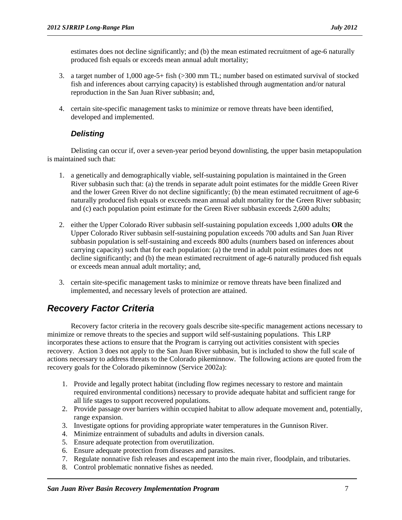estimates does not decline significantly; and (b) the mean estimated recruitment of age-6 naturally produced fish equals or exceeds mean annual adult mortality;

- 3. a target number of 1,000 age-5+ fish (>300 mm TL; number based on estimated survival of stocked fish and inferences about carrying capacity) is established through augmentation and/or natural reproduction in the San Juan River subbasin; and,
- 4. certain site-specific management tasks to minimize or remove threats have been identified, developed and implemented.

#### <span id="page-10-0"></span>*Delisting*

Delisting can occur if, over a seven-year period beyond downlisting, the upper basin metapopulation is maintained such that:

- 1. a genetically and demographically viable, self-sustaining population is maintained in the Green River subbasin such that: (a) the trends in separate adult point estimates for the middle Green River and the lower Green River do not decline significantly; (b) the mean estimated recruitment of age-6 naturally produced fish equals or exceeds mean annual adult mortality for the Green River subbasin; and (c) each population point estimate for the Green River subbasin exceeds 2,600 adults;
- 2. either the Upper Colorado River subbasin self-sustaining population exceeds 1,000 adults **OR** the Upper Colorado River subbasin self-sustaining population exceeds 700 adults and San Juan River subbasin population is self-sustaining and exceeds 800 adults (numbers based on inferences about carrying capacity) such that for each population: (a) the trend in adult point estimates does not decline significantly; and (b) the mean estimated recruitment of age-6 naturally produced fish equals or exceeds mean annual adult mortality; and,
- 3. certain site-specific management tasks to minimize or remove threats have been finalized and implemented, and necessary levels of protection are attained.

#### <span id="page-10-1"></span>*Recovery Factor Criteria*

Recovery factor criteria in the recovery goals describe site-specific management actions necessary to minimize or remove threats to the species and support wild self-sustaining populations. This LRP incorporates these actions to ensure that the Program is carrying out activities consistent with species recovery. Action 3 does not apply to the San Juan River subbasin, but is included to show the full scale of actions necessary to address threats to the Colorado pikeminnow. The following actions are quoted from the recovery goals for the Colorado pikeminnow (Service 2002a):

- 1. Provide and legally protect habitat (including flow regimes necessary to restore and maintain required environmental conditions) necessary to provide adequate habitat and sufficient range for all life stages to support recovered populations.
- 2. Provide passage over barriers within occupied habitat to allow adequate movement and, potentially, range expansion.
- 3. Investigate options for providing appropriate water temperatures in the Gunnison River.
- 4. Minimize entrainment of subadults and adults in diversion canals.
- 5. Ensure adequate protection from overutilization.
- 6. Ensure adequate protection from diseases and parasites.
- 7. Regulate nonnative fish releases and escapement into the main river, floodplain, and tributaries.
- 8. Control problematic nonnative fishes as needed.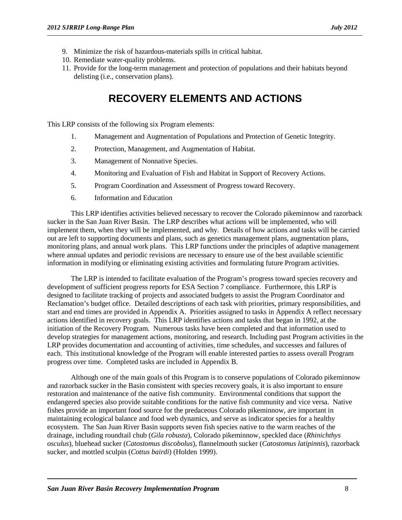- 9. Minimize the risk of hazardous-materials spills in critical habitat.
- 10. Remediate water-quality problems.
- 11. Provide for the long-term management and protection of populations and their habitats beyond delisting (i.e., conservation plans).

### **RECOVERY ELEMENTS AND ACTIONS**

<span id="page-11-0"></span>This LRP consists of the following six Program elements:

- 1. Management and Augmentation of Populations and Protection of Genetic Integrity.
- 2. Protection, Management, and Augmentation of Habitat.
- 3. Management of Nonnative Species.
- 4. Monitoring and Evaluation of Fish and Habitat in Support of Recovery Actions.
- 5. Program Coordination and Assessment of Progress toward Recovery.
- 6. Information and Education

This LRP identifies activities believed necessary to recover the Colorado pikeminnow and razorback sucker in the San Juan River Basin. The LRP describes what actions will be implemented, who will implement them, when they will be implemented, and why. Details of how actions and tasks will be carried out are left to supporting documents and plans, such as genetics management plans, augmentation plans, monitoring plans, and annual work plans. This LRP functions under the principles of adaptive management where annual updates and periodic revisions are necessary to ensure use of the best available scientific information in modifying or eliminating existing activities and formulating future Program activities.

The LRP is intended to facilitate evaluation of the Program's progress toward species recovery and development of sufficient progress reports for ESA Section 7 compliance. Furthermore, this LRP is designed to facilitate tracking of projects and associated budgets to assist the Program Coordinator and Reclamation's budget office. Detailed descriptions of each task with priorities, primary responsibilities, and start and end times are provided in Appendix A. Priorities assigned to tasks in Appendix A reflect necessary actions identified in recovery goals. This LRP identifies actions and tasks that began in 1992, at the initiation of the Recovery Program. Numerous tasks have been completed and that information used to develop strategies for management actions, monitoring, and research. Including past Program activities in the LRP provides documentation and accounting of activities, time schedules, and successes and failures of each. This institutional knowledge of the Program will enable interested parties to assess overall Program progress over time. Completed tasks are included in Appendix B.

Although one of the main goals of this Program is to conserve populations of Colorado pikeminnow and razorback sucker in the Basin consistent with species recovery goals, it is also important to ensure restoration and maintenance of the native fish community. Environmental conditions that support the endangered species also provide suitable conditions for the native fish community and vice versa. Native fishes provide an important food source for the predaceous Colorado pikeminnow, are important in maintaining ecological balance and food web dynamics, and serve as indicator species for a healthy ecosystem. The San Juan River Basin supports seven fish species native to the warm reaches of the drainage, including roundtail chub (*Gila robusta*), Colorado pikeminnow, speckled dace (*Rhinichthys osculus*), bluehead sucker (*Catostomus discobolus*), flannelmouth sucker (*Catostomus latipinnis*), razorback sucker, and mottled sculpin (*Cottus bairdi*) (Holden 1999).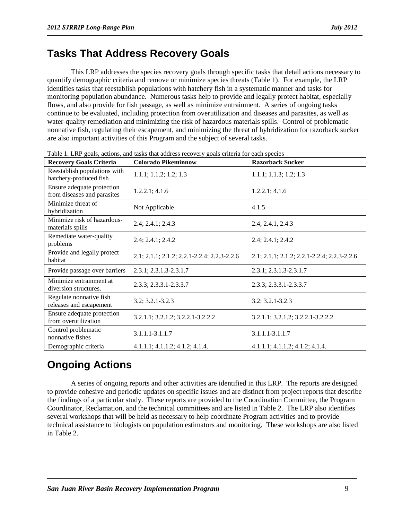### <span id="page-12-0"></span>**Tasks That Address Recovery Goals**

This LRP addresses the species recovery goals through specific tasks that detail actions necessary to quantify demographic criteria and remove or minimize species threats (Table 1). For example, the LRP identifies tasks that reestablish populations with hatchery fish in a systematic manner and tasks for monitoring population abundance. Numerous tasks help to provide and legally protect habitat, especially flows, and also provide for fish passage, as well as minimize entrainment. A series of ongoing tasks continue to be evaluated, including protection from overutilization and diseases and parasites, as well as water-quality remediation and minimizing the risk of hazardous materials spills. Control of problematic nonnative fish, regulating their escapement, and minimizing the threat of hybridization for razorback sucker are also important activities of this Program and the subject of several tasks.

| <b>Recovery Goals Criteria</b>                            | raole 1. Erer gould, actions, and tasks that address recovery gould criteria for each species<br><b>Colorado Pikeminnow</b> | <b>Razorback Sucker</b>                     |  |  |  |
|-----------------------------------------------------------|-----------------------------------------------------------------------------------------------------------------------------|---------------------------------------------|--|--|--|
| Reestablish populations with<br>hatchery-produced fish    | 1.1.1; 1.1.2; 1.2; 1.3                                                                                                      | 1.1.1; 1.1.3; 1.2; 1.3                      |  |  |  |
| Ensure adequate protection<br>from diseases and parasites | 1.2.2.1; 4.1.6                                                                                                              | 1.2.2.1; 4.1.6                              |  |  |  |
| Minimize threat of<br>hybridization                       | Not Applicable                                                                                                              | 4.1.5                                       |  |  |  |
| Minimize risk of hazardous-<br>materials spills           | 2.4; 2.4.1; 2.4.3                                                                                                           | 2.4; 2.4.1, 2.4.3                           |  |  |  |
| Remediate water-quality<br>problems                       | 2.4; 2.4.1; 2.4.2                                                                                                           | 2.4; 2.4.1; 2.4.2                           |  |  |  |
| Provide and legally protect<br>habitat                    | 2.1; 2.1.1; 2.1.2; 2.2.1-2.2.4; 2.2.3-2.2.6                                                                                 | 2.1; 2.1.1; 2.1.2; 2.2.1-2.2.4; 2.2.3-2.2.6 |  |  |  |
| Provide passage over barriers                             | 2.3.1; 2.3.1.3-2.3.1.7                                                                                                      | 2.3.1; 2.3.1.3-2.3.1.7                      |  |  |  |
| Minimize entrainment at<br>diversion structures.          | 2.3.3; 2.3.3.1-2.3.3.7                                                                                                      | 2.3.3; 2.3.3.1-2.3.3.7                      |  |  |  |
| Regulate nonnative fish<br>releases and escapement        | 3.2; 3.2.1-3.2.3                                                                                                            | $3.2; 3.2.1 - 3.2.3$                        |  |  |  |
| Ensure adequate protection<br>from overutilization        | 3.2.1.1; 3.2.1.2; 3.2.2.1-3.2.2.2                                                                                           | 3.2.1.1; 3.2.1.2; 3.2.2.1-3.2.2.2           |  |  |  |
| Control problematic<br>nonnative fishes                   | 3.1.1.1-3.1.1.7                                                                                                             | 3.1.1.1-3.1.1.7                             |  |  |  |
| Demographic criteria                                      | $4.1.1.1$ ; $4.1.1.2$ ; $4.1.2$ ; $4.1.4$ .                                                                                 | $4.1.1.1$ ; $4.1.1.2$ ; $4.1.2$ ; $4.1.4$ . |  |  |  |

Table 1. LRP goals, actions, and tasks that address recovery goals criteria for each species

# <span id="page-12-1"></span>**Ongoing Actions**

A series of ongoing reports and other activities are identified in this LRP. The reports are designed to provide cohesive and periodic updates on specific issues and are distinct from project reports that describe the findings of a particular study. These reports are provided to the Coordination Committee, the Program Coordinator, Reclamation, and the technical committees and are listed in Table 2. The LRP also identifies several workshops that will be held as necessary to help coordinate Program activities and to provide technical assistance to biologists on population estimators and monitoring. These workshops are also listed in Table 2.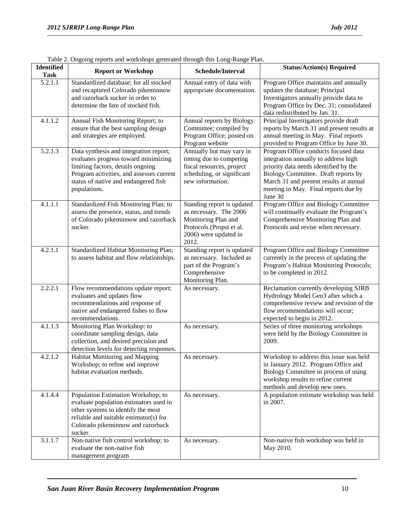| <b>Identified</b><br><b>Task</b> | <b>Report or Workshop</b>                                         | Schedule/Interval          | <b>Status/Action(s) Required</b>                                            |
|----------------------------------|-------------------------------------------------------------------|----------------------------|-----------------------------------------------------------------------------|
| $\overline{5.2.1.1}$             | Standardized database; for all stocked                            | Annual entry of data with  | Program Office maintains and annually                                       |
|                                  | and recaptured Colorado pikeminnow                                | appropriate documentation. | updates the database; Principal                                             |
|                                  | and razorback sucker in order to                                  |                            | Investigators annually provide data to                                      |
|                                  | determine the fate of stocked fish.                               |                            | Program Office by Dec. 31; consolidated                                     |
|                                  |                                                                   |                            | data redistributed by Jan. 31.                                              |
| 4.1.1.2                          | Annual Fish Monitoring Report; to                                 | Annual reports by Biology  | Principal Investigators provide draft                                       |
|                                  | ensure that the best sampling design                              | Committee; compiled by     | reports by March 31 and present results at                                  |
|                                  | and strategies are employed.                                      | Program Office; posted on  | annual meeting in May. Final reports                                        |
|                                  |                                                                   | Program website            | provided to Program Office by June 30.                                      |
| 5.2.1.3                          | Data synthesis and integration report;                            | Annually but may vary in   | Program Office conducts focused data                                        |
|                                  | evaluates progress toward minimizing                              | timing due to competing    | integration annually to address high                                        |
|                                  | limiting factors, details ongoing                                 | fiscal resources, project  | priority data needs identified by the                                       |
|                                  | Program activities, and assesses current                          | scheduling, or significant | Biology Committee. Draft reports by                                         |
|                                  | status of native and endangered fish                              | new information.           | March 31 and present results at annual                                      |
|                                  | populations.                                                      |                            | meeting in May. Final reports due by<br>June 30                             |
| 4.1.1.1                          | Standardized Fish Monitoring Plan; to                             | Standing report is updated | Program Office and Biology Committee                                        |
|                                  | assess the presence, status, and trends                           | as necessary. The 2006     | will continually evaluate the Program's                                     |
|                                  | of Colorado pikeminnow and razorback                              | Monitoring Plan and        | Comprehensive Monitoring Plan and                                           |
|                                  | sucker.                                                           | Protocols (Propst et al.   | Protocols and revise when necessary.                                        |
|                                  |                                                                   | 2006) were updated in      |                                                                             |
|                                  |                                                                   | 2012.                      |                                                                             |
| 4.2.1.1                          | Standardized Habitat Monitoring Plan;                             | Standing report is updated | Program Office and Biology Committee                                        |
|                                  | to assess habitat and flow relationships.                         | as necessary. Included as  | currently in the process of updating the                                    |
|                                  |                                                                   | part of the Program's      | Program's Habitat Monitoring Protocols;                                     |
|                                  |                                                                   | Comprehensive              | to be completed in 2012.                                                    |
| 2.2.2.1                          |                                                                   | Monitoring Plan.           |                                                                             |
|                                  | Flow recommendations update report;<br>evaluates and updates flow | As necessary.              | Reclamation currently developing SJRB<br>Hydrology Model Gen3 after which a |
|                                  | recommendations and response of                                   |                            | comprehensive review and revision of the                                    |
|                                  | native and endangered fishes to flow                              |                            | flow recommendations will occur;                                            |
|                                  | recommendations.                                                  |                            | expected to begin in 2012.                                                  |
| 4.1.1.3                          | Monitoring Plan Workshop: to                                      | As necessary.              | Series of three monitoring workshops                                        |
|                                  | coordinate sampling design, data                                  |                            | were held by the Biology Committee in                                       |
|                                  | collection, and desired precision and                             |                            | 2009.                                                                       |
|                                  | detection levels for detecting responses.                         |                            |                                                                             |
| 4.2.1.2                          | Habitat Monitoring and Mapping                                    | As necessary.              | Workshop to address this issue was held                                     |
|                                  | Workshop; to refine and improve                                   |                            | in January 2012. Program Office and                                         |
|                                  | habitat evaluation methods.                                       |                            | Biology Committee in process of using                                       |
|                                  |                                                                   |                            | workshop results to refine current                                          |
| 4.1.4.4                          | Population Estimation Workshop; to                                | As necessary.              | methods and develop new ones.<br>A population estimate workshop was held    |
|                                  | evaluate population estimators used in                            |                            | in 2007.                                                                    |
|                                  | other systems to identify the most                                |                            |                                                                             |
|                                  | reliable and suitable estimator(s) for                            |                            |                                                                             |
|                                  | Colorado pikeminnow and razorback                                 |                            |                                                                             |
|                                  | sucker.                                                           |                            |                                                                             |
| 3.1.1.7                          | Non-native fish control workshop; to                              | As necessary.              | Non-native fish workshop was held in                                        |
|                                  | evaluate the non-native fish                                      |                            | May 2010.                                                                   |
|                                  | management program                                                |                            |                                                                             |

Table 2. Ongoing reports and workshops generated through this Long-Range Plan.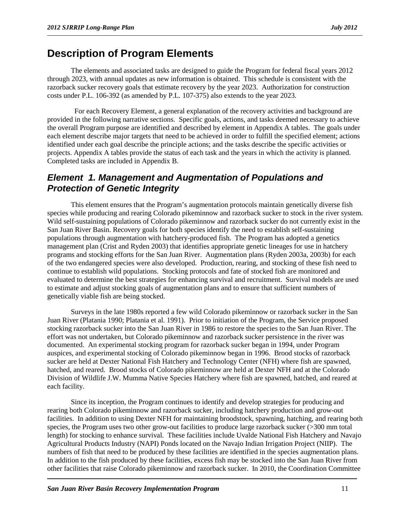### <span id="page-14-0"></span>**Description of Program Elements**

The elements and associated tasks are designed to guide the Program for federal fiscal years 2012 through 2023, with annual updates as new information is obtained. This schedule is consistent with the razorback sucker recovery goals that estimate recovery by the year 2023. Authorization for construction costs under P.L. 106-392 (as amended by P.L. 107-375) also extends to the year 2023.

 For each Recovery Element, a general explanation of the recovery activities and background are provided in the following narrative sections. Specific goals, actions, and tasks deemed necessary to achieve the overall Program purpose are identified and described by element in Appendix A tables. The goals under each element describe major targets that need to be achieved in order to fulfill the specified element; actions identified under each goal describe the principle actions; and the tasks describe the specific activities or projects. Appendix A tables provide the status of each task and the years in which the activity is planned. Completed tasks are included in Appendix B.

#### <span id="page-14-1"></span>*Element 1. Management and Augmentation of Populations and Protection of Genetic Integrity*

This element ensures that the Program's augmentation protocols maintain genetically diverse fish species while producing and rearing Colorado pikeminnow and razorback sucker to stock in the river system. Wild self-sustaining populations of Colorado pikeminnow and razorback sucker do not currently exist in the San Juan River Basin. Recovery goals for both species identify the need to establish self-sustaining populations through augmentation with hatchery-produced fish. The Program has adopted a genetics management plan (Crist and Ryden 2003) that identifies appropriate genetic lineages for use in hatchery programs and stocking efforts for the San Juan River. Augmentation plans (Ryden 2003a, 2003b) for each of the two endangered species were also developed. Production, rearing, and stocking of these fish need to continue to establish wild populations. Stocking protocols and fate of stocked fish are monitored and evaluated to determine the best strategies for enhancing survival and recruitment. Survival models are used to estimate and adjust stocking goals of augmentation plans and to ensure that sufficient numbers of genetically viable fish are being stocked.

Surveys in the late 1980s reported a few wild Colorado pikeminnow or razorback sucker in the San Juan River (Platania 1990; Platania et al. 1991). Prior to initiation of the Program, the Service proposed stocking razorback sucker into the San Juan River in 1986 to restore the species to the San Juan River. The effort was not undertaken, but Colorado pikeminnow and razorback sucker persistence in the river was documented. An experimental stocking program for razorback sucker began in 1994, under Program auspices, and experimental stocking of Colorado pikeminnow began in 1996. Brood stocks of razorback sucker are held at Dexter National Fish Hatchery and Technology Center (NFH) where fish are spawned, hatched, and reared. Brood stocks of Colorado pikeminnow are held at Dexter NFH and at the Colorado Division of Wildlife J.W. Mumma Native Species Hatchery where fish are spawned, hatched, and reared at each facility.

Since its inception, the Program continues to identify and develop strategies for producing and rearing both Colorado pikeminnow and razorback sucker, including hatchery production and grow-out facilities. In addition to using Dexter NFH for maintaining broodstock, spawning, hatching, and rearing both species, the Program uses two other grow-out facilities to produce large razorback sucker (>300 mm total length) for stocking to enhance survival. These facilities include Uvalde National Fish Hatchery and Navajo Agricultural Products Industry (NAPI) Ponds located on the Navajo Indian Irrigation Project (NIIP). The numbers of fish that need to be produced by these facilities are identified in the species augmentation plans. In addition to the fish produced by these facilities, excess fish may be stocked into the San Juan River from other facilities that raise Colorado pikeminnow and razorback sucker. In 2010, the Coordination Committee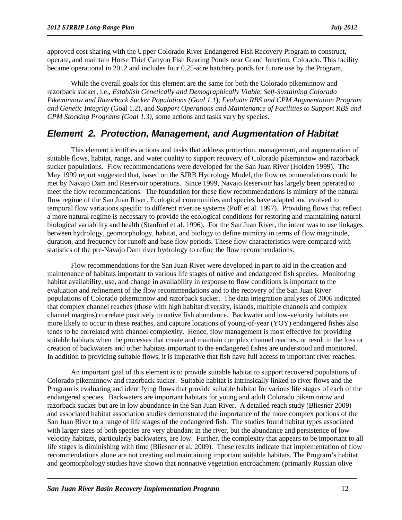approved cost sharing with the Upper Colorado River Endangered Fish Recovery Program to construct, operate, and maintain Horse Thief Canyon Fish Rearing Ponds near Grand Junction, Colorado. This facility became operational in 2012 and includes four 0.25-acre hatchery ponds for future use by the Program.

While the overall goals for this element are the same for both the Colorado pikeminnow and razorback sucker, i.e., *Establish Genetically and Demographically Viable, Self-Sustaining Colorado Pikeminnow and Razorback Sucker Populations (Goal 1.1*), *Evaluate RBS and CPM Augmentation Program and Genetic Integrity* (Goal 1.2), and *Support Operations and Maintenance of Facilities to Support RBS and CPM Stocking Programs (Goal 1.3),* some actions and tasks vary by species.

#### <span id="page-15-0"></span>*Element 2. Protection, Management, and Augmentation of Habitat*

This element identifies actions and tasks that address protection, management, and augmentation of suitable flows, habitat, range, and water quality to support recovery of Colorado pikeminnow and razorback sucker populations. Flow recommendations were developed for the San Juan River (Holden 1999). The May 1999 report suggested that, based on the SJRB Hydrology Model, the flow recommendations could be met by Navajo Dam and Reservoir operations. Since 1999, Navajo Reservoir has largely been operated to meet the flow recommendations. The foundation for these flow recommendations is mimicry of the natural flow regime of the San Juan River. Ecological communities and species have adapted and evolved to temporal flow variations specific to different riverine systems (Poff et al. 1997). Providing flows that reflect a more natural regime is necessary to provide the ecological conditions for restoring and maintaining natural biological variability and health (Stanford et al. 1996). For the San Juan River, the intent was to use linkages between hydrology, geomorphology, habitat, and biology to define mimicry in terms of flow magnitude, duration, and frequency for runoff and base flow periods. These flow characteristics were compared with statistics of the pre-Navajo Dam river hydrology to refine the flow recommendations.

Flow recommendations for the San Juan River were developed in part to aid in the creation and maintenance of habitats important to various life stages of native and endangered fish species. Monitoring habitat availability, use, and change in availability in response to flow conditions is important to the evaluation and refinement of the flow recommendations and to the recovery of the San Juan River populations of Colorado pikeminnow and razorback sucker. The data integration analyses of 2006 indicated that complex channel reaches (those with high habitat diversity, islands, multiple channels and complex channel margins) correlate positively to native fish abundance. Backwater and low-velocity habitats are more likely to occur in these reaches, and capture locations of young-of-year (YOY) endangered fishes also tends to be correlated with channel complexity. Hence, flow management is most effective for providing suitable habitats when the processes that create and maintain complex channel reaches, or result in the loss or creation of backwaters and other habitats important to the endangered fishes are understood and monitored. In addition to providing suitable flows, it is imperative that fish have full access to important river reaches.

An important goal of this element is to provide suitable habitat to support recovered populations of Colorado pikeminnow and razorback sucker. Suitable habitat is intrinsically linked to river flows and the Program is evaluating and identifying flows that provide suitable habitat for various life stages of each of the endangered species. Backwaters are important habitats for young and adult Colorado pikeminnow and razorback sucker but are in low abundance in the San Juan River. A detailed reach study (Bliesner 2009) and associated habitat association studies demonstrated the importance of the more complex portions of the San Juan River to a range of life stages of the endangered fish. The studies found habitat types associated with larger sizes of both species are very abundant in the river, but the abundance and persistence of low velocity habitats, particularly backwaters, are low. Further, the complexity that appears to be important to all life stages is diminishing with time (Bliesner et al. 2009). These results indicate that implementation of flow recommendations alone are not creating and maintaining important suitable habitats. The Program's habitat and geomorphology studies have shown that nonnative vegetation encroachment (primarily Russian olive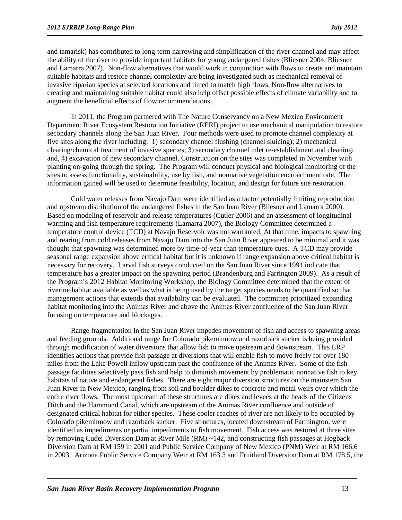and tamarisk) has contributed to long-term narrowing and simplification of the river channel and may affect the ability of the river to provide important habitats for young endangered fishes (Bliesner 2004, Bliesner and Lamarra 2007). Non-flow alternatives that would work in conjunction with flows to create and maintain suitable habitats and restore channel complexity are being investigated such as mechanical removal of invasive riparian species at selected locations and timed to match high flows. Non-flow alternatives to creating and maintaining suitable habitat could also help offset possible effects of climate variability and to augment the beneficial effects of flow recommendations.

In 2011, the Program partnered with The Nature Conservancy on a New Mexico Environment Department River Ecosystem Restoration Initiative (RERI) project to use mechanical manipulation to restore secondary channels along the San Juan River. Four methods were used to promote channel complexity at five sites along the river including: 1) secondary channel flushing (channel sluicing); 2) mechanical clearing/chemical treatment of invasive species; 3) secondary channel inlet re-establishment and cleaning; and, 4) excavation of new secondary channel. Construction on the sites was completed in November with planting on-going through the spring. The Program will conduct physical and biological monitoring of the sites to assess functionality, sustainability, use by fish, and nonnative vegetation encroachment rate. The information gained will be used to determine feasibility, location, and design for future site restoration.

Cold water releases from Navajo Dam were identified as a factor potentially limiting reproduction and upstream distribution of the endangered fishes in the San Juan River (Bliesner and Lamarra 2000). Based on modeling of reservoir and release temperatures (Cutler 2006) and an assessment of longitudinal warming and fish temperature requirements (Lamarra 2007), the Biology Committee determined a temperature control device (TCD) at Navajo Reservoir was not warranted. At that time, impacts to spawning and rearing from cold releases from Navajo Dam into the San Juan River appeared to be minimal and it was thought that spawning was determined more by time-of-year than temperature cues. A TCD may provide seasonal range expansion above critical habitat but it is unknown if range expansion above critical habitat is necessary for recovery. Larval fish surveys conducted on the San Juan River since 1991 indicate that temperature has a greater impact on the spawning period (Brandenburg and Farrington 2009). As a result of the Program's 2012 Habitat Monitoring Workshop, the Biology Committee determined that the extent of riverine habitat available as well as what is being used by the target species needs to be quantified so that management actions that extends that availability can be evaluated. The committee prioritized expanding habitat monitoring into the Animas River and above the Animas River confluence of the San Juan River focusing on temperature and blockages.

Range fragmentation in the San Juan River impedes movement of fish and access to spawning areas and feeding grounds. Additional range for Colorado pikeminnow and razorback sucker is being provided through modification of water diversions that allow fish to move upstream and downstream. This LRP identifies actions that provide fish passage at diversions that will enable fish to move freely for over 180 miles from the Lake Powell inflow upstream past the confluence of the Animas River. Some of the fish passage facilities selectively pass fish and help to diminish movement by problematic nonnative fish to key habitats of native and endangered fishes. There are eight major diversion structures on the mainstem San Juan River in New Mexico, ranging from soil and boulder dikes to concrete and metal weirs over which the entire river flows. The most upstream of these structures are dikes and levees at the heads of the Citizens Ditch and the Hammond Canal, which are upstream of the Animas River confluence and outside of designated critical habitat for either species. These cooler reaches of river are not likely to be occupied by Colorado pikeminnow and razorback sucker. Five structures, located downstream of Farmington, were identified as impediments or partial impediments to fish movement. Fish access was restored at three sites by removing Cudei Diversion Dam at River Mile (RM) ~142, and constructing fish passages at Hogback Diversion Dam at RM 159 in 2001 and Public Service Company of New Mexico (PNM) Weir at RM 166.6 in 2003. Arizona Public Service Company Weir at RM 163.3 and Fruitland Diversion Dam at RM 178.5, the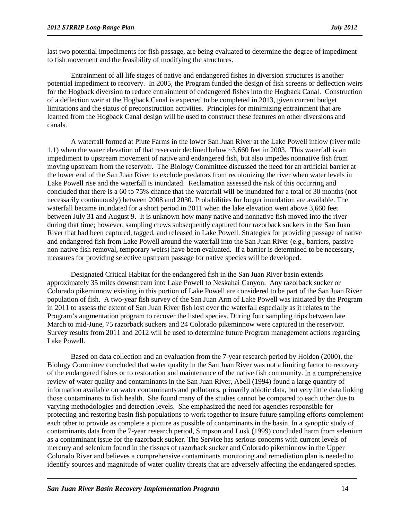last two potential impediments for fish passage, are being evaluated to determine the degree of impediment to fish movement and the feasibility of modifying the structures.

Entrainment of all life stages of native and endangered fishes in diversion structures is another potential impediment to recovery. In 2005, the Program funded the design of fish screens or deflection weirs for the Hogback diversion to reduce entrainment of endangered fishes into the Hogback Canal. Construction of a deflection weir at the Hogback Canal is expected to be completed in 2013, given current budget limitations and the status of preconstruction activities. Principles for minimizing entrainment that are learned from the Hogback Canal design will be used to construct these features on other diversions and canals.

A waterfall formed at Piute Farms in the lower San Juan River at the Lake Powell inflow (river mile 1.1) when the water elevation of that reservoir declined below ~3,660 feet in 2003. This waterfall is an impediment to upstream movement of native and endangered fish, but also impedes nonnative fish from moving upstream from the reservoir. The Biology Committee discussed the need for an artificial barrier at the lower end of the San Juan River to exclude predators from recolonizing the river when water levels in Lake Powell rise and the waterfall is inundated. Reclamation assessed the risk of this occurring and concluded that there is a 60 to 75% chance that the waterfall will be inundated for a total of 30 months (not necessarily continuously) between 2008 and 2030. Probabilities for longer inundation are available. The waterfall became inundated for a short period in 2011 when the lake elevation went above 3,660 feet between July 31 and August 9. It is unknown how many native and nonnative fish moved into the river during that time; however, sampling crews subsequently captured four razorback suckers in the San Juan River that had been captured, tagged, and released in Lake Powell. Strategies for providing passage of native and endangered fish from Lake Powell around the waterfall into the San Juan River (e.g., barriers, passive non-native fish removal, temporary weirs) have been evaluated. If a barrier is determined to be necessary, measures for providing selective upstream passage for native species will be developed.

Designated Critical Habitat for the endangered fish in the San Juan River basin extends approximately 35 miles downstream into Lake Powell to Neskahai Canyon. Any razorback sucker or Colorado pikeminnow existing in this portion of Lake Powell are considered to be part of the San Juan River population of fish. A two-year fish survey of the San Juan Arm of Lake Powell was initiated by the Program in 2011 to assess the extent of San Juan River fish lost over the waterfall especially as it relates to the Program's augmentation program to recover the listed species. During four sampling trips between late March to mid-June, 75 razorback suckers and 24 Colorado pikeminnow were captured in the reservoir. Survey results from 2011 and 2012 will be used to determine future Program management actions regarding Lake Powell.

Based on data collection and an evaluation from the 7-year research period by Holden (2000), the Biology Committee concluded that water quality in the San Juan River was not a limiting factor to recovery of the endangered fishes or to restoration and maintenance of the native fish community. In a comprehensive review of water quality and contaminants in the San Juan River, Abell (1994) found a large quantity of information available on water contaminants and pollutants, primarily abiotic data, but very little data linking those contaminants to fish health. She found many of the studies cannot be compared to each other due to varying methodologies and detection levels. She emphasized the need for agencies responsible for protecting and restoring basin fish populations to work together to insure future sampling efforts complement each other to provide as complete a picture as possible of contaminants in the basin. In a synoptic study of contaminants data from the 7-year research period, Simpson and Lusk (1999) concluded harm from selenium as a contaminant issue for the razorback sucker. The Service has serious concerns with current levels of mercury and selenium found in the tissues of razorback sucker and Colorado pikeminnow in the Upper Colorado River and believes a comprehensive contaminants monitoring and remediation plan is needed to identify sources and magnitude of water quality threats that are adversely affecting the endangered species.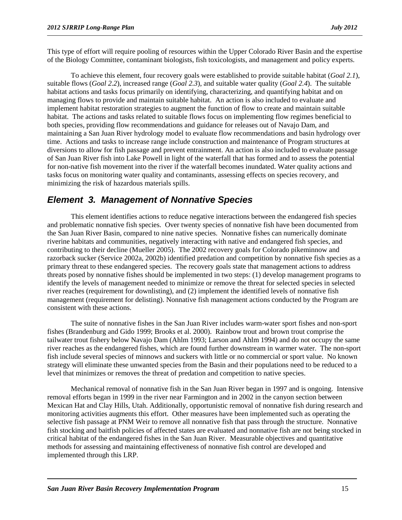This type of effort will require pooling of resources within the Upper Colorado River Basin and the expertise of the Biology Committee, contaminant biologists, fish toxicologists, and management and policy experts.

To achieve this element, four recovery goals were established to provide suitable habitat (*Goal 2.1*), suitable flows (*Goal 2.2*), increased range (*Goal 2.3*), and suitable water quality (*Goal 2.4*). The suitable habitat actions and tasks focus primarily on identifying, characterizing, and quantifying habitat and on managing flows to provide and maintain suitable habitat. An action is also included to evaluate and implement habitat restoration strategies to augment the function of flow to create and maintain suitable habitat. The actions and tasks related to suitable flows focus on implementing flow regimes beneficial to both species, providing flow recommendations and guidance for releases out of Navajo Dam, and maintaining a San Juan River hydrology model to evaluate flow recommendations and basin hydrology over time. Actions and tasks to increase range include construction and maintenance of Program structures at diversions to allow for fish passage and prevent entrainment. An action is also included to evaluate passage of San Juan River fish into Lake Powell in light of the waterfall that has formed and to assess the potential for non-native fish movement into the river if the waterfall becomes inundated. Water quality actions and tasks focus on monitoring water quality and contaminants, assessing effects on species recovery, and minimizing the risk of hazardous materials spills.

#### <span id="page-18-0"></span>*Element 3. Management of Nonnative Species*

This element identifies actions to reduce negative interactions between the endangered fish species and problematic nonnative fish species. Over twenty species of nonnative fish have been documented from the San Juan River Basin, compared to nine native species. Nonnative fishes can numerically dominate riverine habitats and communities, negatively interacting with native and endangered fish species, and contributing to their decline (Mueller 2005). The 2002 recovery goals for Colorado pikeminnow and razorback sucker (Service 2002a, 2002b) identified predation and competition by nonnative fish species as a primary threat to these endangered species. The recovery goals state that management actions to address threats posed by nonnative fishes should be implemented in two steps: (1) develop management programs to identify the levels of management needed to minimize or remove the threat for selected species in selected river reaches (requirement for downlisting), and (2) implement the identified levels of nonnative fish management (requirement for delisting). Nonnative fish management actions conducted by the Program are consistent with these actions.

The suite of nonnative fishes in the San Juan River includes warm-water sport fishes and non-sport fishes (Brandenburg and Gido 1999; Brooks et al. 2000). Rainbow trout and brown trout comprise the tailwater trout fishery below Navajo Dam (Ahlm 1993; Larson and Ahlm 1994) and do not occupy the same river reaches as the endangered fishes, which are found further downstream in warmer water. The non-sport fish include several species of minnows and suckers with little or no commercial or sport value. No known strategy will eliminate these unwanted species from the Basin and their populations need to be reduced to a level that minimizes or removes the threat of predation and competition to native species.

Mechanical removal of nonnative fish in the San Juan River began in 1997 and is ongoing. Intensive removal efforts began in 1999 in the river near Farmington and in 2002 in the canyon section between Mexican Hat and Clay Hills, Utah. Additionally, opportunistic removal of nonnative fish during research and monitoring activities augments this effort. Other measures have been implemented such as operating the selective fish passage at PNM Weir to remove all nonnative fish that pass through the structure. Nonnative fish stocking and baitfish policies of affected states are evaluated and nonnative fish are not being stocked in critical habitat of the endangered fishes in the San Juan River. Measurable objectives and quantitative methods for assessing and maintaining effectiveness of nonnative fish control are developed and implemented through this LRP.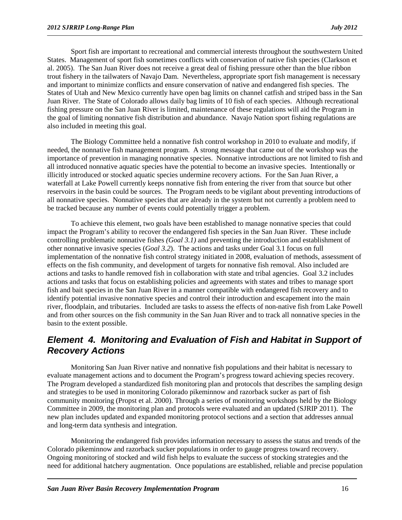Sport fish are important to recreational and commercial interests throughout the southwestern United States. Management of sport fish sometimes conflicts with conservation of native fish species (Clarkson et al. 2005). The San Juan River does not receive a great deal of fishing pressure other than the blue ribbon trout fishery in the tailwaters of Navajo Dam. Nevertheless, appropriate sport fish management is necessary and important to minimize conflicts and ensure conservation of native and endangered fish species. The States of Utah and New Mexico currently have open bag limits on channel catfish and striped bass in the San Juan River. The State of Colorado allows daily bag limits of 10 fish of each species. Although recreational fishing pressure on the San Juan River is limited, maintenance of these regulations will aid the Program in the goal of limiting nonnative fish distribution and abundance. Navajo Nation sport fishing regulations are also included in meeting this goal.

The Biology Committee held a nonnative fish control workshop in 2010 to evaluate and modify, if needed, the nonnative fish management program. A strong message that came out of the workshop was the importance of prevention in managing nonnative species. Nonnative introductions are not limited to fish and all introduced nonnative aquatic species have the potential to become an invasive species. Intentionally or illicitly introduced or stocked aquatic species undermine recovery actions. For the San Juan River, a waterfall at Lake Powell currently keeps nonnative fish from entering the river from that source but other reservoirs in the basin could be sources. The Program needs to be vigilant about preventing introductions of all nonnative species. Nonnative species that are already in the system but not currently a problem need to be tracked because any number of events could potentially trigger a problem.

To achieve this element, two goals have been established to manage nonnative species that could impact the Program's ability to recover the endangered fish species in the San Juan River. These include controlling problematic nonnative fishes *(Goal 3.1)* and preventing the introduction and establishment of other nonnative invasive species (*Goal 3.2*). The actions and tasks under Goal 3.1 focus on full implementation of the nonnative fish control strategy initiated in 2008, evaluation of methods, assessment of effects on the fish community, and development of targets for nonnative fish removal. Also included are actions and tasks to handle removed fish in collaboration with state and tribal agencies. Goal 3.2 includes actions and tasks that focus on establishing policies and agreements with states and tribes to manage sport fish and bait species in the San Juan River in a manner compatible with endangered fish recovery and to identify potential invasive nonnative species and control their introduction and escapement into the main river, floodplain, and tributaries. Included are tasks to assess the effects of non-native fish from Lake Powell and from other sources on the fish community in the San Juan River and to track all nonnative species in the basin to the extent possible.

#### <span id="page-19-0"></span>*Element 4. Monitoring and Evaluation of Fish and Habitat in Support of Recovery Actions*

Monitoring San Juan River native and nonnative fish populations and their habitat is necessary to evaluate management actions and to document the Program's progress toward achieving species recovery. The Program developed a standardized fish monitoring plan and protocols that describes the sampling design and strategies to be used in monitoring Colorado pikeminnow and razorback sucker as part of fish community monitoring (Propst et al. 2000). Through a series of monitoring workshops held by the Biology Committee in 2009, the monitoring plan and protocols were evaluated and an updated (SJRIP 2011). The new plan includes updated and expanded monitoring protocol sections and a section that addresses annual and long-term data synthesis and integration.

Monitoring the endangered fish provides information necessary to assess the status and trends of the Colorado pikeminnow and razorback sucker populations in order to gauge progress toward recovery. Ongoing monitoring of stocked and wild fish helps to evaluate the success of stocking strategies and the need for additional hatchery augmentation. Once populations are established, reliable and precise population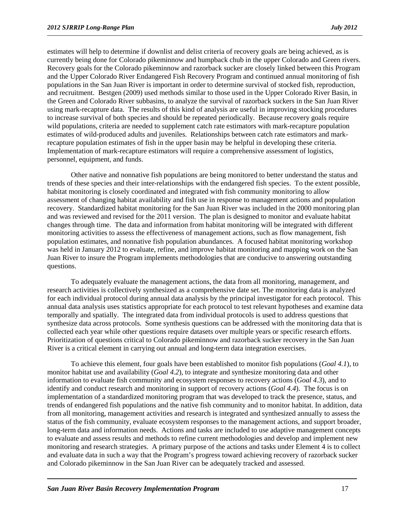estimates will help to determine if downlist and delist criteria of recovery goals are being achieved, as is currently being done for Colorado pikeminnow and humpback chub in the upper Colorado and Green rivers. Recovery goals for the Colorado pikeminnow and razorback sucker are closely linked between this Program and the Upper Colorado River Endangered Fish Recovery Program and continued annual monitoring of fish populations in the San Juan River is important in order to determine survival of stocked fish, reproduction, and recruitment. Bestgen (2009) used methods similar to those used in the Upper Colorado River Basin, in the Green and Colorado River subbasins, to analyze the survival of razorback suckers in the San Juan River using mark-recapture data. The results of this kind of analysis are useful in improving stocking procedures to increase survival of both species and should be repeated periodically. Because recovery goals require wild populations, criteria are needed to supplement catch rate estimators with mark-recapture population estimates of wild-produced adults and juveniles. Relationships between catch rate estimators and markrecapture population estimates of fish in the upper basin may be helpful in developing these criteria. Implementation of mark-recapture estimators will require a comprehensive assessment of logistics, personnel, equipment, and funds.

Other native and nonnative fish populations are being monitored to better understand the status and trends of these species and their inter-relationships with the endangered fish species. To the extent possible, habitat monitoring is closely coordinated and integrated with fish community monitoring to allow assessment of changing habitat availability and fish use in response to management actions and population recovery. Standardized habitat monitoring for the San Juan River was included in the 2000 monitoring plan and was reviewed and revised for the 2011 version. The plan is designed to monitor and evaluate habitat changes through time. The data and information from habitat monitoring will be integrated with different monitoring activities to assess the effectiveness of management actions, such as flow management, fish population estimates, and nonnative fish population abundances. A focused habitat monitoring workshop was held in January 2012 to evaluate, refine, and improve habitat monitoring and mapping work on the San Juan River to insure the Program implements methodologies that are conducive to answering outstanding questions.

To adequately evaluate the management actions, the data from all monitoring, management, and research activities is collectively synthesized as a comprehensive date set. The monitoring data is analyzed for each individual protocol during annual data analysis by the principal investigator for each protocol. This annual data analysis uses statistics appropriate for each protocol to test relevant hypotheses and examine data temporally and spatially. The integrated data from individual protocols is used to address questions that synthesize data across protocols. Some synthesis questions can be addressed with the monitoring data that is collected each year while other questions require datasets over multiple years or specific research efforts. Prioritization of questions critical to Colorado pikeminnow and razorback sucker recovery in the San Juan River is a critical element in carrying out annual and long-term data integration exercises.

To achieve this element, four goals have been established to monitor fish populations (*Goal 4.1*), to monitor habitat use and availability (*Goal 4.2*), to integrate and synthesize monitoring data and other information to evaluate fish community and ecosystem responses to recovery actions (*Goal 4.3*), and to identify and conduct research and monitoring in support of recovery actions (*Goal 4.4*). The focus is on implementation of a standardized monitoring program that was developed to track the presence, status, and trends of endangered fish populations and the native fish community and to monitor habitat. In addition, data from all monitoring, management activities and research is integrated and synthesized annually to assess the status of the fish community, evaluate ecosystem responses to the management actions, and support broader, long-term data and information needs. Actions and tasks are included to use adaptive management concepts to evaluate and assess results and methods to refine current methodologies and develop and implement new monitoring and research strategies. A primary purpose of the actions and tasks under Element 4 is to collect and evaluate data in such a way that the Program's progress toward achieving recovery of razorback sucker and Colorado pikeminnow in the San Juan River can be adequately tracked and assessed.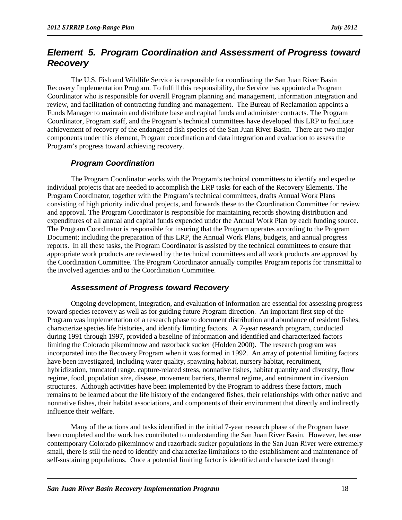#### <span id="page-21-0"></span>*Element 5. Program Coordination and Assessment of Progress toward Recovery*

The U.S. Fish and Wildlife Service is responsible for coordinating the San Juan River Basin Recovery Implementation Program. To fulfill this responsibility, the Service has appointed a Program Coordinator who is responsible for overall Program planning and management, information integration and review, and facilitation of contracting funding and management. The Bureau of Reclamation appoints a Funds Manager to maintain and distribute base and capital funds and administer contracts. The Program Coordinator, Program staff, and the Program's technical committees have developed this LRP to facilitate achievement of recovery of the endangered fish species of the San Juan River Basin. There are two major components under this element, Program coordination and data integration and evaluation to assess the Program's progress toward achieving recovery.

#### *Program Coordination*

The Program Coordinator works with the Program's technical committees to identify and expedite individual projects that are needed to accomplish the LRP tasks for each of the Recovery Elements. The Program Coordinator, together with the Program's technical committees, drafts Annual Work Plans consisting of high priority individual projects, and forwards these to the Coordination Committee for review and approval. The Program Coordinator is responsible for maintaining records showing distribution and expenditures of all annual and capital funds expended under the Annual Work Plan by each funding source. The Program Coordinator is responsible for insuring that the Program operates according to the Program Document; including the preparation of this LRP, the Annual Work Plans, budgets, and annual progress reports. In all these tasks, the Program Coordinator is assisted by the technical committees to ensure that appropriate work products are reviewed by the technical committees and all work products are approved by the Coordination Committee. The Program Coordinator annually compiles Program reports for transmittal to the involved agencies and to the Coordination Committee.

#### *Assessment of Progress toward Recovery*

Ongoing development, integration, and evaluation of information are essential for assessing progress toward species recovery as well as for guiding future Program direction. An important first step of the Program was implementation of a research phase to document distribution and abundance of resident fishes, characterize species life histories, and identify limiting factors. A 7-year research program, conducted during 1991 through 1997, provided a baseline of information and identified and characterized factors limiting the Colorado pikeminnow and razorback sucker (Holden 2000). The research program was incorporated into the Recovery Program when it was formed in 1992. An array of potential limiting factors have been investigated, including water quality, spawning habitat, nursery habitat, recruitment, hybridization, truncated range, capture-related stress, nonnative fishes, habitat quantity and diversity, flow regime, food, population size, disease, movement barriers, thermal regime, and entrainment in diversion structures. Although activities have been implemented by the Program to address these factors, much remains to be learned about the life history of the endangered fishes, their relationships with other native and nonnative fishes, their habitat associations, and components of their environment that directly and indirectly influence their welfare.

Many of the actions and tasks identified in the initial 7-year research phase of the Program have been completed and the work has contributed to understanding the San Juan River Basin. However, because contemporary Colorado pikeminnow and razorback sucker populations in the San Juan River were extremely small, there is still the need to identify and characterize limitations to the establishment and maintenance of self-sustaining populations. Once a potential limiting factor is identified and characterized through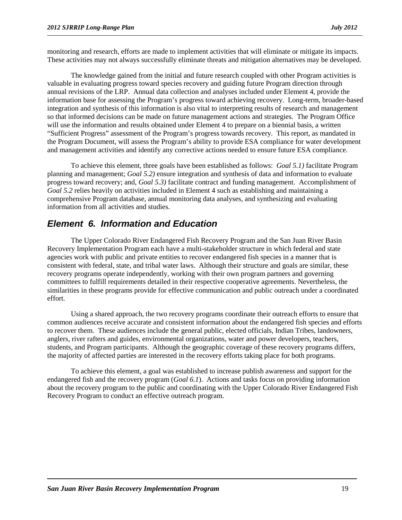monitoring and research, efforts are made to implement activities that will eliminate or mitigate its impacts. These activities may not always successfully eliminate threats and mitigation alternatives may be developed.

The knowledge gained from the initial and future research coupled with other Program activities is valuable in evaluating progress toward species recovery and guiding future Program direction through annual revisions of the LRP. Annual data collection and analyses included under Element 4, provide the information base for assessing the Program's progress toward achieving recovery. Long-term, broader-based integration and synthesis of this information is also vital to interpreting results of research and management so that informed decisions can be made on future management actions and strategies. The Program Office will use the information and results obtained under Element 4 to prepare on a biennial basis, a written "Sufficient Progress" assessment of the Program's progress towards recovery. This report, as mandated in the Program Document, will assess the Program's ability to provide ESA compliance for water development and management activities and identify any corrective actions needed to ensure future ESA compliance.

To achieve this element, three goals have been established as follows: *Goal 5.1)* facilitate Program planning and management; *Goal 5.2)* ensure integration and synthesis of data and information to evaluate progress toward recovery; and, *Goal 5.3)* facilitate contract and funding management. Accomplishment of *Goal 5.2* relies heavily on activities included in Element 4 such as establishing and maintaining a comprehensive Program database, annual monitoring data analyses, and synthesizing and evaluating information from all activities and studies.

#### <span id="page-22-0"></span>*Element 6. Information and Education*

The Upper Colorado River Endangered Fish Recovery Program and the San Juan River Basin Recovery Implementation Program each have a multi-stakeholder structure in which federal and state agencies work with public and private entities to recover endangered fish species in a manner that is consistent with federal, state, and tribal water laws. Although their structure and goals are similar, these recovery programs operate independently, working with their own program partners and governing committees to fulfill requirements detailed in their respective cooperative agreements. Nevertheless, the similarities in these programs provide for effective communication and public outreach under a coordinated effort.

Using a shared approach, the two recovery programs coordinate their outreach efforts to ensure that common audiences receive accurate and consistent information about the endangered fish species and efforts to recover them. These audiences include the general public, elected officials, Indian Tribes, landowners, anglers, river rafters and guides, environmental organizations, water and power developers, teachers, students, and Program participants. Although the geographic coverage of these recovery programs differs, the majority of affected parties are interested in the recovery efforts taking place for both programs.

To achieve this element, a goal was established to increase publish awareness and support for the endangered fish and the recovery program (*Goal 6.1*). Actions and tasks focus on providing information about the recovery program to the public and coordinating with the Upper Colorado River Endangered Fish Recovery Program to conduct an effective outreach program.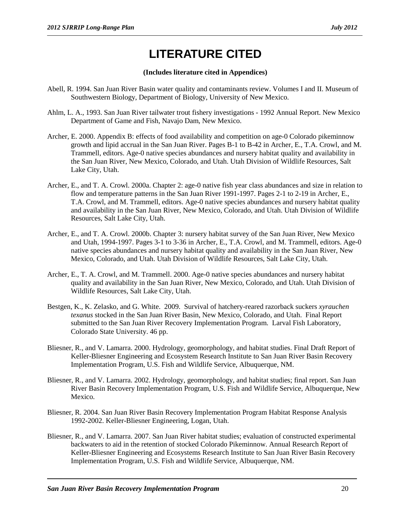# **LITERATURE CITED**

#### **(Includes literature cited in Appendices)**

- <span id="page-23-0"></span>Abell, R. 1994. San Juan River Basin water quality and contaminants review. Volumes I and II. Museum of Southwestern Biology, Department of Biology, University of New Mexico.
- Ahlm, L. A., 1993. San Juan River tailwater trout fishery investigations 1992 Annual Report. New Mexico Department of Game and Fish, Navajo Dam, New Mexico.
- Archer, E. 2000. Appendix B: effects of food availability and competition on age-0 Colorado pikeminnow growth and lipid accrual in the San Juan River. Pages B-1 to B-42 in Archer, E., T.A. Crowl, and M. Trammell, editors. Age-0 native species abundances and nursery habitat quality and availability in the San Juan River, New Mexico, Colorado, and Utah. Utah Division of Wildlife Resources, Salt Lake City, Utah.
- Archer, E., and T. A. Crowl. 2000a. Chapter 2: age-0 native fish year class abundances and size in relation to flow and temperature patterns in the San Juan River 1991-1997. Pages 2-1 to 2-19 in Archer, E., T.A. Crowl, and M. Trammell, editors. Age-0 native species abundances and nursery habitat quality and availability in the San Juan River, New Mexico, Colorado, and Utah. Utah Division of Wildlife Resources, Salt Lake City, Utah.
- Archer, E., and T. A. Crowl. 2000b. Chapter 3: nursery habitat survey of the San Juan River, New Mexico and Utah, 1994-1997. Pages 3-1 to 3-36 in Archer, E., T.A. Crowl, and M. Trammell, editors. Age-0 native species abundances and nursery habitat quality and availability in the San Juan River, New Mexico, Colorado, and Utah. Utah Division of Wildlife Resources, Salt Lake City, Utah.
- Archer, E., T. A. Crowl, and M. Trammell. 2000. Age-0 native species abundances and nursery habitat quality and availability in the San Juan River, New Mexico, Colorado, and Utah. Utah Division of Wildlife Resources, Salt Lake City, Utah.
- Bestgen, K., K. Zelasko, and G. White. 2009. Survival of hatchery-reared razorback suckers *xyrauchen texanus* stocked in the San Juan River Basin, New Mexico, Colorado, and Utah. Final Report submitted to the San Juan River Recovery Implementation Program. Larval Fish Laboratory, Colorado State University. 46 pp.
- Bliesner, R., and V. Lamarra. 2000. Hydrology, geomorphology, and habitat studies. Final Draft Report of Keller-Bliesner Engineering and Ecosystem Research Institute to San Juan River Basin Recovery Implementation Program, U.S. Fish and Wildlife Service, Albuquerque, NM.
- Bliesner, R., and V. Lamarra. 2002. Hydrology, geomorphology, and habitat studies; final report. San Juan River Basin Recovery Implementation Program, U.S. Fish and Wildlife Service, Albuquerque, New Mexico.
- Bliesner, R. 2004. San Juan River Basin Recovery Implementation Program Habitat Response Analysis 1992-2002. Keller-Bliesner Engineering, Logan, Utah.
- Bliesner, R., and V. Lamarra. 2007. San Juan River habitat studies; evaluation of constructed experimental backwaters to aid in the retention of stocked Colorado Pikeminnow. Annual Research Report of Keller-Bliesner Engineering and Ecosystems Research Institute to San Juan River Basin Recovery Implementation Program, U.S. Fish and Wildlife Service, Albuquerque, NM.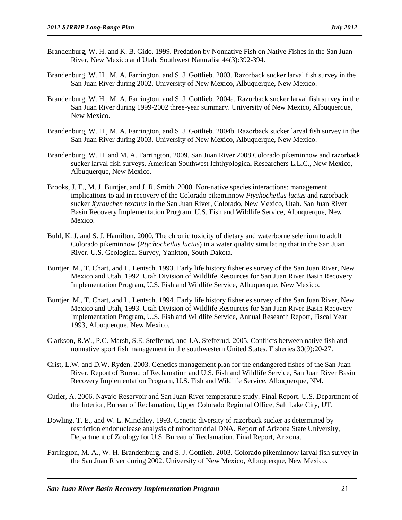- Brandenburg, W. H. and K. B. Gido. 1999. Predation by Nonnative Fish on Native Fishes in the San Juan River, New Mexico and Utah. Southwest Naturalist 44(3):392-394.
- Brandenburg, W. H., M. A. Farrington, and S. J. Gottlieb. 2003. Razorback sucker larval fish survey in the San Juan River during 2002. University of New Mexico, Albuquerque, New Mexico.
- Brandenburg, W. H., M. A. Farrington, and S. J. Gottlieb. 2004a. Razorback sucker larval fish survey in the San Juan River during 1999-2002 three-year summary. University of New Mexico, Albuquerque, New Mexico.
- Brandenburg, W. H., M. A. Farrington, and S. J. Gottlieb. 2004b. Razorback sucker larval fish survey in the San Juan River during 2003. University of New Mexico, Albuquerque, New Mexico.
- Brandenburg, W. H. and M. A. Farrington. 2009. San Juan River 2008 Colorado pikeminnow and razorback sucker larval fish surveys. American Southwest Ichthyological Researchers L.L.C., New Mexico, Albuquerque, New Mexico.
- Brooks, J. E., M. J. Buntjer, and J. R. Smith. 2000. Non-native species interactions: management implications to aid in recovery of the Colorado pikeminnow *Ptychocheilus lucius* and razorback sucker *Xyrauchen texanus* in the San Juan River, Colorado, New Mexico, Utah. San Juan River Basin Recovery Implementation Program, U.S. Fish and Wildlife Service, Albuquerque, New Mexico.
- Buhl, K. J. and S. J. Hamilton. 2000. The chronic toxicity of dietary and waterborne selenium to adult Colorado pikeminnow (*Ptychocheilus lucius*) in a water quality simulating that in the San Juan River. U.S. Geological Survey, Yankton, South Dakota.
- Buntjer, M., T. Chart, and L. Lentsch. 1993. Early life history fisheries survey of the San Juan River, New Mexico and Utah, 1992. Utah Division of Wildlife Resources for San Juan River Basin Recovery Implementation Program, U.S. Fish and Wildlife Service, Albuquerque, New Mexico.
- Buntjer, M., T. Chart, and L. Lentsch. 1994. Early life history fisheries survey of the San Juan River, New Mexico and Utah, 1993. Utah Division of Wildlife Resources for San Juan River Basin Recovery Implementation Program, U.S. Fish and Wildlife Service, Annual Research Report, Fiscal Year 1993, Albuquerque, New Mexico.
- Clarkson, R.W., P.C. Marsh, S.E. Stefferud, and J.A. Stefferud. 2005. Conflicts between native fish and nonnative sport fish management in the southwestern United States. Fisheries 30(9):20-27.
- Crist, L.W. and D.W. Ryden. 2003. Genetics management plan for the endangered fishes of the San Juan River. Report of Bureau of Reclamation and U.S. Fish and Wildlife Service, San Juan River Basin Recovery Implementation Program, U.S. Fish and Wildlife Service, Albuquerque, NM.
- Cutler, A. 2006. Navajo Reservoir and San Juan River temperature study. Final Report. U.S. Department of the Interior, Bureau of Reclamation, Upper Colorado Regional Office, Salt Lake City, UT.
- Dowling, T. E., and W. L. Minckley. 1993. Genetic diversity of razorback sucker as determined by restriction endonuclease analysis of mitochondrial DNA. Report of Arizona State University, Department of Zoology for U.S. Bureau of Reclamation, Final Report, Arizona.
- Farrington, M. A., W. H. Brandenburg, and S. J. Gottlieb. 2003. Colorado pikeminnow larval fish survey in the San Juan River during 2002. University of New Mexico, Albuquerque, New Mexico.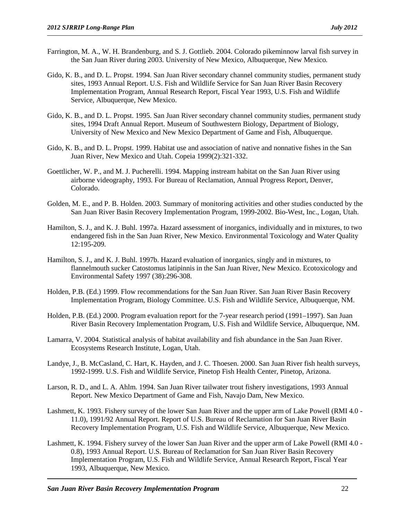- Farrington, M. A., W. H. Brandenburg, and S. J. Gottlieb. 2004. Colorado pikeminnow larval fish survey in the San Juan River during 2003. University of New Mexico, Albuquerque, New Mexico.
- Gido, K. B., and D. L. Propst. 1994. San Juan River secondary channel community studies, permanent study sites, 1993 Annual Report. U.S. Fish and Wildlife Service for San Juan River Basin Recovery Implementation Program, Annual Research Report, Fiscal Year 1993, U.S. Fish and Wildlife Service, Albuquerque, New Mexico.
- Gido, K. B., and D. L. Propst. 1995. San Juan River secondary channel community studies, permanent study sites, 1994 Draft Annual Report. Museum of Southwestern Biology, Department of Biology, University of New Mexico and New Mexico Department of Game and Fish, Albuquerque.
- Gido, K. B., and D. L. Propst. 1999. Habitat use and association of native and nonnative fishes in the San Juan River, New Mexico and Utah. Copeia 1999(2):321-332.
- Goettlicher, W. P., and M. J. Pucherelli. 1994. Mapping instream habitat on the San Juan River using airborne videography, 1993. For Bureau of Reclamation, Annual Progress Report, Denver, Colorado.
- Golden, M. E., and P. B. Holden. 2003. Summary of monitoring activities and other studies conducted by the San Juan River Basin Recovery Implementation Program, 1999-2002. Bio-West, Inc., Logan, Utah.
- Hamilton, S. J., and K. J. Buhl. 1997a. Hazard assessment of inorganics, individually and in mixtures, to two endangered fish in the San Juan River, New Mexico. Environmental Toxicology and Water Quality 12:195-209.
- Hamilton, S. J., and K. J. Buhl. 1997b. Hazard evaluation of inorganics, singly and in mixtures, to flannelmouth sucker Catostomus latipinnis in the San Juan River, New Mexico. Ecotoxicology and Environmental Safety 1997 (38):296-308.
- Holden, P.B. (Ed.) 1999. Flow recommendations for the San Juan River. San Juan River Basin Recovery Implementation Program, Biology Committee. U.S. Fish and Wildlife Service, Albuquerque, NM.
- Holden, P.B. (Ed.) 2000. Program evaluation report for the 7-year research period (1991–1997). San Juan River Basin Recovery Implementation Program, U.S. Fish and Wildlife Service, Albuquerque, NM.
- Lamarra, V. 2004. Statistical analysis of habitat availability and fish abundance in the San Juan River. Ecosystems Research Institute, Logan, Utah.
- Landye, J., B. McCasland, C. Hart, K. Hayden, and J. C. Thoesen. 2000. San Juan River fish health surveys, 1992-1999. U.S. Fish and Wildlife Service, Pinetop Fish Health Center, Pinetop, Arizona.
- Larson, R. D., and L. A. Ahlm. 1994. San Juan River tailwater trout fishery investigations, 1993 Annual Report. New Mexico Department of Game and Fish, Navajo Dam, New Mexico.
- Lashmett, K. 1993. Fishery survey of the lower San Juan River and the upper arm of Lake Powell (RMI 4.0 11.0), 1991/92 Annual Report. Report of U.S. Bureau of Reclamation for San Juan River Basin Recovery Implementation Program, U.S. Fish and Wildlife Service, Albuquerque, New Mexico.
- Lashmett, K. 1994. Fishery survey of the lower San Juan River and the upper arm of Lake Powell (RMI 4.0 0.8), 1993 Annual Report. U.S. Bureau of Reclamation for San Juan River Basin Recovery Implementation Program, U.S. Fish and Wildlife Service, Annual Research Report, Fiscal Year 1993, Albuquerque, New Mexico.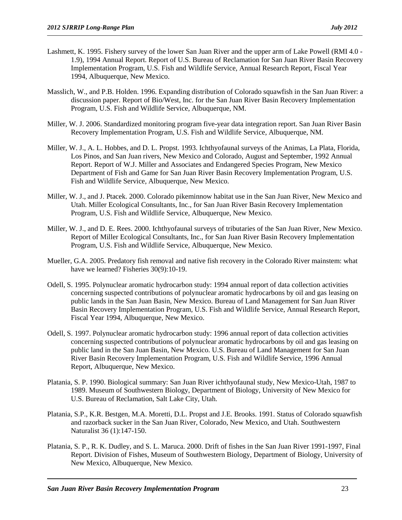- Lashmett, K. 1995. Fishery survey of the lower San Juan River and the upper arm of Lake Powell (RMI 4.0 1.9), 1994 Annual Report. Report of U.S. Bureau of Reclamation for San Juan River Basin Recovery Implementation Program, U.S. Fish and Wildlife Service, Annual Research Report, Fiscal Year 1994, Albuquerque, New Mexico.
- Masslich, W., and P.B. Holden. 1996. Expanding distribution of Colorado squawfish in the San Juan River: a discussion paper. Report of Bio/West, Inc. for the San Juan River Basin Recovery Implementation Program, U.S. Fish and Wildlife Service, Albuquerque, NM.
- Miller, W. J. 2006. Standardized monitoring program five-year data integration report. San Juan River Basin Recovery Implementation Program, U.S. Fish and Wildlife Service, Albuquerque, NM.
- Miller, W. J., A. L. Hobbes, and D. L. Propst. 1993. Ichthyofaunal surveys of the Animas, La Plata, Florida, Los Pinos, and San Juan rivers, New Mexico and Colorado, August and September, 1992 Annual Report. Report of W.J. Miller and Associates and Endangered Species Program, New Mexico Department of Fish and Game for San Juan River Basin Recovery Implementation Program, U.S. Fish and Wildlife Service, Albuquerque, New Mexico.
- Miller, W. J., and J. Ptacek. 2000. Colorado pikeminnow habitat use in the San Juan River, New Mexico and Utah. Miller Ecological Consultants, Inc., for San Juan River Basin Recovery Implementation Program, U.S. Fish and Wildlife Service, Albuquerque, New Mexico.
- Miller, W. J., and D. E. Rees. 2000. Ichthyofaunal surveys of tributaries of the San Juan River, New Mexico. Report of Miller Ecological Consultants, Inc., for San Juan River Basin Recovery Implementation Program, U.S. Fish and Wildlife Service, Albuquerque, New Mexico.
- Mueller, G.A. 2005. Predatory fish removal and native fish recovery in the Colorado River mainstem: what have we learned? Fisheries 30(9):10-19.
- Odell, S. 1995. Polynuclear aromatic hydrocarbon study: 1994 annual report of data collection activities concerning suspected contributions of polynuclear aromatic hydrocarbons by oil and gas leasing on public lands in the San Juan Basin, New Mexico. Bureau of Land Management for San Juan River Basin Recovery Implementation Program, U.S. Fish and Wildlife Service, Annual Research Report, Fiscal Year 1994, Albuquerque, New Mexico.
- Odell, S. 1997. Polynuclear aromatic hydrocarbon study: 1996 annual report of data collection activities concerning suspected contributions of polynuclear aromatic hydrocarbons by oil and gas leasing on public land in the San Juan Basin, New Mexico. U.S. Bureau of Land Management for San Juan River Basin Recovery Implementation Program, U.S. Fish and Wildlife Service, 1996 Annual Report, Albuquerque, New Mexico.
- Platania, S. P. 1990. Biological summary: San Juan River ichthyofaunal study, New Mexico-Utah, 1987 to 1989. Museum of Southwestern Biology, Department of Biology, University of New Mexico for U.S. Bureau of Reclamation, Salt Lake City, Utah.
- Platania, S.P., K.R. Bestgen, M.A. Moretti, D.L. Propst and J.E. Brooks. 1991. Status of Colorado squawfish and razorback sucker in the San Juan River, Colorado, New Mexico, and Utah. Southwestern Naturalist 36 (1):147-150.
- Platania, S. P., R. K. Dudley, and S. L. Maruca. 2000. Drift of fishes in the San Juan River 1991-1997, Final Report. Division of Fishes, Museum of Southwestern Biology, Department of Biology, University of New Mexico, Albuquerque, New Mexico.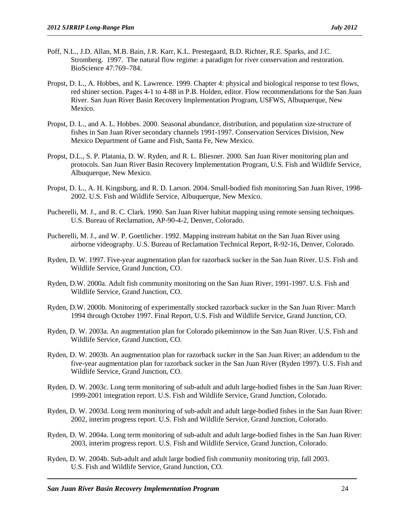- Poff, N.L., J.D. Allan, M.B. Bain, J.R. Karr, K.L. Prestegaard, B.D. Richter, R.E. Sparks, and J.C. Stromberg. 1997. The natural flow regime: a paradigm for river conservation and restoration. BioScience 47:769–784.
- Propst, D. L., A. Hobbes, and K. Lawrence. 1999. Chapter 4: physical and biological response to test flows, red shiner section. Pages 4-1 to 4-88 in P.B. Holden, editor. Flow recommendations for the San Juan River. San Juan River Basin Recovery Implementation Program, USFWS, Albuquerque, New Mexico.
- Propst, D. L., and A. L. Hobbes. 2000. Seasonal abundance, distribution, and population size-structure of fishes in San Juan River secondary channels 1991-1997. Conservation Services Division, New Mexico Department of Game and Fish, Santa Fe, New Mexico.
- Propst, D.L., S. P. Platania, D. W. Ryden, and R. L. Bliesner. 2000. San Juan River monitoring plan and protocols. San Juan River Basin Recovery Implementation Program, U.S. Fish and Wildlife Service, Albuquerque, New Mexico.
- Propst, D. L., A. H. Kingsburg, and R. D. Larson. 2004. Small-bodied fish monitoring San Juan River, 1998- 2002. U.S. Fish and Wildlife Service, Albuquerque, New Mexico.
- Pucherelli, M. J., and R. C. Clark. 1990. San Juan River habitat mapping using remote sensing techniques. U.S. Bureau of Reclamation, AP-90-4-2, Denver, Colorado.
- Pucherelli, M. J., and W. P. Goettlicher. 1992. Mapping instream habitat on the San Juan River using airborne videography. U.S. Bureau of Reclamation Technical Report, R-92-16, Denver, Colorado.
- Ryden, D. W. 1997. Five-year augmentation plan for razorback sucker in the San Juan River. U.S. Fish and Wildlife Service, Grand Junction, CO.
- Ryden, D.W. 2000a. Adult fish community monitoring on the San Juan River, 1991-1997. U.S. Fish and Wildlife Service, Grand Junction, CO.
- Ryden, D.W. 2000b. Monitoring of experimentally stocked razorback sucker in the San Juan River: March 1994 through October 1997. Final Report, U.S. Fish and Wildlife Service, Grand Junction, CO.
- Ryden, D. W. 2003a. An augmentation plan for Colorado pikeminnow in the San Juan River. U.S. Fish and Wildlife Service, Grand Junction, CO.
- Ryden, D. W. 2003b. An augmentation plan for razorback sucker in the San Juan River; an addendum to the five-year augmentation plan for razorback sucker in the San Juan River (Ryden 1997). U.S. Fish and Wildlife Service, Grand Junction, CO.
- Ryden, D. W. 2003c. Long term monitoring of sub-adult and adult large-bodied fishes in the San Juan River: 1999-2001 integration report. U.S. Fish and Wildlife Service, Grand Junction, Colorado.
- Ryden, D. W. 2003d. Long term monitoring of sub-adult and adult large-bodied fishes in the San Juan River: 2002, interim progress report. U.S. Fish and Wildlife Service, Grand Junction, Colorado.
- Ryden, D. W. 2004a. Long term monitoring of sub-adult and adult large-bodied fishes in the San Juan River: 2003, interim progress report. U.S. Fish and Wildlife Service, Grand Junction, Colorado.
- Ryden, D. W. 2004b. Sub-adult and adult large bodied fish community monitoring trip, fall 2003. U.S. Fish and Wildlife Service, Grand Junction, CO.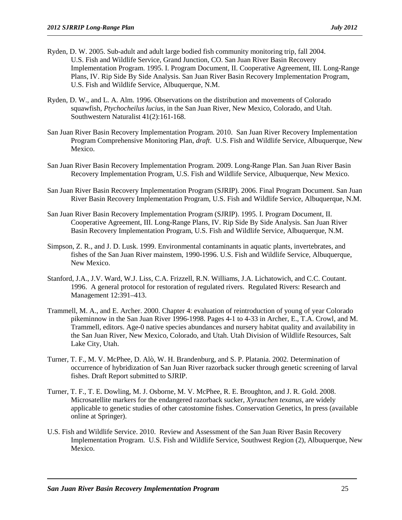- Ryden, D. W. 2005. Sub-adult and adult large bodied fish community monitoring trip, fall 2004. U.S. Fish and Wildlife Service, Grand Junction, CO. San Juan River Basin Recovery Implementation Program. 1995. I. Program Document, II. Cooperative Agreement, III. Long-Range Plans, IV. Rip Side By Side Analysis. San Juan River Basin Recovery Implementation Program, U.S. Fish and Wildlife Service, Albuquerque, N.M.
- Ryden, D. W., and L. A. Alm. 1996. Observations on the distribution and movements of Colorado squawfish, *Ptychocheilus lucius*, in the San Juan River, New Mexico, Colorado, and Utah. Southwestern Naturalist 41(2):161-168.
- San Juan River Basin Recovery Implementation Program. 2010. San Juan River Recovery Implementation Program Comprehensive Monitoring Plan, *draft*. U.S. Fish and Wildlife Service, Albuquerque, New Mexico.
- San Juan River Basin Recovery Implementation Program. 2009. Long-Range Plan. San Juan River Basin Recovery Implementation Program, U.S. Fish and Wildlife Service, Albuquerque, New Mexico.
- San Juan River Basin Recovery Implementation Program (SJRIP). 2006. Final Program Document. San Juan River Basin Recovery Implementation Program, U.S. Fish and Wildlife Service, Albuquerque, N.M.
- San Juan River Basin Recovery Implementation Program (SJRIP). 1995. I. Program Document, II. Cooperative Agreement, III. Long-Range Plans, IV. Rip Side By Side Analysis. San Juan River Basin Recovery Implementation Program, U.S. Fish and Wildlife Service, Albuquerque, N.M.
- Simpson, Z. R., and J. D. Lusk. 1999. Environmental contaminants in aquatic plants, invertebrates, and fishes of the San Juan River mainstem, 1990-1996. U.S. Fish and Wildlife Service, Albuquerque, New Mexico.
- Stanford, J.A., J.V. Ward, W.J. Liss, C.A. Frizzell, R.N. Williams, J.A. Lichatowich, and C.C. Coutant. 1996. A general protocol for restoration of regulated rivers. Regulated Rivers: Research and Management 12:391–413.
- Trammell, M. A., and E. Archer. 2000. Chapter 4: evaluation of reintroduction of young of year Colorado pikeminnow in the San Juan River 1996-1998. Pages 4-1 to 4-33 in Archer, E., T.A. Crowl, and M. Trammell, editors. Age-0 native species abundances and nursery habitat quality and availability in the San Juan River, New Mexico, Colorado, and Utah. Utah Division of Wildlife Resources, Salt Lake City, Utah.
- Turner, T. F., M. V. McPhee, D. Alò, W. H. Brandenburg, and S. P. Platania. 2002. Determination of occurrence of hybridization of San Juan River razorback sucker through genetic screening of larval fishes. Draft Report submitted to SJRIP.
- Turner, T. F., T. E. Dowling, M. J. Osborne, M. V. McPhee, R. E. Broughton, and J. R. Gold. 2008. Microsatellite markers for the endangered razorback sucker, *Xyrauchen texanus*, are widely applicable to genetic studies of other catostomine fishes. Conservation Genetics, In press (available online at Springer).
- U.S. Fish and Wildlife Service. 2010. Review and Assessment of the San Juan River Basin Recovery Implementation Program. U.S. Fish and Wildlife Service, Southwest Region (2), Albuquerque, New Mexico.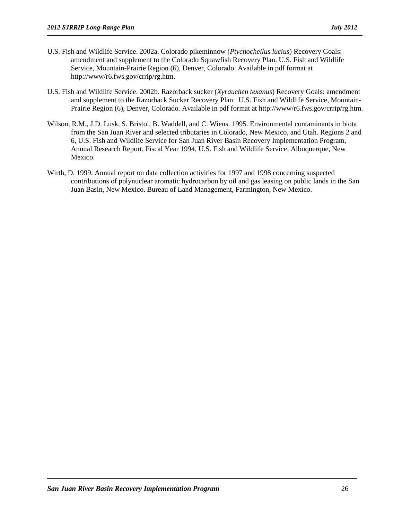- U.S. Fish and Wildlife Service. 2002a. Colorado pikeminnow (*Ptychocheilus lucius*) Recovery Goals: amendment and supplement to the Colorado Squawfish Recovery Plan. U.S. Fish and Wildlife Service, Mountain-Prairie Region (6), Denver, Colorado. Available in pdf format at http://www/r6.fws.gov/crrip/rg.htm.
- U.S. Fish and Wildlife Service. 2002b. Razorback sucker (*Xyrauchen texanus*) Recovery Goals: amendment and supplement to the Razorback Sucker Recovery Plan. U.S. Fish and Wildlife Service, Mountain-Prairie Region (6), Denver, Colorado. Available in pdf format at http://www/r6.fws.gov/crrip/rg.htm.
- Wilson, R.M., J.D. Lusk, S. Bristol, B. Waddell, and C. Wiens. 1995. Environmental contaminants in biota from the San Juan River and selected tributaries in Colorado, New Mexico, and Utah. Regions 2 and 6, U.S. Fish and Wildlife Service for San Juan River Basin Recovery Implementation Program, Annual Research Report, Fiscal Year 1994, U.S. Fish and Wildlife Service, Albuquerque, New Mexico.
- Wirth, D. 1999. Annual report on data collection activities for 1997 and 1998 concerning suspected contributions of polynuclear aromatic hydrocarbon by oil and gas leasing on public lands in the San Juan Basin, New Mexico. Bureau of Land Management, Farmington, New Mexico.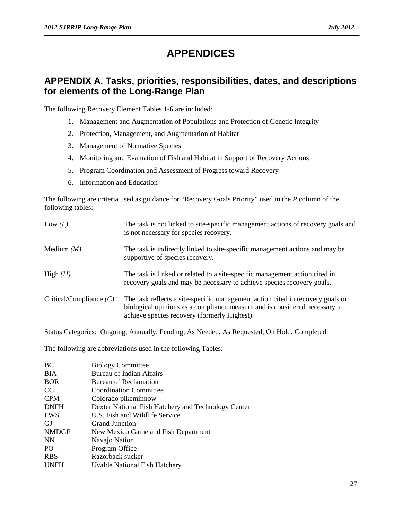### **APPENDICES**

#### <span id="page-30-1"></span><span id="page-30-0"></span>**APPENDIX A. Tasks, priorities, responsibilities, dates, and descriptions for elements of the Long-Range Plan**

The following Recovery Element Tables 1-6 are included:

- 1. Management and Augmentation of Populations and Protection of Genetic Integrity
- 2. Protection, Management, and Augmentation of Habitat
- 3. Management of Nonnative Species
- 4. Monitoring and Evaluation of Fish and Habitat in Support of Recovery Actions
- 5. Program Coordination and Assessment of Progress toward Recovery
- 6. Information and Education

The following are criteria used as guidance for "Recovery Goals Priority" used in the *P* column of the following tables:

| Low $(L)$                 | The task is not linked to site-specific management actions of recovery goals and<br>is not necessary for species recovery.                                                                                   |
|---------------------------|--------------------------------------------------------------------------------------------------------------------------------------------------------------------------------------------------------------|
| Medium $(M)$              | The task is indirectly linked to site-specific management actions and may be<br>supportive of species recovery.                                                                                              |
| High $(H)$                | The task is linked or related to a site-specific management action cited in<br>recovery goals and may be necessary to achieve species recovery goals.                                                        |
| Critical/Compliance $(C)$ | The task reflects a site-specific management action cited in recovery goals or<br>biological opinions as a compliance measure and is considered necessary to<br>achieve species recovery (formerly Highest). |

Status Categories: Ongoing, Annually, Pending, As Needed, As Requested, On Hold, Completed

The following are abbreviations used in the following Tables:

| BC              | <b>Biology Committee</b>                            |
|-----------------|-----------------------------------------------------|
| <b>BIA</b>      | Bureau of Indian Affairs                            |
| <b>BOR</b>      | Bureau of Reclamation                               |
| CC              | <b>Coordination Committee</b>                       |
| <b>CPM</b>      | Colorado pikeminnow                                 |
| <b>DNFH</b>     | Dexter National Fish Hatchery and Technology Center |
| <b>FWS</b>      | U.S. Fish and Wildlife Service                      |
| GJ              | <b>Grand Junction</b>                               |
| <b>NMDGF</b>    | New Mexico Game and Fish Department                 |
| NN              | Navajo Nation                                       |
| PO <sub>1</sub> | Program Office                                      |
| <b>RBS</b>      | Razorback sucker                                    |
| <b>UNFH</b>     | Uvalde National Fish Hatchery                       |
|                 |                                                     |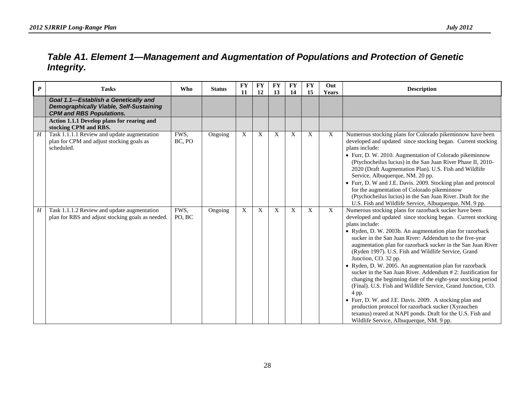### *Table A1. Element 1—Management and Augmentation of Populations and Protection of Genetic Integrity.*

<span id="page-31-0"></span>

| $\boldsymbol{P}$ | <b>Tasks</b>                                                                                                              | <b>Who</b>     | <b>Status</b> | <b>FY</b><br>11 | <b>FY</b><br><b>12</b>    | <b>FY</b><br>13 | <b>FY</b><br>14 | <b>FY</b><br>15 | Out<br>Years              | <b>Description</b>                                                                                                                                                                                                                                                                                                                                                                                                                                                                                                                                                                                                                                                                                                                                                                                                                                                                                               |
|------------------|---------------------------------------------------------------------------------------------------------------------------|----------------|---------------|-----------------|---------------------------|-----------------|-----------------|-----------------|---------------------------|------------------------------------------------------------------------------------------------------------------------------------------------------------------------------------------------------------------------------------------------------------------------------------------------------------------------------------------------------------------------------------------------------------------------------------------------------------------------------------------------------------------------------------------------------------------------------------------------------------------------------------------------------------------------------------------------------------------------------------------------------------------------------------------------------------------------------------------------------------------------------------------------------------------|
|                  | Goal 1.1-Establish a Genetically and<br><b>Demographically Viable, Self-Sustaining</b><br><b>CPM and RBS Populations.</b> |                |               |                 |                           |                 |                 |                 |                           |                                                                                                                                                                                                                                                                                                                                                                                                                                                                                                                                                                                                                                                                                                                                                                                                                                                                                                                  |
|                  | Action 1.1.1 Develop plans for rearing and<br>stocking CPM and RBS.                                                       |                |               |                 |                           |                 |                 |                 |                           |                                                                                                                                                                                                                                                                                                                                                                                                                                                                                                                                                                                                                                                                                                                                                                                                                                                                                                                  |
| $\boldsymbol{H}$ | Task 1.1.1.1 Review and update augmentation<br>plan for CPM and adjust stocking goals as<br>scheduled.                    | FWS,<br>BC, PO | Ongoing       | X               | $\boldsymbol{\mathrm{X}}$ | X               | X               | X               | $\mathbf X$               | Numerous stocking plans for Colorado pikeminnow have been<br>developed and updated since stocking began. Current stocking<br>plans include:<br>• Furr, D. W. 2010. Augmentation of Colorado pikeminnow<br>(Ptychocheilus lucius) in the San Juan River Phase II, 2010-<br>2020 (Draft Augmentation Plan). U.S. Fish and Wildlife<br>Service, Albuquerque, NM. 20 pp.<br>• Furr, D. W and J.E. Davis. 2009. Stocking plan and protocol<br>for the augmentation of Colorado pikeminnow<br>(Ptychocheilus lucius) in the San Juan River. Draft for the<br>U.S. Fish and Wildlife Service, Albuquerque, NM. 9 pp.                                                                                                                                                                                                                                                                                                    |
| H                | Task 1.1.1.2 Review and update augmentation<br>plan for RBS and adjust stocking goals as needed.                          | FWS,<br>PO, BC | Ongoing       | X               | X                         | X               | X               | X               | $\boldsymbol{\mathrm{X}}$ | Numerous stocking plans for razorback sucker have been<br>developed and updated since stocking began. Current stocking<br>plans include:<br>· Ryden, D. W. 2003b. An augmentation plan for razorback<br>sucker in the San Juan River: Addendum to the five-year<br>augmentation plan for razorback sucker in the San Juan River<br>(Ryden 1997). U.S. Fish and Wildlife Service, Grand<br>Junction, CO. 32 pp.<br>• Ryden, D. W. 2005. An augmentation plan for razorback<br>sucker in the San Juan River. Addendum # 2: Justification for<br>changing the beginning date of the eight-year stocking period<br>(Final). U.S. Fish and Wildlife Service, Grand Junction, CO.<br>4 pp.<br>• Furr, D. W. and J.E. Davis. 2009. A stocking plan and<br>production protocol for razorback sucker (Xyrauchen<br>texanus) reared at NAPI ponds. Draft for the U.S. Fish and<br>Wildlife Service, Albuquerque, NM. 9 pp. |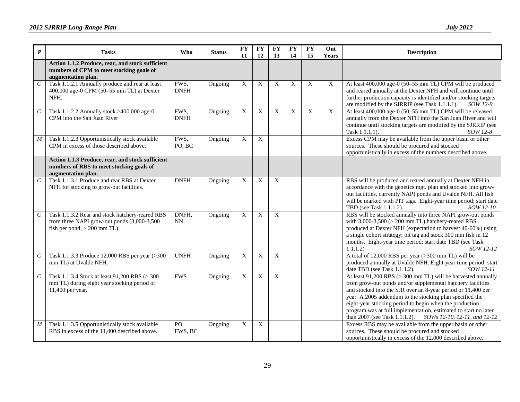| $\boldsymbol{P}$            | <b>Tasks</b>                                                                                                                     | Who                              | <b>Status</b> | <b>FY</b><br>11           | <b>FY</b><br>12           | FY<br>13     | <b>FY</b><br>14 | <b>FY</b><br>15 | Out<br><b>Years</b> | <b>Description</b>                                                                                                                                                                                                                                                                                                                                                                                                                                       |
|-----------------------------|----------------------------------------------------------------------------------------------------------------------------------|----------------------------------|---------------|---------------------------|---------------------------|--------------|-----------------|-----------------|---------------------|----------------------------------------------------------------------------------------------------------------------------------------------------------------------------------------------------------------------------------------------------------------------------------------------------------------------------------------------------------------------------------------------------------------------------------------------------------|
|                             | Action 1.1.2 Produce, rear, and stock sufficient<br>numbers of CPM to meet stocking goals of<br>augmentation plan.               |                                  |               |                           |                           |              |                 |                 |                     |                                                                                                                                                                                                                                                                                                                                                                                                                                                          |
| $\mathcal{C}_{\mathcal{C}}$ | Task 1.1.2.1 Annually produce and rear at least<br>400,000 age-0 CPM (50-55 mm TL) at Dexter<br>NFH.                             | FWS,<br><b>DNFH</b>              | Ongoing       | X                         | X                         | X            | X               | $\mathbf X$     | X                   | At least 400,000 age-0 (50-55 mm TL) CPM will be produced<br>and reared annually at the Dexter NFH and will continue until<br>further production capacity is identified and/or stocking targets<br>are modified by the SJRRIP (see Task 1.1.1.1).<br>SOW 12-9                                                                                                                                                                                            |
| $\cal C$                    | Task 1.1.2.2 Annually stock >400,000 age-0<br>CPM into the San Juan River                                                        | FWS,<br><b>DNFH</b>              | Ongoing       | X                         | $\mathbf X$               | $\mathbf X$  | $\mathbf X$     | $\mathbf X$     | $\overline{X}$      | At least 400,000 age-0 (50-55 mm TL) CPM will be released<br>annually from the Dexter NFH into the San Juan River and will<br>continue until stocking targets are modified by the SJRRIP (see<br>Task 1.1.1.1).<br>SOW 12-8                                                                                                                                                                                                                              |
| $\boldsymbol{M}$            | Task 1.1.2.3 Opportunistically stock available<br>CPM in excess of those described above.                                        | FWS,<br>PO, BC                   | Ongoing       | $\boldsymbol{\mathrm{X}}$ | $\overline{X}$            |              |                 |                 |                     | Excess CPM may be available from the upper basin or other<br>sources. These should be procured and stocked<br>opportunistically in excess of the numbers described above.                                                                                                                                                                                                                                                                                |
|                             | Action 1.1.3 Produce, rear, and stock sufficient<br>numbers of RBS to meet stocking goals of<br>augmentation plan.               |                                  |               |                           |                           |              |                 |                 |                     |                                                                                                                                                                                                                                                                                                                                                                                                                                                          |
| $\mathcal{C}_{0}$           | Task 1.1.3.1 Produce and rear RBS at Dexter<br>NFH for stocking to grow-out facilities.                                          | <b>DNFH</b>                      | Ongoing       | $\mathbf X$               | $\boldsymbol{\mathrm{X}}$ | $\mathbf X$  |                 |                 |                     | RBS will be produced and reared annually at Dexter NFH in<br>accordance with the genetics mgt. plan and stocked into grow-<br>out facilities, currently NAPI ponds and Uvalde NFH. All fish<br>will be marked with PIT tags. Eight-year time period; start date<br>TBD (see Task 1.1.1.2).<br>SOW 12-10                                                                                                                                                  |
| $\cal C$                    | Task 1.1.3.2 Rear and stock hatchery-reared RBS<br>from three NAPI grow-out ponds (3,000-3,500<br>fish per pond, $> 200$ mm TL). | DNFH,<br>$\mathbf{N} \mathbf{N}$ | Ongoing       | $\boldsymbol{\mathrm{X}}$ | $\boldsymbol{\mathrm{X}}$ | $\mathbf{X}$ |                 |                 |                     | RBS will be stocked annually into three NAPI grow-out ponds<br>with $3,000-3,500$ ( $> 200$ mm TL) hatchery-reared RBS<br>produced at Dexter NFH (expectation to harvest 40-60%) using<br>a single cohort strategy; pit tag and stock 300 mm fish in 12<br>months. Eight-year time period; start date TBD (see Task<br>1.1.1.2)<br>SOW 12-12                                                                                                             |
| $\mathcal{C}_{0}^{0}$       | Task 1.1.3.3 Produce 12,000 RBS per year (>300<br>mm TL) at Uvalde NFH.                                                          | <b>UNFH</b>                      | Ongoing       | X                         | X                         | X            |                 |                 |                     | A total of 12,000 RBS per year (>300 mm TL) will be<br>produced annually at Uvalde NFH. Eight-year time period; start<br>date TBD (see Task 1.1.1.2).<br>SOW 12-11                                                                                                                                                                                                                                                                                       |
| $\mathcal{C}_{0}^{0}$       | Task 1.1.3.4 Stock at least 91,200 RBS (> 300<br>mm TL) during eight year stocking period or<br>11,400 per year.                 | <b>FWS</b>                       | Ongoing       | X                         | X                         | X            |                 |                 |                     | At least $91,200$ RBS ( $> 300$ mm TL) will be harvested annually<br>from grow-out ponds and/or supplemental hatchery facilities<br>and stocked into the SJR over an 8-year period or 11,400 per<br>year. A 2005 addendum to the stocking plan specified the<br>eight-year stocking period to begin when the production<br>program was at full implementation, estimated to start no later<br>than 2007 (see Task 1.1.1.2). SOWs 12-10, 12-11, and 12-12 |
| $\cal M$                    | Task 1.1.3.5 Opportunistically stock available<br>RBS in excess of the 11,400 described above.                                   | PO,<br>FWS, BC                   | Ongoing       | X                         | X                         |              |                 |                 |                     | Excess RBS may be available from the upper basin or other<br>sources. These should be procured and stocked<br>opportunistically in excess of the 12,000 described above.                                                                                                                                                                                                                                                                                 |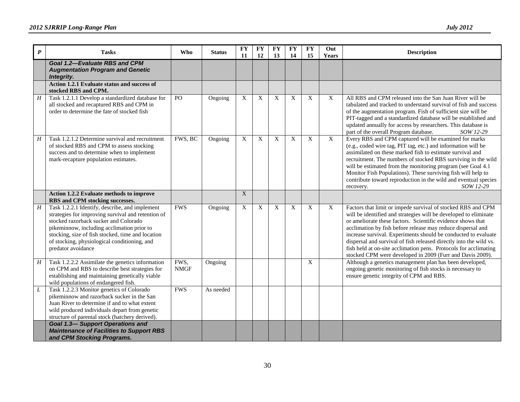| $\boldsymbol{P}$ | <b>Tasks</b>                                                                                                                                                                                                                                                                                                           | Who                 | <b>Status</b> | <b>FY</b><br>11           | <b>FY</b><br>12           | <b>FY</b><br>13 | <b>FY</b><br>14 | <b>FY</b><br>15 | Out<br>Years   | <b>Description</b>                                                                                                                                                                                                                                                                                                                                                                                                                                                                                                                      |
|------------------|------------------------------------------------------------------------------------------------------------------------------------------------------------------------------------------------------------------------------------------------------------------------------------------------------------------------|---------------------|---------------|---------------------------|---------------------------|-----------------|-----------------|-----------------|----------------|-----------------------------------------------------------------------------------------------------------------------------------------------------------------------------------------------------------------------------------------------------------------------------------------------------------------------------------------------------------------------------------------------------------------------------------------------------------------------------------------------------------------------------------------|
|                  | Goal 1.2-Evaluate RBS and CPM<br><b>Augmentation Program and Genetic</b><br>Integrity.                                                                                                                                                                                                                                 |                     |               |                           |                           |                 |                 |                 |                |                                                                                                                                                                                                                                                                                                                                                                                                                                                                                                                                         |
|                  | Action 1.2.1 Evaluate status and success of<br>stocked RBS and CPM.                                                                                                                                                                                                                                                    |                     |               |                           |                           |                 |                 |                 |                |                                                                                                                                                                                                                                                                                                                                                                                                                                                                                                                                         |
| $\overline{H}$   | Task 1.2.1.1 Develop a standardized database for<br>all stocked and recaptured RBS and CPM in<br>order to determine the fate of stocked fish                                                                                                                                                                           | P <sub>O</sub>      | Ongoing       | $\boldsymbol{\mathrm{X}}$ | X                         | X               | X               | X               | X              | All RBS and CPM released into the San Juan River will be<br>tabulated and tracked to understand survival of fish and success<br>of the augmentation program. Fish of sufficient size will be<br>PIT-tagged and a standardized database will be established and<br>updated annually for access by researchers. This database is<br>part of the overall Program database.<br>SOW 12-29                                                                                                                                                    |
| H                | Task 1.2.1.2 Determine survival and recruitment<br>of stocked RBS and CPM to assess stocking<br>success and to determine when to implement<br>mark-recapture population estimates.                                                                                                                                     | FWS, BC             | Ongoing       | X                         | X                         | X               | X               | $\mathbf X$     | $\overline{X}$ | Every RBS and CPM captured will be examined for marks<br>(e.g., coded wire tag, PIT tag, etc.) and information will be<br>assimilated on these marked fish to estimate survival and<br>recruitment. The numbers of stocked RBS surviving in the wild<br>will be estimated from the monitoring program (see Goal 4.1)<br>Monitor Fish Populations). These surviving fish will help to<br>contribute toward reproduction in the wild and eventual species<br>SOW 12-29<br>recovery.                                                       |
|                  | Action 1.2.2 Evaluate methods to improve<br>RBS and CPM stocking successes.                                                                                                                                                                                                                                            |                     |               | $\overline{X}$            |                           |                 |                 |                 |                |                                                                                                                                                                                                                                                                                                                                                                                                                                                                                                                                         |
| $\overline{H}$   | Task 1.2.2.1 Identify, describe, and implement<br>strategies for improving survival and retention of<br>stocked razorback sucker and Colorado<br>pikeminnow, including acclimation prior to<br>stocking, size of fish stocked, time and location<br>of stocking, physiological conditioning, and<br>predator avoidance | <b>FWS</b>          | Ongoing       | $\overline{X}$            | $\boldsymbol{\mathrm{X}}$ | $\overline{X}$  | X               | $\overline{X}$  | X              | Factors that limit or impede survival of stocked RBS and CPM<br>will be identified and strategies will be developed to eliminate<br>or ameliorate these factors. Scientific evidence shows that<br>acclimation by fish before release may reduce dispersal and<br>increase survival. Experiments should be conducted to evaluate<br>dispersal and survival of fish released directly into the wild vs.<br>fish held at on-site acclimation pens. Protocols for acclimating<br>stocked CPM were developed in 2009 (Furr and Davis 2009). |
| H                | Task 1.2.2.2 Assimilate the genetics information<br>on CPM and RBS to describe best strategies for<br>establishing and maintaining genetically viable<br>wild populations of endangered fish.                                                                                                                          | FWS,<br><b>NMGF</b> | Ongoing       |                           |                           |                 |                 | X               |                | Although a genetics management plan has been developed,<br>ongoing genetic monitoring of fish stocks is necessary to<br>ensure genetic integrity of CPM and RBS.                                                                                                                                                                                                                                                                                                                                                                        |
| L                | Task 1.2.2.3 Monitor genetics of Colorado<br>pikeminnow and razorback sucker in the San<br>Juan River to determine if and to what extent<br>wild produced individuals depart from genetic<br>structure of parental stock (hatchery derived).<br><b>Goal 1.3-Support Operations and</b>                                 | <b>FWS</b>          | As needed     |                           |                           |                 |                 |                 |                |                                                                                                                                                                                                                                                                                                                                                                                                                                                                                                                                         |
|                  | <b>Maintenance of Facilities to Support RBS</b><br>and CPM Stocking Programs.                                                                                                                                                                                                                                          |                     |               |                           |                           |                 |                 |                 |                |                                                                                                                                                                                                                                                                                                                                                                                                                                                                                                                                         |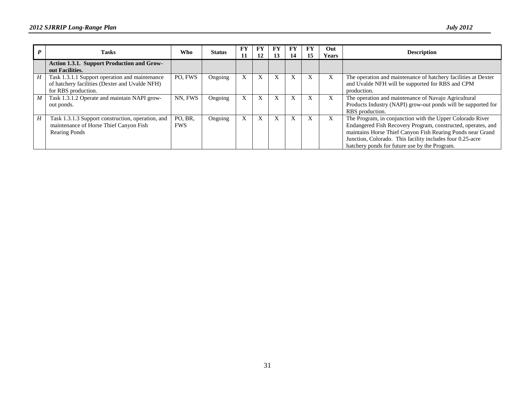|                  | <b>Tasks</b>                                                                                                            | Who                   | <b>Status</b> | <b>FY</b><br>11 | FY<br>12 | 13 | FY<br>14  | FY<br>15 | Out<br><b>Years</b> | <b>Description</b>                                                                                                                                                                                                                                                                                    |
|------------------|-------------------------------------------------------------------------------------------------------------------------|-----------------------|---------------|-----------------|----------|----|-----------|----------|---------------------|-------------------------------------------------------------------------------------------------------------------------------------------------------------------------------------------------------------------------------------------------------------------------------------------------------|
|                  | Action 1.3.1. Support Production and Grow-<br>out Facilities.                                                           |                       |               |                 |          |    |           |          |                     |                                                                                                                                                                                                                                                                                                       |
| H                | Task 1.3.1.1 Support operation and maintenance<br>of hatchery facilities (Dexter and Uvalde NFH)<br>for RBS production. | PO. FWS               | Ongoing       | X               | X        | X  | $\Lambda$ | X        | X                   | The operation and maintenance of hatchery facilities at Dexter<br>and Uvalde NFH will be supported for RBS and CPM<br>production.                                                                                                                                                                     |
| $\boldsymbol{M}$ | Task 1.3.1.2 Operate and maintain NAPI grow-<br>out ponds.                                                              | NN. FWS               | Ongoing       |                 | X        | X  |           | X        | X                   | The operation and maintenance of Navajo Agricultural<br>Products Industry (NAPI) grow-out ponds will be supported for<br>RBS production.                                                                                                                                                              |
| H                | Task 1.3.1.3 Support construction, operation, and<br>maintenance of Horse Thief Canyon Fish<br>Rearing Ponds            | PO, BR.<br><b>FWS</b> | Ongoing       |                 | X        | X  |           | X        | X                   | The Program, in conjunction with the Upper Colorado River<br>Endangered Fish Recovery Program, constructed, operates, and<br>maintains Horse Thief Canyon Fish Rearing Ponds near Grand<br>Junction, Colorado. This facility includes four 0.25-acre<br>hatchery ponds for future use by the Program. |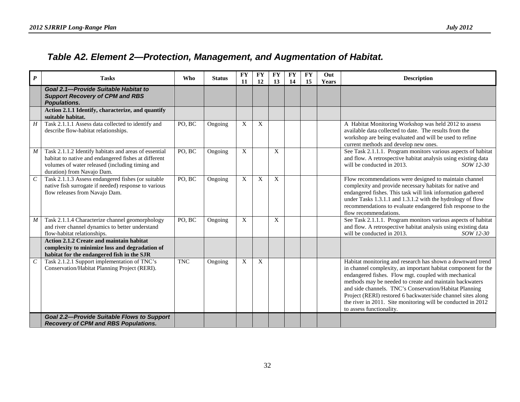### *Table A2. Element 2—Protection, Management, and Augmentation of Habitat.*

<span id="page-35-0"></span>

| $\boldsymbol{P}$ | <b>Tasks</b>                                                                                                                                                                                   | <b>Who</b> | <b>Status</b> | <b>FY</b><br>11 | <b>FY</b><br>12 | <b>FY</b><br>13  | <b>FY</b><br>14 | <b>FY</b><br>15 | Out<br><b>Years</b> | <b>Description</b>                                                                                                                                                                                                                                                                                                                                                                                                                                                   |
|------------------|------------------------------------------------------------------------------------------------------------------------------------------------------------------------------------------------|------------|---------------|-----------------|-----------------|------------------|-----------------|-----------------|---------------------|----------------------------------------------------------------------------------------------------------------------------------------------------------------------------------------------------------------------------------------------------------------------------------------------------------------------------------------------------------------------------------------------------------------------------------------------------------------------|
|                  | Goal 2.1-Provide Suitable Habitat to<br><b>Support Recovery of CPM and RBS</b><br><b>Populations.</b>                                                                                          |            |               |                 |                 |                  |                 |                 |                     |                                                                                                                                                                                                                                                                                                                                                                                                                                                                      |
|                  | Action 2.1.1 Identify, characterize, and quantify<br>suitable habitat.                                                                                                                         |            |               |                 |                 |                  |                 |                 |                     |                                                                                                                                                                                                                                                                                                                                                                                                                                                                      |
| $\boldsymbol{H}$ | Task 2.1.1.1 Assess data collected to identify and<br>describe flow-habitat relationships.                                                                                                     | PO, BC     | Ongoing       | X               | X               |                  |                 |                 |                     | A Habitat Monitoring Workshop was held 2012 to assess<br>available data collected to date. The results from the<br>workshop are being evaluated and will be used to refine<br>current methods and develop new ones.                                                                                                                                                                                                                                                  |
| $\boldsymbol{M}$ | Task 2.1.1.2 Identify habitats and areas of essential<br>habitat to native and endangered fishes at different<br>volumes of water released (including timing and<br>duration) from Navajo Dam. | PO, BC     | Ongoing       | X               |                 | $\boldsymbol{X}$ |                 |                 |                     | See Task 2.1.1.1. Program monitors various aspects of habitat<br>and flow. A retrospective habitat analysis using existing data<br>will be conducted in 2013.<br>SOW 12-30                                                                                                                                                                                                                                                                                           |
| $\cal C$         | Task 2.1.1.3 Assess endangered fishes (or suitable<br>native fish surrogate if needed) response to various<br>flow releases from Navajo Dam.                                                   | PO, BC     | Ongoing       | X               | X               | X                |                 |                 |                     | Flow recommendations were designed to maintain channel<br>complexity and provide necessary habitats for native and<br>endangered fishes. This task will link information gathered<br>under Tasks 1.3.1.1 and 1.3.1.2 with the hydrology of flow<br>recommendations to evaluate endangered fish response to the<br>flow recommendations.                                                                                                                              |
| $\boldsymbol{M}$ | Task 2.1.1.4 Characterize channel geomorphology<br>and river channel dynamics to better understand<br>flow-habitat relationships.                                                              | PO, BC     | Ongoing       | X               |                 | $\boldsymbol{X}$ |                 |                 |                     | See Task 2.1.1.1. Program monitors various aspects of habitat<br>and flow. A retrospective habitat analysis using existing data<br>will be conducted in 2013.<br>SOW 12-30                                                                                                                                                                                                                                                                                           |
|                  | Action 2.1.2 Create and maintain habitat<br>complexity to minimize loss and degradation of<br>habitat for the endangered fish in the SJR                                                       |            |               |                 |                 |                  |                 |                 |                     |                                                                                                                                                                                                                                                                                                                                                                                                                                                                      |
| $\cal C$         | Task 2.1.2.1 Support implementation of TNC's<br>Conservation/Habitat Planning Project (RERI).                                                                                                  | <b>TNC</b> | Ongoing       | X               | X               |                  |                 |                 |                     | Habitat monitoring and research has shown a downward trend<br>in channel complexity, an important habitat component for the<br>endangered fishes. Flow mgt. coupled with mechanical<br>methods may be needed to create and maintain backwaters<br>and side channels. TNC's Conservation/Habitat Planning<br>Project (RERI) restored 6 backwater/side channel sites along<br>the river in 2011. Site monitoring will be conducted in 2012<br>to assess functionality. |
|                  | <b>Goal 2.2-Provide Suitable Flows to Support</b><br><b>Recovery of CPM and RBS Populations.</b>                                                                                               |            |               |                 |                 |                  |                 |                 |                     |                                                                                                                                                                                                                                                                                                                                                                                                                                                                      |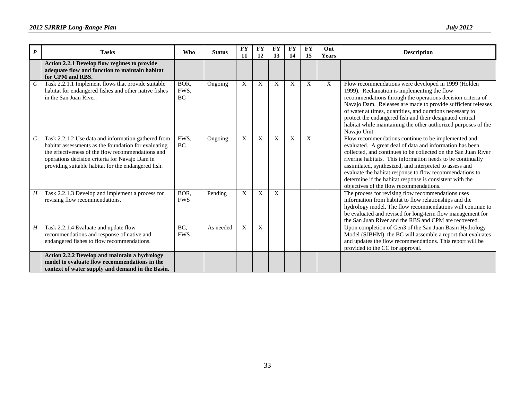| $\boldsymbol{P}$      | <b>Tasks</b>                                                                                                                                                                                                                                                              | <b>Who</b>                | <b>Status</b> | <b>FY</b><br><b>11</b> | <b>FY</b><br>12 | <b>FY</b><br>13           | <b>FY</b><br>14 | <b>FY</b><br>15 | Out<br><b>Years</b> | <b>Description</b>                                                                                                                                                                                                                                                                                                                                                                                                                                                             |
|-----------------------|---------------------------------------------------------------------------------------------------------------------------------------------------------------------------------------------------------------------------------------------------------------------------|---------------------------|---------------|------------------------|-----------------|---------------------------|-----------------|-----------------|---------------------|--------------------------------------------------------------------------------------------------------------------------------------------------------------------------------------------------------------------------------------------------------------------------------------------------------------------------------------------------------------------------------------------------------------------------------------------------------------------------------|
|                       | Action 2.2.1 Develop flow regimes to provide<br>adequate flow and function to maintain habitat<br>for CPM and RBS.                                                                                                                                                        |                           |               |                        |                 |                           |                 |                 |                     |                                                                                                                                                                                                                                                                                                                                                                                                                                                                                |
| $\mathcal{C}_{0}^{0}$ | Task 2.2.1.1 Implement flows that provide suitable<br>habitat for endangered fishes and other native fishes<br>in the San Juan River.                                                                                                                                     | BOR,<br>FWS,<br><b>BC</b> | Ongoing       | X                      | $\mathbf X$     | X                         | X               | $\mathbf{X}$    | X                   | Flow recommendations were developed in 1999 (Holden<br>1999). Reclamation is implementing the flow<br>recommendations through the operations decision criteria of<br>Navajo Dam. Releases are made to provide sufficient releases<br>of water at times, quantities, and durations necessary to<br>protect the endangered fish and their designated critical<br>habitat while maintaining the other authorized purposes of the<br>Navajo Unit.                                  |
|                       | Task 2.2.1.2 Use data and information gathered from<br>habitat assessments as the foundation for evaluating<br>the effectiveness of the flow recommendations and<br>operations decision criteria for Navajo Dam in<br>providing suitable habitat for the endangered fish. | FWS,<br>BC                | Ongoing       | X                      | X               | X                         | X               | X               |                     | Flow recommendations continue to be implemented and<br>evaluated. A great deal of data and information has been<br>collected, and continues to be collected on the San Juan River<br>riverine habitats. This information needs to be continually<br>assimilated, synthesized, and interpreted to assess and<br>evaluate the habitat response to flow recommendations to<br>determine if the habitat response is consistent with the<br>objectives of the flow recommendations. |
| H                     | Task 2.2.1.3 Develop and implement a process for<br>revising flow recommendations.                                                                                                                                                                                        | BOR,<br><b>FWS</b>        | Pending       | X                      | X               | $\boldsymbol{\mathrm{X}}$ |                 |                 |                     | The process for revising flow recommendations uses<br>information from habitat to flow relationships and the<br>hydrology model. The flow recommendations will continue to<br>be evaluated and revised for long-term flow management for<br>the San Juan River and the RBS and CPM are recovered.                                                                                                                                                                              |
| H                     | Task 2.2.1.4 Evaluate and update flow<br>recommendations and response of native and<br>endangered fishes to flow recommendations.                                                                                                                                         | BC<br><b>FWS</b>          | As needed     | X                      | X               |                           |                 |                 |                     | Upon completion of Gen3 of the San Juan Basin Hydrology<br>Model (SJBHM), the BC will assemble a report that evaluates<br>and updates the flow recommendations. This report will be<br>provided to the CC for approval.                                                                                                                                                                                                                                                        |
|                       | Action 2.2.2 Develop and maintain a hydrology<br>model to evaluate flow recommendations in the<br>context of water supply and demand in the Basin.                                                                                                                        |                           |               |                        |                 |                           |                 |                 |                     |                                                                                                                                                                                                                                                                                                                                                                                                                                                                                |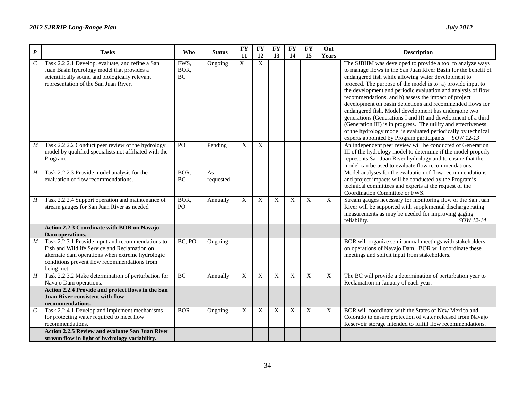| $\boldsymbol{P}$      | <b>Tasks</b>                                                                                                                                                                                                        | Who                | <b>Status</b>   | <b>FY</b><br>11 | <b>FY</b><br>12 | FY<br>13 | <b>FY</b><br>14           | <b>FY</b><br>15           | Out<br>Years | <b>Description</b>                                                                                                                                                                                                                                                                                                                                                                                                                                                                                                                                                                                                                                                                                                                                          |
|-----------------------|---------------------------------------------------------------------------------------------------------------------------------------------------------------------------------------------------------------------|--------------------|-----------------|-----------------|-----------------|----------|---------------------------|---------------------------|--------------|-------------------------------------------------------------------------------------------------------------------------------------------------------------------------------------------------------------------------------------------------------------------------------------------------------------------------------------------------------------------------------------------------------------------------------------------------------------------------------------------------------------------------------------------------------------------------------------------------------------------------------------------------------------------------------------------------------------------------------------------------------------|
| $\mathcal{C}_{0}^{0}$ | Task 2.2.2.1 Develop, evaluate, and refine a San<br>Juan Basin hydrology model that provides a<br>scientifically sound and biologically relevant<br>representation of the San Juan River.                           | FWS,<br>BOR,<br>BC | Ongoing         | X               | $\mathbf X$     |          |                           |                           |              | The SJBHM was developed to provide a tool to analyze ways<br>to manage flows in the San Juan River Basin for the benefit of<br>endangered fish while allowing water development to<br>proceed. The purpose of the model is to: a) provide input to<br>the development and periodic evaluation and analysis of flow<br>recommendations, and b) assess the impact of project<br>development on basin depletions and recommended flows for<br>endangered fish. Model development has undergone two<br>generations (Generations I and II) and development of a third<br>(Generation III) is in progress. The utility and effectiveness<br>of the hydrology model is evaluated periodically by technical<br>experts appointed by Program participants. SOW 12-13 |
| $\boldsymbol{M}$      | Task 2.2.2.2 Conduct peer review of the hydrology<br>model by qualified specialists not affiliated with the<br>Program.                                                                                             | PO                 | Pending         | X               | $\mathbf X$     |          |                           |                           |              | An independent peer review will be conducted of Generation<br>III of the hydrology model to determine if the model properly<br>represents San Juan River hydrology and to ensure that the<br>model can be used to evaluate flow recommendations.                                                                                                                                                                                                                                                                                                                                                                                                                                                                                                            |
| H                     | Task 2.2.2.3 Provide model analysis for the<br>evaluation of flow recommendations.                                                                                                                                  | BOR,<br>BC         | As<br>requested |                 |                 |          |                           |                           |              | Model analyses for the evaluation of flow recommendations<br>and project impacts will be conducted by the Program's<br>technical committees and experts at the request of the<br>Coordination Committee or FWS.                                                                                                                                                                                                                                                                                                                                                                                                                                                                                                                                             |
| H                     | Task 2.2.2.4 Support operation and maintenance of<br>stream gauges for San Juan River as needed                                                                                                                     | BOR,<br>PO         | Annually        | $\mathbf X$     | $\mathbf X$     | X        | $\boldsymbol{\mathrm{X}}$ | $\boldsymbol{\mathrm{X}}$ | X            | Stream gauges necessary for monitoring flow of the San Juan<br>River will be supported with supplemental discharge rating<br>measurements as may be needed for improving gaging<br>reliability.<br>SOW 12-14                                                                                                                                                                                                                                                                                                                                                                                                                                                                                                                                                |
|                       | Action 2.2.3 Coordinate with BOR on Navajo<br>Dam operations.                                                                                                                                                       |                    |                 |                 |                 |          |                           |                           |              |                                                                                                                                                                                                                                                                                                                                                                                                                                                                                                                                                                                                                                                                                                                                                             |
| $\boldsymbol{M}$      | Task 2.2.3.1 Provide input and recommendations to<br>Fish and Wildlife Service and Reclamation on<br>alternate dam operations when extreme hydrologic<br>conditions prevent flow recommendations from<br>being met. | BC, PO             | Ongoing         |                 |                 |          |                           |                           |              | BOR will organize semi-annual meetings with stakeholders<br>on operations of Navajo Dam. BOR will coordinate these<br>meetings and solicit input from stakeholders.                                                                                                                                                                                                                                                                                                                                                                                                                                                                                                                                                                                         |
| $H_{\rm}$             | Task 2.2.3.2 Make determination of perturbation for<br>Navajo Dam operations.                                                                                                                                       | BC                 | Annually        | X               | X               | X        | X                         | X                         | X            | The BC will provide a determination of perturbation year to<br>Reclamation in January of each year.                                                                                                                                                                                                                                                                                                                                                                                                                                                                                                                                                                                                                                                         |
|                       | Action 2.2.4 Provide and protect flows in the San<br>Juan River consistent with flow<br>recommendations.                                                                                                            |                    |                 |                 |                 |          |                           |                           |              |                                                                                                                                                                                                                                                                                                                                                                                                                                                                                                                                                                                                                                                                                                                                                             |
| $\mathcal C$          | Task 2.2.4.1 Develop and implement mechanisms<br>for protecting water required to meet flow<br>recommendations.                                                                                                     | <b>BOR</b>         | Ongoing         | $\mathbf X$     | X               | X        | X                         | $\mathbf X$               | X            | BOR will coordinate with the States of New Mexico and<br>Colorado to ensure protection of water released from Navajo<br>Reservoir storage intended to fulfill flow recommendations.                                                                                                                                                                                                                                                                                                                                                                                                                                                                                                                                                                         |
|                       | <b>Action 2.2.5 Review and evaluate San Juan River</b><br>stream flow in light of hydrology variability.                                                                                                            |                    |                 |                 |                 |          |                           |                           |              |                                                                                                                                                                                                                                                                                                                                                                                                                                                                                                                                                                                                                                                                                                                                                             |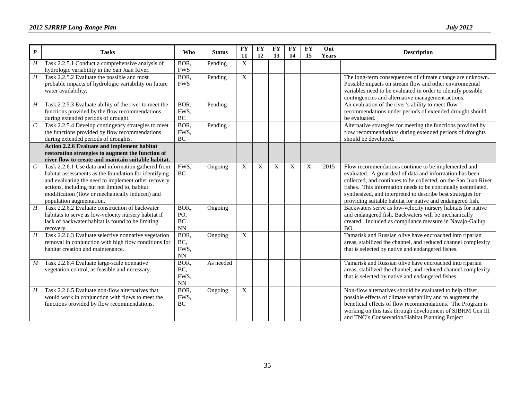| $\boldsymbol{P}$            | <b>Tasks</b>                                                                                                                                                                                                                                                                                         | <b>Who</b>                           | <b>Status</b> | <b>FY</b><br><b>11</b> | <b>FY</b><br>12 | <b>FY</b><br>13 | <b>FY</b><br>14 | <b>FY</b><br>15 | Out<br>Years | <b>Description</b>                                                                                                                                                                                                                                                                                                                                                                |
|-----------------------------|------------------------------------------------------------------------------------------------------------------------------------------------------------------------------------------------------------------------------------------------------------------------------------------------------|--------------------------------------|---------------|------------------------|-----------------|-----------------|-----------------|-----------------|--------------|-----------------------------------------------------------------------------------------------------------------------------------------------------------------------------------------------------------------------------------------------------------------------------------------------------------------------------------------------------------------------------------|
| H                           | Task 2.2.5.1 Conduct a comprehensive analysis of<br>hydrologic variability in the San Juan River.                                                                                                                                                                                                    | BOR,<br><b>FWS</b>                   | Pending       | X                      |                 |                 |                 |                 |              |                                                                                                                                                                                                                                                                                                                                                                                   |
| $\overline{H}$              | Task 2.2.5.2 Evaluate the possible and most<br>probable impacts of hydrologic variability on future<br>water availability.                                                                                                                                                                           | BOR,<br><b>FWS</b>                   | Pending       | X                      |                 |                 |                 |                 |              | The long-term consequences of climate change are unknown.<br>Possible impacts on stream flow and other environmental<br>variables need to be evaluated in order to identify possible<br>contingencies and alternative management actions.                                                                                                                                         |
| $\boldsymbol{H}$            | Task 2.2.5.3 Evaluate ability of the river to meet the<br>functions provided by the flow recommendations<br>during extended periods of drought.                                                                                                                                                      | BOR,<br>FWS,<br>BC                   | Pending       |                        |                 |                 |                 |                 |              | An evaluation of the river's ability to meet flow<br>recommendations under periods of extended drought should<br>be evaluated.                                                                                                                                                                                                                                                    |
| $\mathcal{C}_{\mathcal{C}}$ | Task 2.2.5.4 Develop contingency strategies to meet<br>the functions provided by flow recommendations<br>during extended periods of droughts.                                                                                                                                                        | BOR,<br>FWS,<br>$\rm BC$             | Pending       |                        |                 |                 |                 |                 |              | Alternative strategies for meeting the functions provided by<br>flow recommendations during extended periods of droughts<br>should be developed.                                                                                                                                                                                                                                  |
|                             | Action 2.2.6 Evaluate and implement habitat<br>restoration strategies to augment the function of<br>river flow to create and maintain suitable habitat.                                                                                                                                              |                                      |               |                        |                 |                 |                 |                 |              |                                                                                                                                                                                                                                                                                                                                                                                   |
| $\boldsymbol{C}$            | Task 2.2.6.1 Use data and information gathered from<br>habitat assessments as the foundation for identifying<br>and evaluating the need to implement other recovery<br>actions, including but not limited to, habitat<br>modification (flow or mechanically induced) and<br>population augmentation. | FWS,<br>BC                           | Ongoing       | X                      | X               | X               | X               | X               | 2015         | Flow recommendations continue to be implemented and<br>evaluated. A great deal of data and information has been<br>collected, and continues to be collected, on the San Juan River<br>fishes. This information needs to be continually assimilated,<br>synthesized, and interpreted to describe best strategies for<br>providing suitable habitat for native and endangered fish. |
| H                           | Task 2.2.6.2 Evaluate construction of backwater<br>habitats to serve as low-velocity nursery habitat if<br>lack of backwater habitat is found to be limiting<br>recovery.                                                                                                                            | BOR,<br>PO,<br>$\rm BC$<br><b>NN</b> | Ongoing       |                        |                 |                 |                 |                 |              | Backwaters serve as low-velocity nursery habitats for native<br>and endangered fish. Backwaters will be mechanically<br>created. Included as compliance measure in Navajo-Gallup<br>BO.                                                                                                                                                                                           |
| H                           | Task 2.2.6.3 Evaluate selective nonnative vegetation<br>removal in conjunction with high flow conditions for<br>habitat creation and maintenance.                                                                                                                                                    | BOR,<br>BC,<br>FWS,<br><b>NN</b>     | Ongoing       | X                      |                 |                 |                 |                 |              | Tamarisk and Russian olive have encroached into riparian<br>areas, stabilized the channel, and reduced channel complexity<br>that is selected by native and endangered fishes.                                                                                                                                                                                                    |
| $\boldsymbol{M}$            | Task 2.2.6.4 Evaluate large-scale nonnative<br>vegetation control, as feasible and necessary.                                                                                                                                                                                                        | BOR,<br>BC,<br>FWS,<br>NN            | As needed     |                        |                 |                 |                 |                 |              | Tamarisk and Russian olive have encroached into riparian<br>areas, stabilized the channel, and reduced channel complexity<br>that is selected by native and endangered fishes.                                                                                                                                                                                                    |
| H                           | Task 2.2.6.5 Evaluate non-flow alternatives that<br>would work in conjunction with flows to meet the<br>functions provided by flow recommendations.                                                                                                                                                  | BOR,<br>FWS,<br><b>BC</b>            | Ongoing       | X                      |                 |                 |                 |                 |              | Non-flow alternatives should be evaluated to help offset<br>possible effects of climate variability and to augment the<br>beneficial effects of flow recommendations. The Program is<br>working on this task through development of SJBHM Gen III<br>and TNC's Conservation/Habitat Planning Project                                                                              |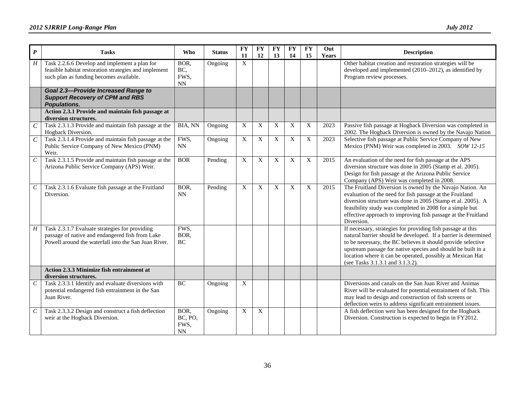| $\boldsymbol{P}$      | <b>Tasks</b>                                                                                                                                              | Who                           | <b>Status</b> | <b>FY</b><br>11           | <b>FY</b><br>12           | $\mathbf{F}\mathbf{Y}$<br>13 | <b>FY</b><br>14 | <b>FY</b><br>15 | Out<br><b>Years</b> | <b>Description</b>                                                                                                                                                                                                                                                                                                                                               |
|-----------------------|-----------------------------------------------------------------------------------------------------------------------------------------------------------|-------------------------------|---------------|---------------------------|---------------------------|------------------------------|-----------------|-----------------|---------------------|------------------------------------------------------------------------------------------------------------------------------------------------------------------------------------------------------------------------------------------------------------------------------------------------------------------------------------------------------------------|
| H                     | Task 2.2.6.6 Develop and implement a plan for<br>feasible habitat restoration strategies and implement<br>such plan as funding becomes available.         | BOR,<br>BC,<br>FWS,<br>NN     | Ongoing       | $\boldsymbol{\mathrm{X}}$ |                           |                              |                 |                 |                     | Other habitat creation and restoration strategies will be<br>developed and implemented (2010-2012), as identified by<br>Program review processes.                                                                                                                                                                                                                |
|                       | <b>Goal 2.3-Provide Increased Range to</b><br><b>Support Recovery of CPM and RBS</b><br><b>Populations.</b>                                               |                               |               |                           |                           |                              |                 |                 |                     |                                                                                                                                                                                                                                                                                                                                                                  |
|                       | Action 2.3.1 Provide and maintain fish passage at<br>diversion structures.                                                                                |                               |               |                           |                           |                              |                 |                 |                     |                                                                                                                                                                                                                                                                                                                                                                  |
| $\overline{C}$        | Task 2.3.1.3 Provide and maintain fish passage at the<br>Hogback Diversion.                                                                               | BIA, NN                       | Ongoing       | $\boldsymbol{X}$          | X                         | X                            | $\mathbf X$     | X               | 2023                | Passive fish passage at Hogback Diversion was completed in<br>2002. The Hogback Diversion is owned by the Navajo Nation                                                                                                                                                                                                                                          |
| $\mathcal{C}_{0}^{0}$ | Task 2.3.1.4 Provide and maintain fish passage at the<br>Public Service Company of New Mexico (PNM)<br>Weir.                                              | FWS,<br>NN                    | Ongoing       | $\boldsymbol{\mathrm{X}}$ | X                         | X                            | X               | $\mathbf X$     | 2023                | Selective fish passage at Public Service Company of New<br>Mexico (PNM) Weir was completed in 2003. SOW 12-15                                                                                                                                                                                                                                                    |
| $\cal C$              | Task 2.3.1.5 Provide and maintain fish passage at the<br>Arizona Public Service Company (APS) Weir.                                                       | <b>BOR</b>                    | Pending       | $\boldsymbol{\mathrm{X}}$ | X                         | X                            | $\mathbf X$     | X               | 2015                | An evaluation of the need for fish passage at the APS<br>diversion structure was done in 2005 (Stamp et al. 2005).<br>Design for fish passage at the Arizona Public Service<br>Company (APS) Weir was completed in 2008.                                                                                                                                         |
| $\mathcal{C}_{0}^{0}$ | Task 2.3.1.6 Evaluate fish passage at the Fruitland<br>Diversion.                                                                                         | BOR,<br>NN                    | Pending       | $\mathbf{X}$              | $\mathbf{x}$              | X                            | X               | X               | 2015                | The Fruitland Diversion is owned by the Navajo Nation. An<br>evaluation of the need for fish passage at the Fruitland<br>diversion structure was done in 2005 (Stamp et al. 2005). A<br>feasibility study was completed in 2008 for a simple but<br>effective approach to improving fish passage at the Fruitland<br>Diversion.                                  |
| $H_{\rm}$             | Task 2.3.1.7 Evaluate strategies for providing<br>passage of native and endangered fish from Lake<br>Powell around the waterfall into the San Juan River. | FWS.<br>BOR,<br>BC            |               |                           |                           |                              |                 |                 |                     | If necessary, strategies for providing fish passage at this<br>natural barrier should be developed. If a barrier is determined<br>to be necessary, the BC believes it should provide selective<br>upstream passage for native species and should be built in a<br>location where it can be operated, possibly at Mexican Hat<br>(see Tasks 3.1.3.1 and 3.1.3.2). |
|                       | Action 2.3.3 Minimize fish entrainment at<br>diversion structures.                                                                                        |                               |               |                           |                           |                              |                 |                 |                     |                                                                                                                                                                                                                                                                                                                                                                  |
| $\cal C$              | Task 2.3.3.1 Identify and evaluate diversions with<br>potential endangered fish entrainment in the San<br>Juan River.                                     | BC                            | Ongoing       | $\boldsymbol{\mathrm{X}}$ |                           |                              |                 |                 |                     | Diversions and canals on the San Juan River and Animas<br>River will be evaluated for potential entrainment of fish. This<br>may lead to design and construction of fish screens or<br>deflection weirs to address significant entrainment issues.                                                                                                               |
| $\cal C$              | Task 2.3.3.2 Design and construct a fish deflection<br>weir at the Hogback Diversion.                                                                     | BOR,<br>BC, PO,<br>FWS,<br>NN | Ongoing       | $\boldsymbol{X}$          | $\boldsymbol{\mathrm{X}}$ |                              |                 |                 |                     | A fish deflection weir has been designed for the Hogback<br>Diversion. Construction is expected to begin in FY2012.                                                                                                                                                                                                                                              |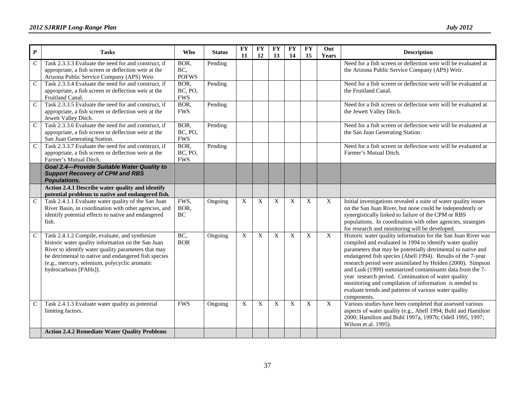| $\boldsymbol{P}$            | <b>Tasks</b>                                                                                                                                                                                                                                                                                  | <b>Who</b>                    | <b>Status</b> | <b>FY</b><br>11 | <b>FY</b><br>12 | <b>FY</b><br>13  | $\mathbf{F}\mathbf{Y}$<br>14 | <b>FY</b><br>15 | Out<br>Years | <b>Description</b>                                                                                                                                                                                                                                                                                                                                                                                                                                                                                                                                                          |
|-----------------------------|-----------------------------------------------------------------------------------------------------------------------------------------------------------------------------------------------------------------------------------------------------------------------------------------------|-------------------------------|---------------|-----------------|-----------------|------------------|------------------------------|-----------------|--------------|-----------------------------------------------------------------------------------------------------------------------------------------------------------------------------------------------------------------------------------------------------------------------------------------------------------------------------------------------------------------------------------------------------------------------------------------------------------------------------------------------------------------------------------------------------------------------------|
| $\mathcal{C}_{\mathcal{C}}$ | Task 2.3.3.3 Evaluate the need for and construct, if<br>appropriate, a fish screen or deflection weir at the<br>Arizona Public Service Company (APS) Weir.                                                                                                                                    | BOR,<br>BC,<br><b>POFWS</b>   | Pending       |                 |                 |                  |                              |                 |              | Need for a fish screen or deflection weir will be evaluated at<br>the Arizona Public Service Company (APS) Weir.                                                                                                                                                                                                                                                                                                                                                                                                                                                            |
| $\cal C$                    | Task 2.3.3.4 Evaluate the need for and construct, if<br>appropriate, a fish screen or deflection weir at the<br>Fruitland Canal.                                                                                                                                                              | BOR.<br>BC, PO,<br><b>FWS</b> | Pending       |                 |                 |                  |                              |                 |              | Need for a fish screen or deflection weir will be evaluated at<br>the Fruitland Canal.                                                                                                                                                                                                                                                                                                                                                                                                                                                                                      |
| $\cal C$                    | Task 2.3.3.5 Evaluate the need for and construct, if<br>appropriate, a fish screen or deflection weir at the<br>Jewett Valley Ditch.                                                                                                                                                          | BOR,<br><b>FWS</b>            | Pending       |                 |                 |                  |                              |                 |              | Need for a fish screen or deflection weir will be evaluated at<br>the Jewett Valley Ditch.                                                                                                                                                                                                                                                                                                                                                                                                                                                                                  |
| $\cal C$                    | Task 2.3.3.6 Evaluate the need for and construct, if<br>appropriate, a fish screen or deflection weir at the<br>San Juan Generating Station.                                                                                                                                                  | BOR,<br>BC, PO,<br><b>FWS</b> | Pending       |                 |                 |                  |                              |                 |              | Need for a fish screen or deflection weir will be evaluated at<br>the San Juan Generating Station.                                                                                                                                                                                                                                                                                                                                                                                                                                                                          |
| $\overline{C}$              | Task 2.3.3.7 Evaluate the need for and construct, if<br>appropriate, a fish screen or deflection weir at the<br>Farmer's Mutual Ditch.                                                                                                                                                        | BOR,<br>BC, PO,<br><b>FWS</b> | Pending       |                 |                 |                  |                              |                 |              | Need for a fish screen or deflection weir will be evaluated at<br>Farmer's Mutual Ditch.                                                                                                                                                                                                                                                                                                                                                                                                                                                                                    |
|                             | <b>Goal 2.4-Provide Suitable Water Quality to</b><br><b>Support Recovery of CPM and RBS</b><br><b>Populations.</b>                                                                                                                                                                            |                               |               |                 |                 |                  |                              |                 |              |                                                                                                                                                                                                                                                                                                                                                                                                                                                                                                                                                                             |
|                             | Action 2.4.1 Describe water quality and identify<br>potential problems to native and endangered fish.                                                                                                                                                                                         |                               |               |                 |                 |                  |                              |                 |              |                                                                                                                                                                                                                                                                                                                                                                                                                                                                                                                                                                             |
| $\cal C$                    | Task 2.4.1.1 Evaluate water quality of the San Juan<br>River Basin, in coordination with other agencies, and<br>identify potential effects to native and endangered<br>fish.                                                                                                                  | FWS,<br>BOR,<br>BC            | Ongoing       | X               | X               | X                | X                            | X               | X            | Initial investigations revealed a suite of water quality issues<br>on the San Juan River, but none could be independently or<br>synergistically linked to failure of the CPM or RBS<br>populations. In coordination with other agencies, strategies<br>for research and monitoring will be developed.                                                                                                                                                                                                                                                                       |
| $\,$                        | Task 2.4.1.2 Compile, evaluate, and synthesize<br>historic water quality information on the San Juan<br>River to identify water quality parameters that may<br>be detrimental to native and endangered fish species<br>(e.g., mercury, selenium, polycyclic aromatic<br>hydrocarbons [PAHs]). | BC,<br><b>BOR</b>             | Ongoing       | X               | X               | $\boldsymbol{X}$ | X                            | X               | $\mathbf X$  | Historic water quality information for the San Juan River was<br>compiled and evaluated in 1994 to identify water quality<br>parameters that may be potentially detrimental to native and<br>endangered fish species (Abell 1994). Results of the 7-year<br>research period were assimilated by Holden (2000). Simpson<br>and Lusk (1999) summarized contaminants data from the 7-<br>year research period. Continuation of water quality<br>monitoring and compilation of information is needed to<br>evaluate trends and patterns of various water quality<br>components. |
| $\,$                        | Task 2.4.1.3 Evaluate water quality as potential<br>limiting factors.                                                                                                                                                                                                                         | <b>FWS</b>                    | Ongoing       | X               | X               | X                | X                            | X               | $\mathbf X$  | Various studies have been completed that assessed various<br>aspects of water quality (e.g., Abell 1994; Buhl and Hamilton<br>2000; Hamilton and Buhl 1997a, 1997b; Odell 1995, 1997;<br>Wilson et al. 1995).                                                                                                                                                                                                                                                                                                                                                               |
|                             | <b>Action 2.4.2 Remediate Water Quality Problems</b>                                                                                                                                                                                                                                          |                               |               |                 |                 |                  |                              |                 |              |                                                                                                                                                                                                                                                                                                                                                                                                                                                                                                                                                                             |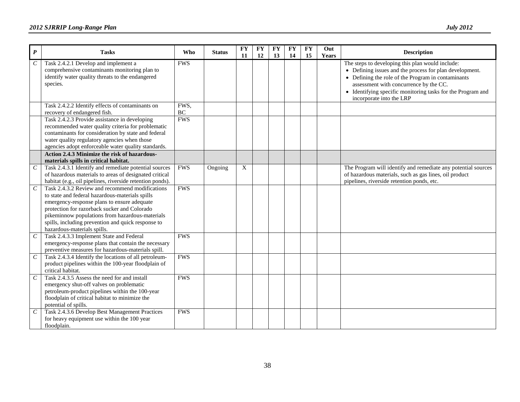| $\boldsymbol{P}$            | <b>Tasks</b>                                                                                                                                                                                                                                                                                                                              | Who              | <b>Status</b> | <b>FY</b><br>11 | <b>FY</b><br>12 | <b>FY</b><br>13 | <b>FY</b><br>14 | <b>FY</b><br>15 | Out<br>Years | <b>Description</b>                                                                                                                                                                                                                                                                                     |
|-----------------------------|-------------------------------------------------------------------------------------------------------------------------------------------------------------------------------------------------------------------------------------------------------------------------------------------------------------------------------------------|------------------|---------------|-----------------|-----------------|-----------------|-----------------|-----------------|--------------|--------------------------------------------------------------------------------------------------------------------------------------------------------------------------------------------------------------------------------------------------------------------------------------------------------|
| $\mathcal C$                | Task 2.4.2.1 Develop and implement a<br>comprehensive contaminants monitoring plan to<br>identify water quality threats to the endangered<br>species.                                                                                                                                                                                     | <b>FWS</b>       |               |                 |                 |                 |                 |                 |              | The steps to developing this plan would include:<br>• Defining issues and the process for plan development.<br>• Defining the role of the Program in contaminants<br>assessment with concurrence by the CC.<br>• Identifying specific monitoring tasks for the Program and<br>incorporate into the LRP |
|                             | Task 2.4.2.2 Identify effects of contaminants on<br>recovery of endangered fish.                                                                                                                                                                                                                                                          | FWS,<br>$\rm BC$ |               |                 |                 |                 |                 |                 |              |                                                                                                                                                                                                                                                                                                        |
|                             | Task 2.4.2.3 Provide assistance in developing<br>recommended water quality criteria for problematic<br>contaminants for consideration by state and federal<br>water quality regulatory agencies when those<br>agencies adopt enforceable water quality standards.                                                                         | <b>FWS</b>       |               |                 |                 |                 |                 |                 |              |                                                                                                                                                                                                                                                                                                        |
|                             | Action 2.4.3 Minimize the risk of hazardous-<br>materials spills in critical habitat.                                                                                                                                                                                                                                                     |                  |               |                 |                 |                 |                 |                 |              |                                                                                                                                                                                                                                                                                                        |
| $\mathcal C$                | Task 2.4.3.1 Identify and remediate potential sources<br>of hazardous materials to areas of designated critical<br>habitat (e.g., oil pipelines, riverside retention ponds).                                                                                                                                                              | <b>FWS</b>       | Ongoing       | X               |                 |                 |                 |                 |              | The Program will identify and remediate any potential sources<br>of hazardous materials, such as gas lines, oil product<br>pipelines, riverside retention ponds, etc.                                                                                                                                  |
| $\mathcal C$                | Task 2.4.3.2 Review and recommend modifications<br>to state and federal hazardous-materials spills<br>emergency-response plans to ensure adequate<br>protection for razorback sucker and Colorado<br>pikeminnow populations from hazardous-materials<br>spills, including prevention and quick response to<br>hazardous-materials spills. | <b>FWS</b>       |               |                 |                 |                 |                 |                 |              |                                                                                                                                                                                                                                                                                                        |
| $\mathcal{C}_{0}^{0}$       | Task 2.4.3.3 Implement State and Federal<br>emergency-response plans that contain the necessary<br>preventive measures for hazardous-materials spill.                                                                                                                                                                                     | <b>FWS</b>       |               |                 |                 |                 |                 |                 |              |                                                                                                                                                                                                                                                                                                        |
| $\mathcal{C}_{\mathcal{C}}$ | Task 2.4.3.4 Identify the locations of all petroleum-<br>product pipelines within the 100-year floodplain of<br>critical habitat.                                                                                                                                                                                                         | <b>FWS</b>       |               |                 |                 |                 |                 |                 |              |                                                                                                                                                                                                                                                                                                        |
| $\cal C$                    | Task 2.4.3.5 Assess the need for and install<br>emergency shut-off valves on problematic<br>petroleum-product pipelines within the 100-year<br>floodplain of critical habitat to minimize the<br>potential of spills.                                                                                                                     | <b>FWS</b>       |               |                 |                 |                 |                 |                 |              |                                                                                                                                                                                                                                                                                                        |
| $\mathcal C$                | Task 2.4.3.6 Develop Best Management Practices<br>for heavy equipment use within the 100 year<br>floodplain.                                                                                                                                                                                                                              | <b>FWS</b>       |               |                 |                 |                 |                 |                 |              |                                                                                                                                                                                                                                                                                                        |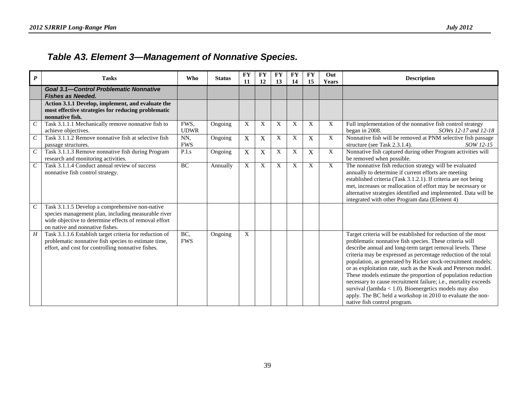### *Table A3. Element 3—Management of Nonnative Species.*

<span id="page-42-0"></span>

| $\boldsymbol{P}$            | <b>Tasks</b>                                                                                                                                                          | <b>Who</b>          | <b>Status</b> | <b>FY</b><br>11 | <b>FY</b><br>12 | <b>FY</b><br>13 | <b>FY</b><br>14 | <b>FY</b><br>15 | Out<br><b>Years</b> | <b>Description</b>                                                                                                                                                                                                                                                                                                                                                                                                                                                                                                                                                                                                                                                                      |
|-----------------------------|-----------------------------------------------------------------------------------------------------------------------------------------------------------------------|---------------------|---------------|-----------------|-----------------|-----------------|-----------------|-----------------|---------------------|-----------------------------------------------------------------------------------------------------------------------------------------------------------------------------------------------------------------------------------------------------------------------------------------------------------------------------------------------------------------------------------------------------------------------------------------------------------------------------------------------------------------------------------------------------------------------------------------------------------------------------------------------------------------------------------------|
|                             | <b>Goal 3.1-Control Problematic Nonnative</b><br><b>Fishes as Needed.</b>                                                                                             |                     |               |                 |                 |                 |                 |                 |                     |                                                                                                                                                                                                                                                                                                                                                                                                                                                                                                                                                                                                                                                                                         |
|                             | Action 3.1.1 Develop, implement, and evaluate the<br>most effective strategies for reducing problematic<br>nonnative fish.                                            |                     |               |                 |                 |                 |                 |                 |                     |                                                                                                                                                                                                                                                                                                                                                                                                                                                                                                                                                                                                                                                                                         |
| $\overline{C}$              | Task 3.1.1.1 Mechanically remove nonnative fish to<br>achieve objectives.                                                                                             | FWS,<br><b>UDWR</b> | Ongoing       | X               | X               | X               | X               | X               | $\mathbf{X}$        | Full implementation of the nonnative fish control strategy<br>began in 2008.<br>SOWs 12-17 and 12-18                                                                                                                                                                                                                                                                                                                                                                                                                                                                                                                                                                                    |
| $\mathcal{C}_{\mathcal{C}}$ | Task 3.1.1.2 Remove nonnative fish at selective fish<br>passage structures.                                                                                           | NN,<br><b>FWS</b>   | Ongoing       | $\mathbf X$     | X               | X               | X               | $\mathbf X$     | $\overline{X}$      | Nonnative fish will be removed at PNM selective fish passage<br>structure (see Task 2.3.1.4).<br>SOW 12-15                                                                                                                                                                                                                                                                                                                                                                                                                                                                                                                                                                              |
| $\,$                        | Task 3.1.1.3 Remove nonnative fish during Program<br>research and monitoring activities.                                                                              | P.I.s               | Ongoing       | $\mathbf X$     | X               | X               | X               | $\mathbf X$     | $\mathbf X$         | Nonnative fish captured during other Program activities will<br>be removed when possible.                                                                                                                                                                                                                                                                                                                                                                                                                                                                                                                                                                                               |
| $\mathcal{C}_{0}^{0}$<br>С  | Task 3.1.1.4 Conduct annual review of success<br>nonnative fish control strategy.<br>Task 3.1.1.5 Develop a comprehensive non-native                                  | BC                  | Annually      | X               | X               | X               | X               | X               | X                   | The nonnative fish reduction strategy will be evaluated<br>annually to determine if current efforts are meeting<br>established criteria (Task 3.1.2.1). If criteria are not being<br>met, increases or reallocation of effort may be necessary or<br>alternative strategies identified and implemented. Data will be<br>integrated with other Program data (Element 4)                                                                                                                                                                                                                                                                                                                  |
|                             | species management plan, including measurable river<br>wide objective to determine effects of removal effort<br>on native and nonnative fishes.                       |                     |               |                 |                 |                 |                 |                 |                     |                                                                                                                                                                                                                                                                                                                                                                                                                                                                                                                                                                                                                                                                                         |
| H                           | Task 3.1.1.6 Establish target criteria for reduction of<br>problematic nonnative fish species to estimate time,<br>effort, and cost for controlling nonnative fishes. | BC,<br><b>FWS</b>   | Ongoing       | X               |                 |                 |                 |                 |                     | Target criteria will be established for reduction of the most<br>problematic nonnative fish species. These criteria will<br>describe annual and long-term target removal levels. These<br>criteria may be expressed as percentage reduction of the total<br>population, as generated by Ricker stock-recruitment models;<br>or as exploitation rate, such as the Kwak and Peterson model.<br>These models estimate the proportion of population reduction<br>necessary to cause recruitment failure; i.e., mortality exceeds<br>survival (lambda < $1.0$ ). Bioenergetics models may also<br>apply. The BC held a workshop in 2010 to evaluate the non-<br>native fish control program. |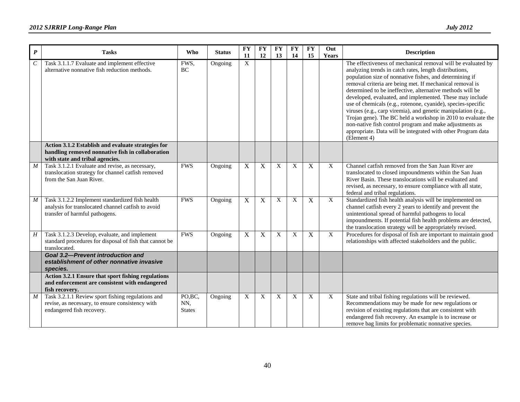| $\pmb{P}$        | <b>Tasks</b>                                                                                                                              | <b>Who</b>                      | <b>Status</b> | <b>FY</b><br>11           | <b>FY</b><br>12 | <b>FY</b><br>13 | <b>FY</b><br>14 | <b>FY</b><br>15 | Out<br><b>Years</b> | <b>Description</b>                                                                                                                                                                                                                                                                                                                                                                                                                                                                                                                                                                                                                                                                                                |
|------------------|-------------------------------------------------------------------------------------------------------------------------------------------|---------------------------------|---------------|---------------------------|-----------------|-----------------|-----------------|-----------------|---------------------|-------------------------------------------------------------------------------------------------------------------------------------------------------------------------------------------------------------------------------------------------------------------------------------------------------------------------------------------------------------------------------------------------------------------------------------------------------------------------------------------------------------------------------------------------------------------------------------------------------------------------------------------------------------------------------------------------------------------|
| $\boldsymbol{C}$ | Task 3.1.1.7 Evaluate and implement effective<br>alternative nonnative fish reduction methods.                                            | FWS,<br><b>BC</b>               | Ongoing       | X                         |                 |                 |                 |                 |                     | The effectiveness of mechanical removal will be evaluated by<br>analyzing trends in catch rates, length distributions,<br>population size of nonnative fishes, and determining if<br>removal criteria are being met. If mechanical removal is<br>determined to be ineffective, alternative methods will be<br>developed, evaluated, and implemented. These may include<br>use of chemicals (e.g., rotenone, cyanide), species-specific<br>viruses (e.g., carp viremia), and genetic manipulation (e.g.,<br>Trojan gene). The BC held a workshop in 2010 to evaluate the<br>non-native fish control program and make adjustments as<br>appropriate. Data will be integrated with other Program data<br>(Element 4) |
|                  | Action 3.1.2 Establish and evaluate strategies for<br>handling removed nonnative fish in collaboration<br>with state and tribal agencies. |                                 |               |                           |                 |                 |                 |                 |                     |                                                                                                                                                                                                                                                                                                                                                                                                                                                                                                                                                                                                                                                                                                                   |
| $\boldsymbol{M}$ | Task 3.1.2.1 Evaluate and revise, as necessary,<br>translocation strategy for channel catfish removed<br>from the San Juan River.         | <b>FWS</b>                      | Ongoing       | $\mathbf X$               | X               | X               | X               | $\mathbf X$     | X                   | Channel catfish removed from the San Juan River are<br>translocated to closed impoundments within the San Juan<br>River Basin. These translocations will be evaluated and<br>revised, as necessary, to ensure compliance with all state,<br>federal and tribal regulations.                                                                                                                                                                                                                                                                                                                                                                                                                                       |
| $\boldsymbol{M}$ | Task 3.1.2.2 Implement standardized fish health<br>analysis for translocated channel catfish to avoid<br>transfer of harmful pathogens.   | <b>FWS</b>                      | Ongoing       | $\mathbf X$               | $\mathbf X$     | X               | X               | $\mathbf X$     | X                   | Standardized fish health analysis will be implemented on<br>channel catfish every 2 years to identify and prevent the<br>unintentional spread of harmful pathogens to local<br>impoundments. If potential fish health problems are detected,<br>the translocation strategy will be appropriately revised.                                                                                                                                                                                                                                                                                                                                                                                                         |
| H                | Task 3.1.2.3 Develop, evaluate, and implement<br>standard procedures for disposal of fish that cannot be<br>translocated.                 | <b>FWS</b>                      | Ongoing       | $\mathbf X$               | X               | X               | X               | $\mathbf X$     | X                   | Procedures for disposal of fish are important to maintain good<br>relationships with affected stakeholders and the public.                                                                                                                                                                                                                                                                                                                                                                                                                                                                                                                                                                                        |
|                  | <b>Goal 3.2-Prevent introduction and</b><br>establishment of other nonnative invasive<br>species.                                         |                                 |               |                           |                 |                 |                 |                 |                     |                                                                                                                                                                                                                                                                                                                                                                                                                                                                                                                                                                                                                                                                                                                   |
|                  | Action 3.2.1 Ensure that sport fishing regulations<br>and enforcement are consistent with endangered<br>fish recovery.                    |                                 |               |                           |                 |                 |                 |                 |                     |                                                                                                                                                                                                                                                                                                                                                                                                                                                                                                                                                                                                                                                                                                                   |
| $\boldsymbol{M}$ | Task 3.2.1.1 Review sport fishing regulations and<br>revise, as necessary, to ensure consistency with<br>endangered fish recovery.        | PO, BC,<br>NN,<br><b>States</b> | Ongoing       | $\boldsymbol{\mathrm{X}}$ | X               | X               | X               | X               | X                   | State and tribal fishing regulations will be reviewed.<br>Recommendations may be made for new regulations or<br>revision of existing regulations that are consistent with<br>endangered fish recovery. An example is to increase or<br>remove bag limits for problematic nonnative species.                                                                                                                                                                                                                                                                                                                                                                                                                       |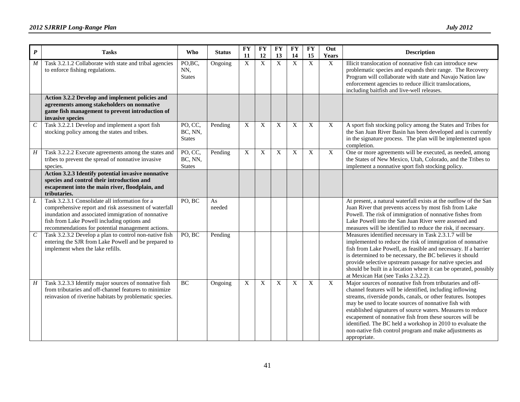| $\boldsymbol{P}$ | <b>Tasks</b>                                                                                                                                                                                                                                                      | Who                                 | <b>Status</b> | <b>FY</b><br>11           | <b>FY</b><br>12 | <b>FY</b><br>13 | <b>FY</b><br>14 | <b>FY</b><br>15 | Out<br>Years | <b>Description</b>                                                                                                                                                                                                                                                                                                                                                                                                                                                                                                |
|------------------|-------------------------------------------------------------------------------------------------------------------------------------------------------------------------------------------------------------------------------------------------------------------|-------------------------------------|---------------|---------------------------|-----------------|-----------------|-----------------|-----------------|--------------|-------------------------------------------------------------------------------------------------------------------------------------------------------------------------------------------------------------------------------------------------------------------------------------------------------------------------------------------------------------------------------------------------------------------------------------------------------------------------------------------------------------------|
| $\boldsymbol{M}$ | Task 3.2.1.2 Collaborate with state and tribal agencies<br>to enforce fishing regulations.                                                                                                                                                                        | PO,BC,<br>NN,<br><b>States</b>      | Ongoing       | $\boldsymbol{\mathrm{X}}$ | $\mathbf X$     | $\overline{X}$  | X               | $\overline{X}$  | X            | Illicit translocation of nonnative fish can introduce new<br>problematic species and expands their range. The Recovery<br>Program will collaborate with state and Navajo Nation law<br>enforcement agencies to reduce illicit translocations,<br>including baitfish and live-well releases.                                                                                                                                                                                                                       |
|                  | Action 3.2.2 Develop and implement policies and<br>agreements among stakeholders on nonnative<br>game fish management to prevent introduction of<br>invasive species                                                                                              |                                     |               |                           |                 |                 |                 |                 |              |                                                                                                                                                                                                                                                                                                                                                                                                                                                                                                                   |
| $\cal C$         | Task 3.2.2.1 Develop and implement a sport fish<br>stocking policy among the states and tribes.                                                                                                                                                                   | PO, CC,<br>BC, NN,<br><b>States</b> | Pending       | X                         | X               | X               | X               | X               | X            | A sport fish stocking policy among the States and Tribes for<br>the San Juan River Basin has been developed and is currently<br>in the signature process. The plan will be implemented upon<br>completion.                                                                                                                                                                                                                                                                                                        |
| H                | Task 3.2.2.2 Execute agreements among the states and<br>tribes to prevent the spread of nonnative invasive<br>species.                                                                                                                                            | PO, CC,<br>BC, NN,<br><b>States</b> | Pending       | $\overline{X}$            | $\mathbf X$     | X               | $\mathbf X$     | $\mathbf X$     | $\mathbf X$  | One or more agreements will be executed, as needed, among<br>the States of New Mexico, Utah, Colorado, and the Tribes to<br>implement a nonnative sport fish stocking policy.                                                                                                                                                                                                                                                                                                                                     |
|                  | Action 3.2.3 Identify potential invasive nonnative<br>species and control their introduction and<br>escapement into the main river, floodplain, and<br>tributaries.                                                                                               |                                     |               |                           |                 |                 |                 |                 |              |                                                                                                                                                                                                                                                                                                                                                                                                                                                                                                                   |
| L                | Task 3.2.3.1 Consolidate all information for a<br>comprehensive report and risk assessment of waterfall<br>inundation and associated immigration of nonnative<br>fish from Lake Powell including options and<br>recommendations for potential management actions. | PO, BC                              | As<br>needed  |                           |                 |                 |                 |                 |              | At present, a natural waterfall exists at the outflow of the San<br>Juan River that prevents access by most fish from Lake<br>Powell. The risk of immigration of nonnative fishes from<br>Lake Powell into the San Juan River were assessed and<br>measures will be identified to reduce the risk, if necessary.                                                                                                                                                                                                  |
| $\,$             | Task 3.2.3.2 Develop a plan to control non-native fish<br>entering the SJR from Lake Powell and be prepared to<br>implement when the lake refills.                                                                                                                | PO, BC                              | Pending       |                           |                 |                 |                 |                 |              | Measures identified necessary in Task 2.3.1.7 will be<br>implemented to reduce the risk of immigration of nonnative<br>fish from Lake Powell, as feasible and necessary. If a barrier<br>is determined to be necessary, the BC believes it should<br>provide selective upstream passage for native species and<br>should be built in a location where it can be operated, possibly<br>at Mexican Hat (see Tasks 2.3.2.2).                                                                                         |
| $H_{\rm}$        | Task 3.2.3.3 Identify major sources of nonnative fish<br>from tributaries and off-channel features to minimize<br>reinvasion of riverine habitats by problematic species.                                                                                         | <b>BC</b>                           | Ongoing       | $\mathbf X$               | X               | X               | X               | X               | X            | Major sources of nonnative fish from tributaries and off-<br>channel features will be identified, including inflowing<br>streams, riverside ponds, canals, or other features. Isotopes<br>may be used to locate sources of nonnative fish with<br>established signatures of source waters. Measures to reduce<br>escapement of nonnative fish from these sources will be<br>identified. The BC held a workshop in 2010 to evaluate the<br>non-native fish control program and make adjustments as<br>appropriate. |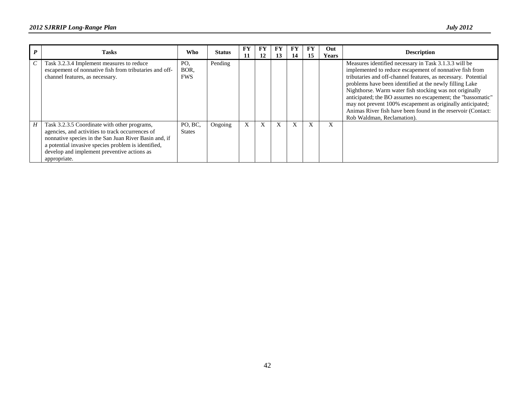|   | <b>Tasks</b>                                                                                                                                                                                                                                                                    | Who                       | <b>Status</b> | FY<br>11 | FY<br>12 | 13 | 14 | FY<br>15     | Out<br><b>Years</b> | <b>Description</b>                                                                                                                                                                                                                                                                                                                                                                                                                                                                                                                 |
|---|---------------------------------------------------------------------------------------------------------------------------------------------------------------------------------------------------------------------------------------------------------------------------------|---------------------------|---------------|----------|----------|----|----|--------------|---------------------|------------------------------------------------------------------------------------------------------------------------------------------------------------------------------------------------------------------------------------------------------------------------------------------------------------------------------------------------------------------------------------------------------------------------------------------------------------------------------------------------------------------------------------|
|   | Task 3.2.3.4 Implement measures to reduce<br>escapement of nonnative fish from tributaries and off-<br>channel features, as necessary.                                                                                                                                          | PO.<br>BOR.<br><b>FWS</b> | Pending       |          |          |    |    |              |                     | Measures identified necessary in Task 3.1.3.3 will be<br>implemented to reduce escapement of nonnative fish from<br>tributaries and off-channel features, as necessary. Potential<br>problems have been identified at the newly filling Lake<br>Nighthorse. Warm water fish stocking was not originally<br>anticipated; the BO assumes no escapement; the "bassomatic"<br>may not prevent 100% escapement as originally anticipated;<br>Animas River fish have been found in the reservoir (Contact:<br>Rob Waldman, Reclamation). |
| H | Task 3.2.3.5 Coordinate with other programs,<br>agencies, and activities to track occurrences of<br>nonnative species in the San Juan River Basin and, if<br>a potential invasive species problem is identified,<br>develop and implement preventive actions as<br>appropriate. | PO, BC,<br><b>States</b>  | Ongoing       | X        | X        | X  | X  | $\mathbf{X}$ | X                   |                                                                                                                                                                                                                                                                                                                                                                                                                                                                                                                                    |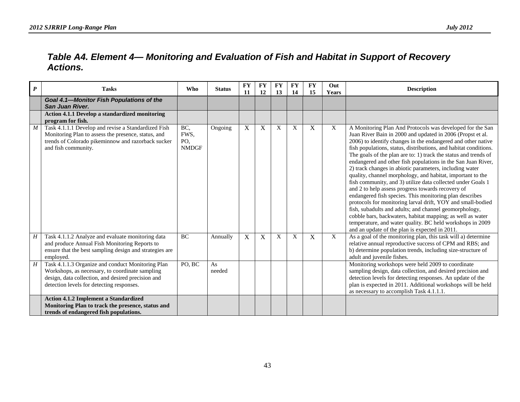<span id="page-46-0"></span>

| $\boldsymbol{P}$ | <b>Tasks</b>                                                                                                                                                                                            | Who                                | <b>Status</b> | <b>FY</b><br>11  | <b>FY</b><br>12 | FY<br>13    | <b>FY</b><br>14 | <b>FY</b><br>15 | Out<br><b>Years</b> | <b>Description</b>                                                                                                                                                                                                                                                                                                                                                                                                                                                                                                                                                                                                                                                                                                                                                                                                                                                                                                                                                                                           |
|------------------|---------------------------------------------------------------------------------------------------------------------------------------------------------------------------------------------------------|------------------------------------|---------------|------------------|-----------------|-------------|-----------------|-----------------|---------------------|--------------------------------------------------------------------------------------------------------------------------------------------------------------------------------------------------------------------------------------------------------------------------------------------------------------------------------------------------------------------------------------------------------------------------------------------------------------------------------------------------------------------------------------------------------------------------------------------------------------------------------------------------------------------------------------------------------------------------------------------------------------------------------------------------------------------------------------------------------------------------------------------------------------------------------------------------------------------------------------------------------------|
|                  | Goal 4.1-Monitor Fish Populations of the<br>San Juan River.                                                                                                                                             |                                    |               |                  |                 |             |                 |                 |                     |                                                                                                                                                                                                                                                                                                                                                                                                                                                                                                                                                                                                                                                                                                                                                                                                                                                                                                                                                                                                              |
|                  | <b>Action 4.1.1 Develop a standardized monitoring</b><br>program for fish.                                                                                                                              |                                    |               |                  |                 |             |                 |                 |                     |                                                                                                                                                                                                                                                                                                                                                                                                                                                                                                                                                                                                                                                                                                                                                                                                                                                                                                                                                                                                              |
| M                | Task 4.1.1.1 Develop and revise a Standardized Fish<br>Monitoring Plan to assess the presence, status, and<br>trends of Colorado pikeminnow and razorback sucker<br>and fish community.                 | BC,<br>FWS,<br>PO,<br><b>NMDGF</b> | Ongoing       | $\boldsymbol{X}$ | X               | $\mathbf X$ | X               | $\mathbf X$     | X                   | A Monitoring Plan And Protocols was developed for the San<br>Juan River Bain in 2000 and updated in 2006 (Propst et al.<br>2006) to identify changes in the endangered and other native<br>fish populations, status, distributions, and habitat conditions.<br>The goals of the plan are to: 1) track the status and trends of<br>endangered and other fish populations in the San Juan River,<br>2) track changes in abiotic parameters, including water<br>quality, channel morphology, and habitat, important to the<br>fish community, and 3) utilize data collected under Goals 1<br>and 2 to help assess progress towards recovery of<br>endangered fish species. This monitoring plan describes<br>protocols for monitoring larval drift, YOY and small-bodied<br>fish, subadults and adults; and channel geomorphology,<br>cobble bars, backwaters, habitat mapping; as well as water<br>temperature, and water quality. BC held workshops in 2009<br>and an update of the plan is expected in 2011. |
| H                | Task 4.1.1.2 Analyze and evaluate monitoring data<br>and produce Annual Fish Monitoring Reports to<br>ensure that the best sampling design and strategies are<br>employed.                              | BC                                 | Annually      | X                | X               | X           | X               | X               | $\boldsymbol{X}$    | As a goal of the monitoring plan, this task will a) determine<br>relative annual reproductive success of CPM and RBS; and<br>b) determine population trends, including size-structure of<br>adult and juvenile fishes.                                                                                                                                                                                                                                                                                                                                                                                                                                                                                                                                                                                                                                                                                                                                                                                       |
| H                | Task 4.1.1.3 Organize and conduct Monitoring Plan<br>Workshops, as necessary, to coordinate sampling<br>design, data collection, and desired precision and<br>detection levels for detecting responses. | PO, BC                             | As<br>needed  |                  |                 |             |                 |                 |                     | Monitoring workshops were held 2009 to coordinate<br>sampling design, data collection, and desired precision and<br>detection levels for detecting responses. An update of the<br>plan is expected in 2011. Additional workshops will be held<br>as necessary to accomplish Task 4.1.1.1.                                                                                                                                                                                                                                                                                                                                                                                                                                                                                                                                                                                                                                                                                                                    |
|                  | <b>Action 4.1.2 Implement a Standardized</b><br>Monitoring Plan to track the presence, status and<br>trends of endangered fish populations.                                                             |                                    |               |                  |                 |             |                 |                 |                     |                                                                                                                                                                                                                                                                                                                                                                                                                                                                                                                                                                                                                                                                                                                                                                                                                                                                                                                                                                                                              |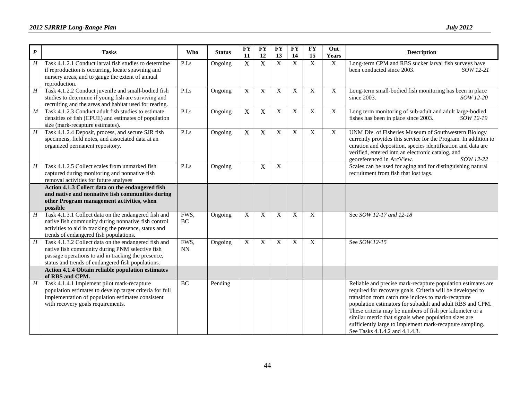| $\boldsymbol{P}$ | <b>Tasks</b>                                                                                                                                                                                                        | <b>Who</b> | <b>Status</b> | $\overline{\mathbf{F}}\mathbf{Y}$<br>11 | <b>FY</b><br>12 | <b>FY</b><br>13 | $\overline{\mathbf{F}}\mathbf{Y}$<br>14 | $\overline{\mathbf{F}}$<br>15 | Out<br>Years   | <b>Description</b>                                                                                                                                                                                                                                                                                                                                                                                                                                                 |
|------------------|---------------------------------------------------------------------------------------------------------------------------------------------------------------------------------------------------------------------|------------|---------------|-----------------------------------------|-----------------|-----------------|-----------------------------------------|-------------------------------|----------------|--------------------------------------------------------------------------------------------------------------------------------------------------------------------------------------------------------------------------------------------------------------------------------------------------------------------------------------------------------------------------------------------------------------------------------------------------------------------|
| H                | Task 4.1.2.1 Conduct larval fish studies to determine<br>if reproduction is occurring, locate spawning and<br>nursery areas, and to gauge the extent of annual<br>reproduction.                                     | P.I.s      | Ongoing       | $\overline{X}$                          | X               | $\overline{X}$  | $\overline{X}$                          | $\overline{X}$                | $\mathbf X$    | Long-term CPM and RBS sucker larval fish surveys have<br>been conducted since 2003.<br>SOW 12-21                                                                                                                                                                                                                                                                                                                                                                   |
| H                | Task 4.1.2.2 Conduct juvenile and small-bodied fish<br>studies to determine if young fish are surviving and<br>recruiting and the areas and habitat used for rearing.                                               | P.I.s      | Ongoing       | $\mathbf X$                             | X               | X               | X                                       | X                             | X              | Long-term small-bodied fish monitoring has been in place<br>SOW 12-20<br>since $2003$ .                                                                                                                                                                                                                                                                                                                                                                            |
| $\overline{M}$   | Task 4.1.2.3 Conduct adult fish studies to estimate<br>densities of fish (CPUE) and estimates of population<br>size (mark-recapture estimates).                                                                     | P.I.s      | Ongoing       | $\mathbf X$                             | $\mathbf X$     | X               | $\mathbf X$                             | $\mathbf X$                   | X              | Long term monitoring of sub-adult and adult large-bodied<br>fishes has been in place since 2003.<br>SOW 12-19                                                                                                                                                                                                                                                                                                                                                      |
| H                | Task 4.1.2.4 Deposit, process, and secure SJR fish<br>specimens, field notes, and associated data at an<br>organized permanent repository.                                                                          | P.I.s      | Ongoing       | $\overline{X}$                          | $\mathbf X$     | X               | X                                       | X                             | $\overline{X}$ | UNM Div. of Fisheries Museum of Southwestern Biology<br>currently provides this service for the Program. In addition to<br>curation and deposition, species identification and data are<br>verified, entered into an electronic catalog, and<br>georeferenced in ArcView.<br>SOW 12-22                                                                                                                                                                             |
| H                | Task 4.1.2.5 Collect scales from unmarked fish<br>captured during monitoring and nonnative fish<br>removal activities for future analyses                                                                           | P.I.s      | Ongoing       |                                         | X               | X               |                                         |                               |                | Scales can be used for aging and for distinguishing natural<br>recruitment from fish that lost tags.                                                                                                                                                                                                                                                                                                                                                               |
|                  | Action 4.1.3 Collect data on the endangered fish<br>and native and nonnative fish communities during<br>other Program management activities, when<br>possible                                                       |            |               |                                         |                 |                 |                                         |                               |                |                                                                                                                                                                                                                                                                                                                                                                                                                                                                    |
| H                | Task 4.1.3.1 Collect data on the endangered fish and<br>native fish community during nonnative fish control<br>activities to aid in tracking the presence, status and<br>trends of endangered fish populations.     | FWS,<br>BC | Ongoing       | X                                       | X               | X               | X                                       | X                             |                | See SOW 12-17 and 12-18                                                                                                                                                                                                                                                                                                                                                                                                                                            |
| $\overline{H}$   | Task 4.1.3.2 Collect data on the endangered fish and<br>native fish community during PNM selective fish<br>passage operations to aid in tracking the presence,<br>status and trends of endangered fish populations. | FWS,<br>NN | Ongoing       | X                                       | X               | $\mathbf X$     | $\mathbf X$                             | X                             |                | See SOW 12-15                                                                                                                                                                                                                                                                                                                                                                                                                                                      |
|                  | Action 4.1.4 Obtain reliable population estimates<br>of RBS and CPM.                                                                                                                                                |            |               |                                         |                 |                 |                                         |                               |                |                                                                                                                                                                                                                                                                                                                                                                                                                                                                    |
| H                | Task 4.1.4.1 Implement pilot mark-recapture<br>population estimates to develop target criteria for full<br>implementation of population estimates consistent<br>with recovery goals requirements.                   | BC         | Pending       |                                         |                 |                 |                                         |                               |                | Reliable and precise mark-recapture population estimates are<br>required for recovery goals. Criteria will be developed to<br>transition from catch rate indices to mark-recapture<br>population estimators for subadult and adult RBS and CPM.<br>These criteria may be numbers of fish per kilometer or a<br>similar metric that signals when population sizes are<br>sufficiently large to implement mark-recapture sampling.<br>See Tasks 4.1.4.2 and 4.1.4.3. |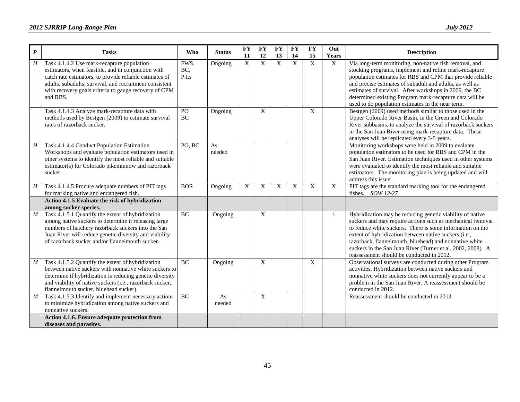| $\boldsymbol{P}$ | <b>Tasks</b>                                                                                                                                                                                                                                                                                | <b>Who</b>           | <b>Status</b> | <b>FY</b><br>11 | <b>FY</b><br>12 | <b>FY</b><br>13 | <b>FY</b><br>14 | <b>FY</b><br>15           | Out<br>Years | <b>Description</b>                                                                                                                                                                                                                                                                                                                                                                                                   |
|------------------|---------------------------------------------------------------------------------------------------------------------------------------------------------------------------------------------------------------------------------------------------------------------------------------------|----------------------|---------------|-----------------|-----------------|-----------------|-----------------|---------------------------|--------------|----------------------------------------------------------------------------------------------------------------------------------------------------------------------------------------------------------------------------------------------------------------------------------------------------------------------------------------------------------------------------------------------------------------------|
| H                | Task 4.1.4.2 Use mark-recapture population<br>estimators, when feasible, and in conjunction with<br>catch rate estimators, to provide reliable estimates of<br>adults, subadults, survival, and recruitment consistent<br>with recovery goals criteria to gauge recovery of CPM<br>and RBS. | FWS,<br>BC,<br>P.I.s | Ongoing       | $\overline{X}$  | $\overline{X}$  | $\mathbf X$     | $\mathbf{X}$    | X                         | X            | Via long-term monitoring, non-native fish removal, and<br>stocking programs, implement and refine mark-recapture<br>population estimates for RBS and CPM that provide reliable<br>and precise estimates of subadult and adults, as well as<br>estimates of survival. After workshops in 2009, the BC<br>determined existing Program mark-recapture data will be<br>used to do population estimates in the near term. |
|                  | Task 4.1.4.3 Analyze mark-recapture data with<br>methods used by Bestgen (2009) to estimate survival<br>rates of razorback sucker.                                                                                                                                                          | PO<br>BC             | Ongoing       |                 | X               |                 |                 | $\boldsymbol{\mathrm{X}}$ |              | Bestgen (2009) used methods similar to those used in the<br>Upper Colorado River Basin, in the Green and Colorado<br>River subbasins, to analyze the survival of razorback suckers<br>in the San Juan River using mark-recapture data. These<br>analyses will be replicated every 3-5 years.                                                                                                                         |
| $\boldsymbol{H}$ | Task 4.1.4.4 Conduct Population Estimation<br>Workshops and evaluate population estimators used in<br>other systems to identify the most reliable and suitable<br>estimator(s) for Colorado pikeminnow and razorback<br>sucker.                                                             | PO, BC               | As<br>needed  |                 |                 |                 |                 |                           |              | Monitoring workshops were held in 2009 to evaluate<br>population estimators to be used for RBS and CPM in the<br>San Juan River. Estimation techniques used in other systems<br>were evaluated to identify the most reliable and suitable<br>estimators. The monitoring plan is being updated and will<br>address this issue.                                                                                        |
| H                | Task 4.1.4.5 Procure adequate numbers of PIT tags<br>for marking native and endangered fish.                                                                                                                                                                                                | <b>BOR</b>           | Ongoing       | X               | X               | X               | $\mathbf{X}$    | X                         | X            | PIT tags are the standard marking tool for the endangered<br>fishes. $SOW12-27$                                                                                                                                                                                                                                                                                                                                      |
|                  | Action 4.1.5 Evaluate the risk of hybridization<br>among sucker species.                                                                                                                                                                                                                    |                      |               |                 |                 |                 |                 |                           |              |                                                                                                                                                                                                                                                                                                                                                                                                                      |
| M                | Task 4.1.5.1 Quantify the extent of hybridization<br>among native suckers to determine if releasing large<br>numbers of hatchery razorback suckers into the San<br>Juan River will reduce genetic diversity and viability<br>of razorback sucker and/or flannelmouth sucker.                | <b>BC</b>            | Ongoing       |                 | X               |                 |                 |                           |              | Hybridization may be reducing genetic viability of native<br>suckers and may require actions such as mechanical removal<br>to reduce white suckers. There is some information on the<br>extent of hybridization between native suckers (i.e.,<br>razorback, flannelmouth, bluehead) and nonnative white<br>suckers in the San Juan River (Turner et al. 2002, 2008). A<br>reassessment should be conducted in 2012.  |
| $\boldsymbol{M}$ | Task 4.1.5.2 Quantify the extent of hybridization<br>between native suckers with nonnative white suckers to<br>determine if hybridization is reducing genetic diversity<br>and viability of native suckers (i.e., razorback sucker,<br>flannelmouth sucker, bluehead sucker).               | BC                   | Ongoing       |                 | X               |                 |                 | X                         |              | Observational surveys are conducted during other Program<br>activities. Hybridization between native suckers and<br>nonnative white suckers does not currently appear to be a<br>problem in the San Juan River. A reassessment should be<br>conducted in 2012.                                                                                                                                                       |
| M                | Task 4.1.5.3 Identify and implement necessary actions<br>to minimize hybridization among native suckers and<br>nonnative suckers.                                                                                                                                                           | BC                   | As<br>needed  |                 | X               |                 |                 |                           |              | Reassessment should be conducted in 2012.                                                                                                                                                                                                                                                                                                                                                                            |
|                  | Action 4.1.6. Ensure adequate protection from<br>diseases and parasites.                                                                                                                                                                                                                    |                      |               |                 |                 |                 |                 |                           |              |                                                                                                                                                                                                                                                                                                                                                                                                                      |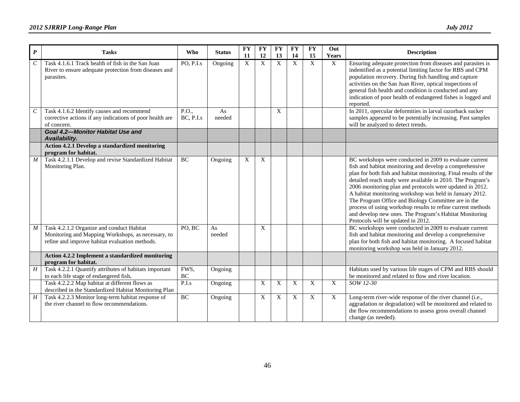| $\boldsymbol{P}$      | <b>Tasks</b>                                                                                                                                      | Who                | <b>Status</b> | <b>FY</b><br>11 | <b>FY</b><br>12 | <b>FY</b><br>13 | <b>FY</b><br>14 | <b>FY</b><br>15           | Out<br>Years   | Description                                                                                                                                                                                                                                                                                                                                                                                                                                                                                                                                                                                      |
|-----------------------|---------------------------------------------------------------------------------------------------------------------------------------------------|--------------------|---------------|-----------------|-----------------|-----------------|-----------------|---------------------------|----------------|--------------------------------------------------------------------------------------------------------------------------------------------------------------------------------------------------------------------------------------------------------------------------------------------------------------------------------------------------------------------------------------------------------------------------------------------------------------------------------------------------------------------------------------------------------------------------------------------------|
| $\cal C$              | Task 4.1.6.1 Track health of fish in the San Juan<br>River to ensure adequate protection from diseases and<br>parasites.                          | PO, P.I.s          | Ongoing       | $\overline{X}$  | $\overline{X}$  | $\overline{X}$  | $\mathbf X$     | $\overline{X}$            | X              | Ensuring adequate protection from diseases and parasites is<br>indentified as a potential limiting factor for RBS and CPM<br>population recovery. During fish handling and capture<br>activities on the San Juan River, optical inspections of<br>general fish health and condition is conducted and any<br>indication of poor health of endangered fishes is logged and<br>reported.                                                                                                                                                                                                            |
| $\mathcal{C}_{0}^{0}$ | Task 4.1.6.2 Identify causes and recommend<br>corrective actions if any indications of poor health are<br>of concern.                             | P.O.,<br>BC, P.I.s | As<br>needed  |                 |                 | X               |                 |                           |                | In 2011, opercular deformities in larval razorback sucker<br>samples appeared to be potentially increasing. Past samples<br>will be analyzed to detect trends.                                                                                                                                                                                                                                                                                                                                                                                                                                   |
|                       | Goal 4.2-Monitor Habitat Use and<br>Availability.                                                                                                 |                    |               |                 |                 |                 |                 |                           |                |                                                                                                                                                                                                                                                                                                                                                                                                                                                                                                                                                                                                  |
|                       | Action 4.2.1 Develop a standardized monitoring<br>program for habitat.                                                                            |                    |               |                 |                 |                 |                 |                           |                |                                                                                                                                                                                                                                                                                                                                                                                                                                                                                                                                                                                                  |
| $\boldsymbol{M}$      | Task 4.2.1.1 Develop and revise Standardized Habitat<br>Monitoring Plan.                                                                          | BC                 | Ongoing       | X               | X               |                 |                 |                           |                | BC workshops were conducted in 2009 to evaluate current<br>fish and habitat monitoring and develop a comprehensive<br>plan for both fish and habitat monitoring. Final results of the<br>detailed reach study were available in 2010. The Program's<br>2006 monitoring plan and protocols were updated in 2012.<br>A habitat monitoring workshop was held in January 2012.<br>The Program Office and Biology Committee are in the<br>process of using workshop results to refine current methods<br>and develop new ones. The Program's Habitat Monitoring<br>Protocols will be updated in 2012. |
| $\boldsymbol{M}$      | Task 4.2.1.2 Organize and conduct Habitat<br>Monitoring and Mapping Workshops, as necessary, to<br>refine and improve habitat evaluation methods. | PO, BC             | As<br>needed  |                 | X               |                 |                 |                           |                | BC workshops were conducted in 2009 to evaluate current<br>fish and habitat monitoring and develop a comprehensive<br>plan for both fish and habitat monitoring. A focused habitat<br>monitoring workshop was held in January 2012.                                                                                                                                                                                                                                                                                                                                                              |
|                       | Action 4.2.2 Implement a standardized monitoring<br>program for habitat.                                                                          |                    |               |                 |                 |                 |                 |                           |                |                                                                                                                                                                                                                                                                                                                                                                                                                                                                                                                                                                                                  |
| $\boldsymbol{H}$      | Task 4.2.2.1 Quantify attributes of habitats important<br>to each life stage of endangered fish.                                                  | FWS,<br><b>BC</b>  | Ongoing       |                 |                 |                 |                 |                           |                | Habitats used by various life stages of CPM and RBS should<br>be monitored and related to flow and river location.                                                                                                                                                                                                                                                                                                                                                                                                                                                                               |
|                       | Task 4.2.2.2 Map habitat at different flows as<br>described in the Standardized Habitat Monitoring Plan                                           | P.I.s              | Ongoing       |                 | X               | X               | X               | $\overline{X}$            | $\overline{X}$ | SOW 12-30                                                                                                                                                                                                                                                                                                                                                                                                                                                                                                                                                                                        |
| H                     | Task 4.2.2.3 Monitor long-term habitat response of<br>the river channel to flow recommendations.                                                  | <b>BC</b>          | Ongoing       |                 | X               | X               | X               | $\boldsymbol{\mathrm{X}}$ | $\overline{X}$ | Long-term river-wide response of the river channel (i.e.,<br>aggradation or degradation) will be monitored and related to<br>the flow recommendations to assess gross overall channel<br>change (as needed).                                                                                                                                                                                                                                                                                                                                                                                     |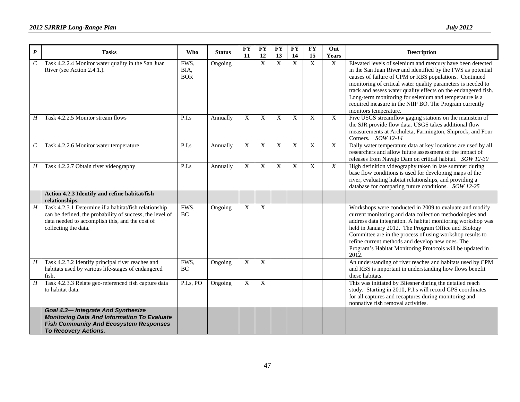| $\boldsymbol{P}$ | <b>Tasks</b>                                                                                                                                                                                 | Who                        | <b>Status</b> | <b>FY</b><br>11 | <b>FY</b><br>12 | <b>FY</b><br>13 | <b>FY</b><br>14           | <b>FY</b><br>15 | Out<br><b>Years</b> | <b>Description</b>                                                                                                                                                                                                                                                                                                                                                                                                                                                  |
|------------------|----------------------------------------------------------------------------------------------------------------------------------------------------------------------------------------------|----------------------------|---------------|-----------------|-----------------|-----------------|---------------------------|-----------------|---------------------|---------------------------------------------------------------------------------------------------------------------------------------------------------------------------------------------------------------------------------------------------------------------------------------------------------------------------------------------------------------------------------------------------------------------------------------------------------------------|
| C                | Task 4.2.2.4 Monitor water quality in the San Juan<br>River (see Action 2.4.1.).                                                                                                             | FWS,<br>BIA,<br><b>BOR</b> | Ongoing       |                 | $\mathbf X$     | $\overline{X}$  | $\overline{X}$            | $\mathbf X$     | $\overline{X}$      | Elevated levels of selenium and mercury have been detected<br>in the San Juan River and identified by the FWS as potential<br>causes of failure of CPM or RBS populations. Continued<br>monitoring of critical water quality parameters is needed to<br>track and assess water quality effects on the endangered fish.<br>Long-term monitoring for selenium and temperature is a<br>required measure in the NIIP BO. The Program currently<br>monitors temperature. |
| Η                | Task 4.2.2.5 Monitor stream flows                                                                                                                                                            | P.I.s                      | Annually      | X               | X               | X               | $\boldsymbol{\mathrm{X}}$ | $\mathbf X$     | $\mathbf X$         | Five USGS streamflow gaging stations on the mainstem of<br>the SJR provide flow data. USGS takes additional flow<br>measurements at Archuleta, Farmington, Shiprock, and Four<br>Corners. SOW 12-14                                                                                                                                                                                                                                                                 |
| $\,c\,$          | Task 4.2.2.6 Monitor water temperature                                                                                                                                                       | P.I.s                      | Annually      | X               | X               | X               | $\boldsymbol{\mathrm{X}}$ | $\mathbf X$     | $\overline{X}$      | Daily water temperature data at key locations are used by all<br>researchers and allow future assessment of the impact of<br>releases from Navajo Dam on critical habitat. SOW 12-30                                                                                                                                                                                                                                                                                |
| $H \mid$         | Task 4.2.2.7 Obtain river videography                                                                                                                                                        | P.I.s                      | Annually      | $\mathbf X$     | X               | X               | X                         | X               | X                   | High definition videography taken in late summer during<br>base flow conditions is used for developing maps of the<br>river, evaluating habitat relationships, and providing a<br>database for comparing future conditions. SOW 12-25                                                                                                                                                                                                                               |
|                  | Action 4.2.3 Identify and refine habitat/fish<br>relationships.                                                                                                                              |                            |               |                 |                 |                 |                           |                 |                     |                                                                                                                                                                                                                                                                                                                                                                                                                                                                     |
| H                | Task 4.2.3.1 Determine if a habitat/fish relationship<br>can be defined, the probability of success, the level of<br>data needed to accomplish this, and the cost of<br>collecting the data. | FWS,<br>$\rm BC$           | Ongoing       | X               | X               |                 |                           |                 |                     | Workshops were conducted in 2009 to evaluate and modify<br>current monitoring and data collection methodologies and<br>address data integration. A habitat monitoring workshop was<br>held in January 2012. The Program Office and Biology<br>Committee are in the process of using workshop results to<br>refine current methods and develop new ones. The<br>Program's Habitat Monitoring Protocols will be updated in<br>2012.                                   |
| Η                | Task 4.2.3.2 Identify principal river reaches and<br>habitats used by various life-stages of endangered<br>fish.                                                                             | FWS,<br><b>BC</b>          | Ongoing       | X               | $\overline{X}$  |                 |                           |                 |                     | An understanding of river reaches and habitats used by CPM<br>and RBS is important in understanding how flows benefit<br>these habitats.                                                                                                                                                                                                                                                                                                                            |
| H                | Task 4.2.3.3 Relate geo-referenced fish capture data<br>to habitat data.                                                                                                                     | P.I.s, PO                  | Ongoing       | X               | X               |                 |                           |                 |                     | This was initiated by Bliesner during the detailed reach<br>study. Starting in 2010, P.I.s will record GPS coordinates<br>for all captures and recaptures during monitoring and<br>nonnative fish removal activities.                                                                                                                                                                                                                                               |
|                  | <b>Goal 4.3-Integrate And Synthesize</b><br><b>Monitoring Data And Information To Evaluate</b><br><b>Fish Community And Ecosystem Responses</b><br><b>To Recovery Actions.</b>               |                            |               |                 |                 |                 |                           |                 |                     |                                                                                                                                                                                                                                                                                                                                                                                                                                                                     |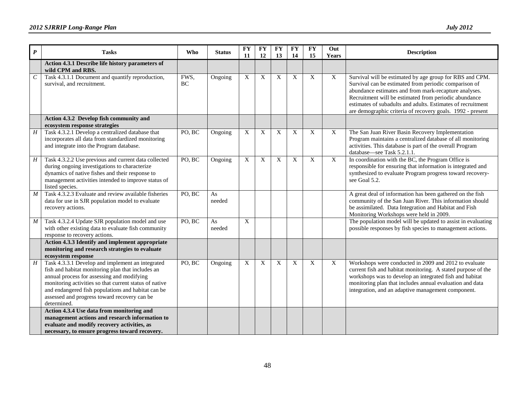| $\boldsymbol{P}$ | <b>Tasks</b>                                                                                                                                                                                                                                                                                                                       | <b>Who</b> | <b>Status</b> | <b>FY</b><br>11 | <b>FY</b><br>12 | <b>FY</b><br>13 | <b>FY</b><br>14 | <b>FY</b><br>15 | Out<br>Years   | <b>Description</b>                                                                                                                                                                                                                                                                                                                                               |
|------------------|------------------------------------------------------------------------------------------------------------------------------------------------------------------------------------------------------------------------------------------------------------------------------------------------------------------------------------|------------|---------------|-----------------|-----------------|-----------------|-----------------|-----------------|----------------|------------------------------------------------------------------------------------------------------------------------------------------------------------------------------------------------------------------------------------------------------------------------------------------------------------------------------------------------------------------|
|                  | Action 4.3.1 Describe life history parameters of<br>wild CPM and RBS.                                                                                                                                                                                                                                                              |            |               |                 |                 |                 |                 |                 |                |                                                                                                                                                                                                                                                                                                                                                                  |
| $\cal C$         | Task 4.3.1.1 Document and quantify reproduction,<br>survival, and recruitment.                                                                                                                                                                                                                                                     | FWS,<br>BC | Ongoing       | X               | X               | X               | X               | X               | $\mathbf X$    | Survival will be estimated by age group for RBS and CPM.<br>Survival can be estimated from periodic comparison of<br>abundance estimates and from mark-recapture analyses.<br>Recruitment will be estimated from periodic abundance<br>estimates of subadults and adults. Estimates of recruitment<br>are demographic criteria of recovery goals. 1992 - present |
|                  | Action 4.3.2 Develop fish community and<br>ecosystem response strategies                                                                                                                                                                                                                                                           |            |               |                 |                 |                 |                 |                 |                |                                                                                                                                                                                                                                                                                                                                                                  |
| $\boldsymbol{H}$ | Task 4.3.2.1 Develop a centralized database that<br>incorporates all data from standardized monitoring<br>and integrate into the Program database.                                                                                                                                                                                 | PO, BC     | Ongoing       | X               | X               | X               | X               | X               | $\overline{X}$ | The San Juan River Basin Recovery Implementation<br>Program maintains a centralized database of all monitoring<br>activities. This database is part of the overall Program<br>database-see Task 5.2.1.1.                                                                                                                                                         |
| $\boldsymbol{H}$ | Task 4.3.2.2 Use previous and current data collected<br>during ongoing investigations to characterize<br>dynamics of native fishes and their response to<br>management activities intended to improve status of<br>listed species.                                                                                                 | PO, BC     | Ongoing       | X               | X               | X               | $\mathbf X$     | X               | $\mathbf X$    | In coordination with the BC, the Program Office is<br>responsible for ensuring that information is integrated and<br>synthesized to evaluate Program progress toward recovery-<br>see Goal 5.2.                                                                                                                                                                  |
| $\boldsymbol{M}$ | Task 4.3.2.3 Evaluate and review available fisheries<br>data for use in SJR population model to evaluate<br>recovery actions.                                                                                                                                                                                                      | PO, BC     | As<br>needed  |                 |                 |                 |                 |                 |                | A great deal of information has been gathered on the fish<br>community of the San Juan River. This information should<br>be assimilated. Data Integration and Habitat and Fish<br>Monitoring Workshops were held in 2009.                                                                                                                                        |
| $\boldsymbol{M}$ | Task 4.3.2.4 Update SJR population model and use<br>with other existing data to evaluate fish community<br>response to recovery actions.                                                                                                                                                                                           | PO, BC     | As<br>needed  | X               |                 |                 |                 |                 |                | The population model will be updated to assist in evaluating<br>possible responses by fish species to management actions.                                                                                                                                                                                                                                        |
|                  | Action 4.3.3 Identify and implement appropriate<br>monitoring and research strategies to evaluate<br>ecosystem response                                                                                                                                                                                                            |            |               |                 |                 |                 |                 |                 |                |                                                                                                                                                                                                                                                                                                                                                                  |
| $\boldsymbol{H}$ | Task 4.3.3.1 Develop and implement an integrated<br>fish and habitat monitoring plan that includes an<br>annual process for assessing and modifying<br>monitoring activities so that current status of native<br>and endangered fish populations and habitat can be<br>assessed and progress toward recovery can be<br>determined. | PO, BC     | Ongoing       | $\mathbf X$     | X               | X               | X               | X               | $\mathbf X$    | Workshops were conducted in 2009 and 2012 to evaluate<br>current fish and habitat monitoring. A stated purpose of the<br>workshops was to develop an integrated fish and habitat<br>monitoring plan that includes annual evaluation and data<br>integration, and an adaptive management component.                                                               |
|                  | Action 4.3.4 Use data from monitoring and<br>management actions and research information to<br>evaluate and modify recovery activities, as<br>necessary, to ensure progress toward recovery.                                                                                                                                       |            |               |                 |                 |                 |                 |                 |                |                                                                                                                                                                                                                                                                                                                                                                  |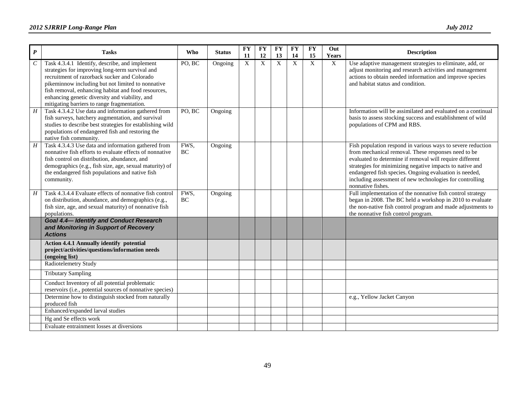| $\boldsymbol{P}$            | <b>Tasks</b>                                                                                                                                                                                                                                                                                                                                                   | Who               | <b>Status</b> | <b>FY</b><br>11 | <b>FY</b><br>12 | FY<br>13 | <b>FY</b><br>14 | <b>FY</b><br>15 | Out<br>Years | <b>Description</b>                                                                                                                                                                                                                                                                                                                                                                    |
|-----------------------------|----------------------------------------------------------------------------------------------------------------------------------------------------------------------------------------------------------------------------------------------------------------------------------------------------------------------------------------------------------------|-------------------|---------------|-----------------|-----------------|----------|-----------------|-----------------|--------------|---------------------------------------------------------------------------------------------------------------------------------------------------------------------------------------------------------------------------------------------------------------------------------------------------------------------------------------------------------------------------------------|
| $\mathcal{C}_{\mathcal{C}}$ | Task 4.3.4.1 Identify, describe, and implement<br>strategies for improving long-term survival and<br>recruitment of razorback sucker and Colorado<br>pikeminnow including but not limited to nonnative<br>fish removal, enhancing habitat and food resources,<br>enhancing genetic diversity and viability, and<br>mitigating barriers to range fragmentation. | PO, BC            | Ongoing       | X               | X               | X        | X               | X               | X            | Use adaptive management strategies to eliminate, add, or<br>adjust monitoring and research activities and management<br>actions to obtain needed information and improve species<br>and habitat status and condition.                                                                                                                                                                 |
| $\boldsymbol{H}$            | Task 4.3.4.2 Use data and information gathered from<br>fish surveys, hatchery augmentation, and survival<br>studies to describe best strategies for establishing wild<br>populations of endangered fish and restoring the<br>native fish community.                                                                                                            | PO, BC            | Ongoing       |                 |                 |          |                 |                 |              | Information will be assimilated and evaluated on a continual<br>basis to assess stocking success and establishment of wild<br>populations of CPM and RBS.                                                                                                                                                                                                                             |
| $\overline{H}$              | Task 4.3.4.3 Use data and information gathered from<br>nonnative fish efforts to evaluate effects of nonnative<br>fish control on distribution, abundance, and<br>demographics (e.g., fish size, age, sexual maturity) of<br>the endangered fish populations and native fish<br>community.                                                                     | FWS,<br>BC        | Ongoing       |                 |                 |          |                 |                 |              | Fish population respond in various ways to severe reduction<br>from mechanical removal. These responses need to be<br>evaluated to determine if removal will require different<br>strategies for minimizing negative impacts to native and<br>endangered fish species. Ongoing evaluation is needed,<br>including assessment of new technologies for controlling<br>nonnative fishes. |
| $\overline{H}$              | Task 4.3.4.4 Evaluate effects of nonnative fish control<br>on distribution, abundance, and demographics (e.g.,<br>fish size, age, and sexual maturity) of nonnative fish<br>populations.                                                                                                                                                                       | FWS,<br><b>BC</b> | Ongoing       |                 |                 |          |                 |                 |              | Full implementation of the nonnative fish control strategy<br>began in 2008. The BC held a workshop in 2010 to evaluate<br>the non-native fish control program and made adjustments to<br>the nonnative fish control program.                                                                                                                                                         |
|                             | <b>Goal 4.4-Identify and Conduct Research</b><br>and Monitoring in Support of Recovery<br><b>Actions</b>                                                                                                                                                                                                                                                       |                   |               |                 |                 |          |                 |                 |              |                                                                                                                                                                                                                                                                                                                                                                                       |
|                             | <b>Action 4.4.1 Annually identify potential</b><br>project/activities/questions/information needs<br>(ongoing list)                                                                                                                                                                                                                                            |                   |               |                 |                 |          |                 |                 |              |                                                                                                                                                                                                                                                                                                                                                                                       |
|                             | Radiotelemetry Study                                                                                                                                                                                                                                                                                                                                           |                   |               |                 |                 |          |                 |                 |              |                                                                                                                                                                                                                                                                                                                                                                                       |
|                             | <b>Tributary Sampling</b>                                                                                                                                                                                                                                                                                                                                      |                   |               |                 |                 |          |                 |                 |              |                                                                                                                                                                                                                                                                                                                                                                                       |
|                             | Conduct Inventory of all potential problematic<br>reservoirs (i.e., potential sources of nonnative species)                                                                                                                                                                                                                                                    |                   |               |                 |                 |          |                 |                 |              |                                                                                                                                                                                                                                                                                                                                                                                       |
|                             | Determine how to distinguish stocked from naturally<br>produced fish                                                                                                                                                                                                                                                                                           |                   |               |                 |                 |          |                 |                 |              | e.g., Yellow Jacket Canyon                                                                                                                                                                                                                                                                                                                                                            |
|                             | Enhanced/expanded larval studies                                                                                                                                                                                                                                                                                                                               |                   |               |                 |                 |          |                 |                 |              |                                                                                                                                                                                                                                                                                                                                                                                       |
|                             | Hg and Se effects work                                                                                                                                                                                                                                                                                                                                         |                   |               |                 |                 |          |                 |                 |              |                                                                                                                                                                                                                                                                                                                                                                                       |
|                             | Evaluate entrainment losses at diversions                                                                                                                                                                                                                                                                                                                      |                   |               |                 |                 |          |                 |                 |              |                                                                                                                                                                                                                                                                                                                                                                                       |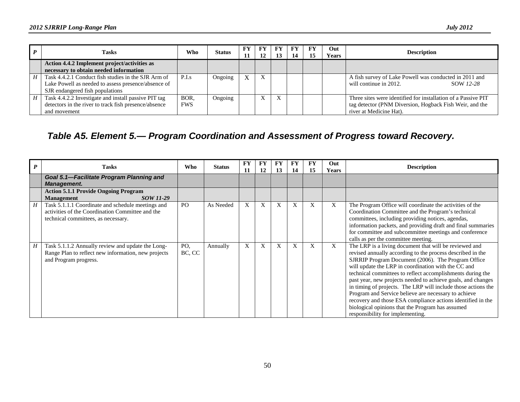|   | <b>Tasks</b>                                                                                                                                  | Who                | <b>Status</b> | <b>FY</b><br>11 | FY<br>12 | <b>FY</b><br>13 | FY<br>14 | <b>FY</b> | Out<br><b>Years</b> | <b>Description</b>                                                                                                                                  |
|---|-----------------------------------------------------------------------------------------------------------------------------------------------|--------------------|---------------|-----------------|----------|-----------------|----------|-----------|---------------------|-----------------------------------------------------------------------------------------------------------------------------------------------------|
|   | Action 4.4.2 Implement project/activities as<br>necessary to obtain needed information                                                        |                    |               |                 |          |                 |          |           |                     |                                                                                                                                                     |
| H | Task 4.4.2.1 Conduct fish studies in the SJR Arm of<br>Lake Powell as needed to assess presence/absence of<br>SJR endangered fish populations | P.I.s              | Ongoing       | X               | X        |                 |          |           |                     | A fish survey of Lake Powell was conducted in 2011 and<br>will continue in 2012.<br>SOW 12-28                                                       |
|   | Task 4.4.2.2 Investigate and install passive PIT tag<br>detectors in the river to track fish presence/absence<br>and movement                 | BOR.<br><b>FWS</b> | Ongoing       |                 |          |                 |          |           |                     | Three sites were identified for installation of a Passive PIT<br>tag detector (PNM Diversion, Hogback Fish Weir, and the<br>river at Medicine Hat). |

### *Table A5. Element 5.— Program Coordination and Assessment of Progress toward Recovery.*

<span id="page-53-0"></span>

| $\boldsymbol{P}$ | <b>Tasks</b>                                                                                                                                 | <b>Who</b>     | <b>Status</b> | <b>FY</b><br>11 | <b>FY</b><br>12 | FY<br>13 | <b>FY</b><br>14 | <b>FY</b><br>15 | Out          | <b>Description</b>                                                                                                                                                                                                                                                                                                                                                                                                                                                                                                                                                                                                                              |
|------------------|----------------------------------------------------------------------------------------------------------------------------------------------|----------------|---------------|-----------------|-----------------|----------|-----------------|-----------------|--------------|-------------------------------------------------------------------------------------------------------------------------------------------------------------------------------------------------------------------------------------------------------------------------------------------------------------------------------------------------------------------------------------------------------------------------------------------------------------------------------------------------------------------------------------------------------------------------------------------------------------------------------------------------|
|                  | Goal 5.1-Facilitate Program Planning and<br><b>Management.</b>                                                                               |                |               |                 |                 |          |                 |                 | <b>Years</b> |                                                                                                                                                                                                                                                                                                                                                                                                                                                                                                                                                                                                                                                 |
|                  | <b>Action 5.1.1 Provide Ongoing Program</b><br>SOW 11-29<br><b>Management</b>                                                                |                |               |                 |                 |          |                 |                 |              |                                                                                                                                                                                                                                                                                                                                                                                                                                                                                                                                                                                                                                                 |
| H                | Task 5.1.1.1 Coordinate and schedule meetings and<br>activities of the Coordination Committee and the<br>technical committees, as necessary. | P <sub>O</sub> | As Needed     | $\mathbf{X}$    | X               | X        | X               | X               | X            | The Program Office will coordinate the activities of the<br>Coordination Committee and the Program's technical<br>committees, including providing notices, agendas,<br>information packets, and providing draft and final summaries<br>for committee and subcommittee meetings and conference<br>calls as per the committee meeting.                                                                                                                                                                                                                                                                                                            |
| H                | Task 5.1.1.2 Annually review and update the Long-<br>Range Plan to reflect new information, new projects<br>and Program progress.            | PO,<br>BC, CC  | Annually      | X               | X               | X        | X               | X               | X            | The LRP is a living document that will be reviewed and<br>revised annually according to the process described in the<br>SJRRIP Program Document (2006). The Program Office<br>will update the LRP in coordination with the CC and<br>technical committees to reflect accomplishments during the<br>past year, new projects needed to achieve goals, and changes<br>in timing of projects. The LRP will include those actions the<br>Program and Service believe are necessary to achieve<br>recovery and those ESA compliance actions identified in the<br>biological opinions that the Program has assumed<br>responsibility for implementing. |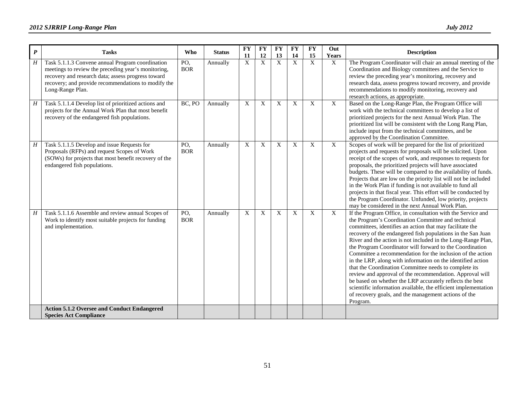| $\boldsymbol{P}$ | <b>Tasks</b>                                                                                                                                                                                                                             | <b>Who</b>        | <b>Status</b> | <b>FY</b><br>11 | <b>FY</b><br>12 | <b>FY</b><br>13 | <b>FY</b><br>14 | <b>FY</b><br>15 | Out<br>Years | <b>Description</b>                                                                                                                                                                                                                                                                                                                                                                                                                                                                                                                                                                                                                                                                                                                                                                                                           |
|------------------|------------------------------------------------------------------------------------------------------------------------------------------------------------------------------------------------------------------------------------------|-------------------|---------------|-----------------|-----------------|-----------------|-----------------|-----------------|--------------|------------------------------------------------------------------------------------------------------------------------------------------------------------------------------------------------------------------------------------------------------------------------------------------------------------------------------------------------------------------------------------------------------------------------------------------------------------------------------------------------------------------------------------------------------------------------------------------------------------------------------------------------------------------------------------------------------------------------------------------------------------------------------------------------------------------------------|
| H                | Task 5.1.1.3 Convene annual Program coordination<br>meetings to review the preceding year's monitoring,<br>recovery and research data; assess progress toward<br>recovery; and provide recommendations to modify the<br>Long-Range Plan. | PO,<br><b>BOR</b> | Annually      | $\overline{X}$  | $\mathbf{X}$    | $\overline{X}$  | $\mathbf X$     | $\mathbf{X}$    | X            | The Program Coordinator will chair an annual meeting of the<br>Coordination and Biology committees and the Service to<br>review the preceding year's monitoring, recovery and<br>research data, assess progress toward recovery, and provide<br>recommendations to modify monitoring, recovery and<br>research actions, as appropriate.                                                                                                                                                                                                                                                                                                                                                                                                                                                                                      |
| H                | Task 5.1.1.4 Develop list of prioritized actions and<br>projects for the Annual Work Plan that most benefit<br>recovery of the endangered fish populations.                                                                              | BC, PO            | Annually      | X               | X               | X               | X               | X               | X            | Based on the Long-Range Plan, the Program Office will<br>work with the technical committees to develop a list of<br>prioritized projects for the next Annual Work Plan. The<br>prioritized list will be consistent with the Long Rang Plan,<br>include input from the technical committees, and be<br>approved by the Coordination Committee.                                                                                                                                                                                                                                                                                                                                                                                                                                                                                |
| H                | Task 5.1.1.5 Develop and issue Requests for<br>Proposals (RFPs) and request Scopes of Work<br>(SOWs) for projects that most benefit recovery of the<br>endangered fish populations.                                                      | PO,<br><b>BOR</b> | Annually      | X               | X               | X               | X               | X               | X            | Scopes of work will be prepared for the list of prioritized<br>projects and requests for proposals will be solicited. Upon<br>receipt of the scopes of work, and responses to requests for<br>proposals, the prioritized projects will have associated<br>budgets. These will be compared to the availability of funds.<br>Projects that are low on the priority list will not be included<br>in the Work Plan if funding is not available to fund all<br>projects in that fiscal year. This effort will be conducted by<br>the Program Coordinator. Unfunded, low priority, projects<br>may be considered in the next Annual Work Plan.                                                                                                                                                                                     |
| H                | Task 5.1.1.6 Assemble and review annual Scopes of<br>Work to identify most suitable projects for funding<br>and implementation.                                                                                                          | PO,<br><b>BOR</b> | Annually      | X               | X               | X               | X               | X               | X            | If the Program Office, in consultation with the Service and<br>the Program's Coordination Committee and technical<br>committees, identifies an action that may facilitate the<br>recovery of the endangered fish populations in the San Juan<br>River and the action is not included in the Long-Range Plan,<br>the Program Coordinator will forward to the Coordination<br>Committee a recommendation for the inclusion of the action<br>in the LRP, along with information on the identified action<br>that the Coordination Committee needs to complete its<br>review and approval of the recommendation. Approval will<br>be based on whether the LRP accurately reflects the best<br>scientific information available, the efficient implementation<br>of recovery goals, and the management actions of the<br>Program. |
|                  | <b>Action 5.1.2 Oversee and Conduct Endangered</b><br><b>Species Act Compliance</b>                                                                                                                                                      |                   |               |                 |                 |                 |                 |                 |              |                                                                                                                                                                                                                                                                                                                                                                                                                                                                                                                                                                                                                                                                                                                                                                                                                              |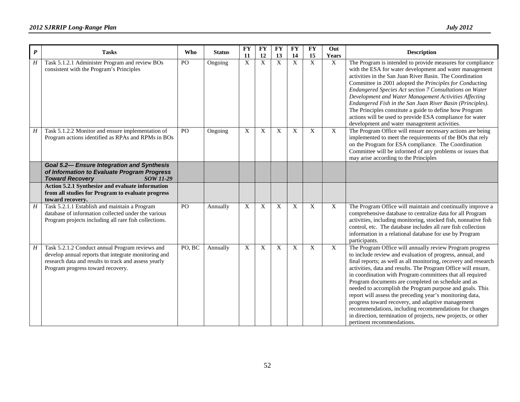| $\boldsymbol{P}$ | <b>Tasks</b>                                                                                                                                                                                                | <b>Who</b> | <b>Status</b> | <b>FY</b><br>11 | <b>FY</b><br>12 | <b>FY</b><br>13 | <b>FY</b><br>14 | <b>FY</b><br>15           | Out<br><b>Years</b>       | <b>Description</b>                                                                                                                                                                                                                                                                                                                                                                                                                                                                                                                                                                                                                                                                                                 |
|------------------|-------------------------------------------------------------------------------------------------------------------------------------------------------------------------------------------------------------|------------|---------------|-----------------|-----------------|-----------------|-----------------|---------------------------|---------------------------|--------------------------------------------------------------------------------------------------------------------------------------------------------------------------------------------------------------------------------------------------------------------------------------------------------------------------------------------------------------------------------------------------------------------------------------------------------------------------------------------------------------------------------------------------------------------------------------------------------------------------------------------------------------------------------------------------------------------|
| $\overline{H}$   | Task 5.1.2.1 Administer Program and review BOs<br>consistent with the Program's Principles                                                                                                                  | PO         | Ongoing       | $\overline{X}$  | $\mathbf X$     | $\overline{X}$  | $\overline{X}$  | $\mathbf X$               | $\overline{X}$            | The Program is intended to provide measures for compliance<br>with the ESA for water development and water management<br>activities in the San Juan River Basin. The Coordination<br>Committee in 2001 adopted the Principles for Conducting<br>Endangered Species Act section 7 Consultations on Water<br>Development and Water Management Activities Affecting<br>Endangered Fish in the San Juan River Basin (Principles).<br>The Principles constitute a guide to define how Program<br>actions will be used to provide ESA compliance for water<br>development and water management activities.                                                                                                               |
| $H_{\rm}$        | Task 5.1.2.2 Monitor and ensure implementation of<br>Program actions identified as RPAs and RPMs in BOs<br><b>Goal 5.2- Ensure Integration and Synthesis</b><br>of Information to Evaluate Program Progress | PO         | Ongoing       | X               | $\mathbf X$     | X               | X               | $\boldsymbol{\mathrm{X}}$ | X                         | The Program Office will ensure necessary actions are being<br>implemented to meet the requirements of the BOs that rely<br>on the Program for ESA compliance. The Coordination<br>Committee will be informed of any problems or issues that<br>may arise according to the Principles                                                                                                                                                                                                                                                                                                                                                                                                                               |
|                  | <b>Toward Recovery</b><br><b>SOW 11-29</b>                                                                                                                                                                  |            |               |                 |                 |                 |                 |                           |                           |                                                                                                                                                                                                                                                                                                                                                                                                                                                                                                                                                                                                                                                                                                                    |
|                  | Action 5.2.1 Synthesize and evaluate information<br>from all studies for Program to evaluate progress<br>toward recovery.                                                                                   |            |               |                 |                 |                 |                 |                           |                           |                                                                                                                                                                                                                                                                                                                                                                                                                                                                                                                                                                                                                                                                                                                    |
| H                | Task 5.2.1.1 Establish and maintain a Program<br>database of information collected under the various<br>Program projects including all rare fish collections.                                               | PO         | Annually      | X               | X               | X               | X               | $\boldsymbol{\mathrm{X}}$ | X                         | The Program Office will maintain and continually improve a<br>comprehensive database to centralize data for all Program<br>activities, including monitoring, stocked fish, nonnative fish<br>control, etc. The database includes all rare fish collection<br>information in a relational database for use by Program<br>participants.                                                                                                                                                                                                                                                                                                                                                                              |
| H                | Task 5.2.1.2 Conduct annual Program reviews and<br>develop annual reports that integrate monitoring and<br>research data and results to track and assess yearly<br>Program progress toward recovery.        | PO, BC     | Annually      | X               | $\mathbf X$     | X               | X               | X                         | $\boldsymbol{\mathrm{X}}$ | The Program Office will annually review Program progress<br>to include review and evaluation of progress, annual, and<br>final reports; as well as all monitoring, recovery and research<br>activities, data and results. The Program Office will ensure,<br>in coordination with Program committees that all required<br>Program documents are completed on schedule and as<br>needed to accomplish the Program purpose and goals. This<br>report will assess the preceding year's monitoring data,<br>progress toward recovery, and adaptive management<br>recommendations, including recommendations for changes<br>in direction, termination of projects, new projects, or other<br>pertinent recommendations. |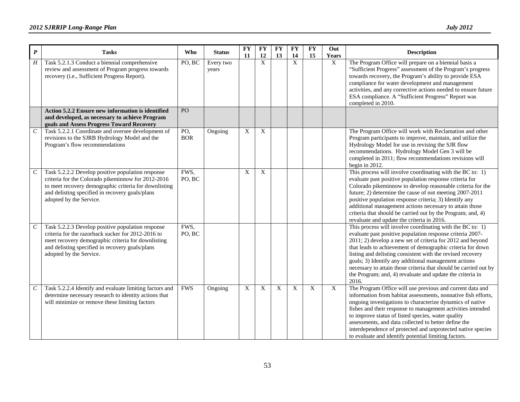| $\boldsymbol{P}$ | <b>Tasks</b>                                                                                                                                                                                                                                   | Who               | <b>Status</b>      | <b>FY</b><br>11 | <b>FY</b><br>12  | <b>FY</b><br>13 | <b>FY</b><br>14 | <b>FY</b><br>15 | Out<br><b>Years</b> | <b>Description</b>                                                                                                                                                                                                                                                                                                                                                                                                                                                                                                 |
|------------------|------------------------------------------------------------------------------------------------------------------------------------------------------------------------------------------------------------------------------------------------|-------------------|--------------------|-----------------|------------------|-----------------|-----------------|-----------------|---------------------|--------------------------------------------------------------------------------------------------------------------------------------------------------------------------------------------------------------------------------------------------------------------------------------------------------------------------------------------------------------------------------------------------------------------------------------------------------------------------------------------------------------------|
| H                | Task 5.2.1.3 Conduct a biennial comprehensive<br>review and assessment of Program progress towards<br>recovery (i.e., Sufficient Progress Report).                                                                                             | PO, BC            | Every two<br>years |                 | $\boldsymbol{X}$ |                 | $\mathbf X$     |                 | X                   | The Program Office will prepare on a biennial basis a<br>"Sufficient Progress" assessment of the Program's progress<br>towards recovery, the Program's ability to provide ESA<br>compliance for water development and management<br>activities, and any corrective actions needed to ensure future<br>ESA compliance. A "Sufficient Progress" Report was<br>completed in 2010.                                                                                                                                     |
|                  | Action 5.2.2 Ensure new information is identified<br>and developed, as necessary to achieve Program<br>goals and Assess Progress Toward Recovery                                                                                               | PO                |                    |                 |                  |                 |                 |                 |                     |                                                                                                                                                                                                                                                                                                                                                                                                                                                                                                                    |
| $\boldsymbol{C}$ | Task 5.2.2.1 Coordinate and oversee development of<br>revisions to the SJRB Hydrology Model and the<br>Program's flow recommendations                                                                                                          | PO,<br><b>BOR</b> | Ongoing            | X               | X                |                 |                 |                 |                     | The Program Office will work with Reclamation and other<br>Program participants to improve, maintain, and utilize the<br>Hydrology Model for use in revising the SJR flow<br>recommendations. Hydrology Model Gen 3 will be<br>completed in 2011; flow recommendations revisions will<br>begin in 2012.                                                                                                                                                                                                            |
| $\mathcal C$     | Task 5.2.2.2 Develop positive population response<br>criteria for the Colorado pikeminnow for 2012-2016<br>to meet recovery demographic criteria for downlisting<br>and delisting specified in recovery goals/plans<br>adopted by the Service. | FWS,<br>PO, BC    |                    | X               | X                |                 |                 |                 |                     | This process will involve coordinating with the BC to: 1)<br>evaluate past positive population response criteria for<br>Colorado pikeminnow to develop reasonable criteria for the<br>future; 2) determine the cause of not meeting 2007-2011<br>positive population response criteria; 3) Identify any<br>additional management actions necessary to attain those<br>criteria that should be carried out by the Program; and, 4)<br>revaluate and update the criteria in 2016.                                    |
| $\,c\,$          | Task 5.2.2.3 Develop positive population response<br>criteria for the razorback sucker for 2012-2016 to<br>meet recovery demographic criteria for downlisting<br>and delisting specified in recovery goals/plans<br>adopted by the Service.    | FWS,<br>PO, BC    |                    |                 |                  |                 |                 |                 |                     | This process will involve coordinating with the BC to: 1)<br>evaluate past positive population response criteria 2007-<br>2011; 2) develop a new set of criteria for 2012 and beyond<br>that leads to achievement of demographic criteria for down<br>listing and delisting consistent with the revised recovery<br>goals; 3) Identify any additional management actions<br>necessary to attain those criteria that should be carried out by<br>the Program; and, 4) revaluate and update the criteria in<br>2016. |
| $\mathcal C$     | Task 5.2.2.4 Identify and evaluate limiting factors and<br>determine necessary research to identity actions that<br>will minimize or remove these limiting factors                                                                             | <b>FWS</b>        | Ongoing            | X               | X                | X               | $\mathbf X$     | X               | X                   | The Program Office will use previous and current data and<br>information from habitat assessments, nonnative fish efforts,<br>ongoing investigations to characterize dynamics of native<br>fishes and their response to management activities intended<br>to improve status of listed species, water quality<br>assessments, and data collected to better define the<br>interdependence of protected and unprotected native species<br>to evaluate and identify potential limiting factors.                        |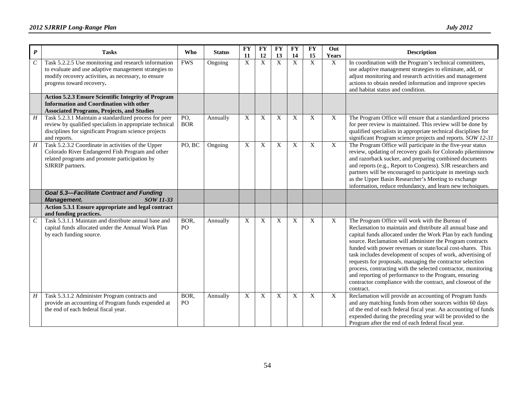| $\pmb{P}$             | <b>Tasks</b>                                                                                                                                                                                      | <b>Who</b>        | <b>Status</b> | <b>FY</b><br>11           | <b>FY</b><br>12 | <b>FY</b><br>13 | <b>FY</b><br>14 | <b>FY</b><br>15 | Out<br><b>Years</b> | <b>Description</b>                                                                                                                                                                                                                                                                                                                                                                                                                                                                                                                                                                                                                          |
|-----------------------|---------------------------------------------------------------------------------------------------------------------------------------------------------------------------------------------------|-------------------|---------------|---------------------------|-----------------|-----------------|-----------------|-----------------|---------------------|---------------------------------------------------------------------------------------------------------------------------------------------------------------------------------------------------------------------------------------------------------------------------------------------------------------------------------------------------------------------------------------------------------------------------------------------------------------------------------------------------------------------------------------------------------------------------------------------------------------------------------------------|
| $\boldsymbol{C}$      | Task 5.2.2.5 Use monitoring and research information<br>to evaluate and use adaptive management strategies to<br>modify recovery activities, as necessary, to ensure<br>progress toward recovery. | <b>FWS</b>        | Ongoing       | $\overline{X}$            | $\mathbf X$     | $\overline{X}$  | X               | X               | X                   | In coordination with the Program's technical committees,<br>use adaptive management strategies to eliminate, add, or<br>adjust monitoring and research activities and management<br>actions to obtain needed information and improve species<br>and habitat status and condition.                                                                                                                                                                                                                                                                                                                                                           |
|                       | Action 5.2.3 Ensure Scientific Integrity of Program<br><b>Information and Coordination with other</b><br><b>Associated Programs, Projects, and Studies</b>                                        |                   |               |                           |                 |                 |                 |                 |                     |                                                                                                                                                                                                                                                                                                                                                                                                                                                                                                                                                                                                                                             |
| $\boldsymbol{H}$      | Task 5.2.3.1 Maintain a standardized process for peer<br>review by qualified specialists in appropriate technical<br>disciplines for significant Program science projects<br>and reports.         | PO,<br><b>BOR</b> | Annually      | X                         | X               | X               | X               | X               | X                   | The Program Office will ensure that a standardized process<br>for peer review is maintained. This review will be done by<br>qualified specialists in appropriate technical disciplines for<br>significant Program science projects and reports. SOW 12-31                                                                                                                                                                                                                                                                                                                                                                                   |
| H                     | Task 5.2.3.2 Coordinate in activities of the Upper<br>Colorado River Endangered Fish Program and other<br>related programs and promote participation by<br>SJRRIP partners.                       | PO, BC            | Ongoing       | X                         | X               | X               | X               | X               | $\mathbf X$         | The Program Office will participate in the five-year status<br>review, updating of recovery goals for Colorado pikeminnow<br>and razorback sucker, and preparing combined documents<br>and reports (e.g., Report to Congress). SJR researchers and<br>partners will be encouraged to participate in meetings such<br>as the Upper Basin Researcher's Meeting to exchange<br>information, reduce redundancy, and learn new techniques.                                                                                                                                                                                                       |
|                       | <b>Goal 5.3-Facilitate Contract and Funding</b><br>SOW 11-33<br><b>Management.</b>                                                                                                                |                   |               |                           |                 |                 |                 |                 |                     |                                                                                                                                                                                                                                                                                                                                                                                                                                                                                                                                                                                                                                             |
|                       | Action 5.3.1 Ensure appropriate and legal contract<br>and funding practices.                                                                                                                      |                   |               |                           |                 |                 |                 |                 |                     |                                                                                                                                                                                                                                                                                                                                                                                                                                                                                                                                                                                                                                             |
| $\mathcal{C}_{0}^{0}$ | Task 5.3.1.1 Maintain and distribute annual base and<br>capital funds allocated under the Annual Work Plan<br>by each funding source.                                                             | BOR,<br>PO        | Annually      | $\boldsymbol{\mathrm{X}}$ | X               | X               | X               | X               | X                   | The Program Office will work with the Bureau of<br>Reclamation to maintain and distribute all annual base and<br>capital funds allocated under the Work Plan by each funding<br>source. Reclamation will administer the Program contracts<br>funded with power revenues or state/local cost-shares. This<br>task includes development of scopes of work, advertising of<br>requests for proposals, managing the contractor selection<br>process, contracting with the selected contractor, monitoring<br>and reporting of performance to the Program, ensuring<br>contractor compliance with the contract, and closeout of the<br>contract. |
| H                     | Task 5.3.1.2 Administer Program contracts and<br>provide an accounting of Program funds expended at<br>the end of each federal fiscal year.                                                       | BOR,<br>PO        | Annually      | $\mathbf{X}$              | X               | X               | X               | X               | $\mathbf{X}$        | Reclamation will provide an accounting of Program funds<br>and any matching funds from other sources within 60 days<br>of the end of each federal fiscal year. An accounting of funds<br>expended during the preceding year will be provided to the<br>Program after the end of each federal fiscal year.                                                                                                                                                                                                                                                                                                                                   |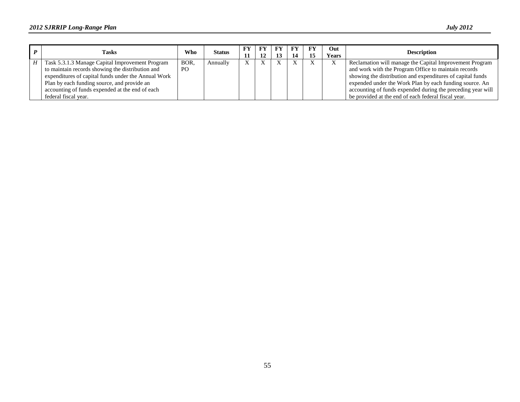|   | <b>Tasks</b>                                        | <b>Who</b>     | <b>Status</b> | FY | FY<br>12 | FY | FY<br>14 | FY | Out<br><b>Years</b> | <b>Description</b>                                          |
|---|-----------------------------------------------------|----------------|---------------|----|----------|----|----------|----|---------------------|-------------------------------------------------------------|
| H | Task 5.3.1.3 Manage Capital Improvement Program     | BOR.           | Annually      |    |          |    |          |    |                     | Reclamation will manage the Capital Improvement Program     |
|   | to maintain records showing the distribution and    | P <sub>O</sub> |               |    |          |    |          |    |                     | and work with the Program Office to maintain records        |
|   | expenditures of capital funds under the Annual Work |                |               |    |          |    |          |    |                     | showing the distribution and expenditures of capital funds  |
|   | Plan by each funding source, and provide an         |                |               |    |          |    |          |    |                     | expended under the Work Plan by each funding source. An     |
|   | accounting of funds expended at the end of each     |                |               |    |          |    |          |    |                     | accounting of funds expended during the preceding year will |
|   | federal fiscal year.                                |                |               |    |          |    |          |    |                     | be provided at the end of each federal fiscal year.         |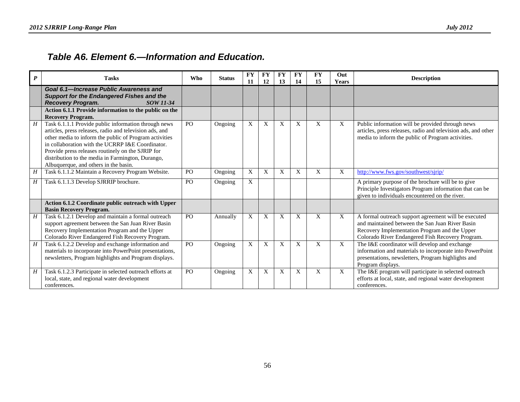### *Table A6. Element 6.—Information and Education.*

<span id="page-59-0"></span>

| $\boldsymbol{P}$ | <b>Tasks</b>                                                                                                                                                                                                                                                                                                                                                                     | <b>Who</b>     | <b>Status</b> | <b>FY</b><br>11 | <b>FY</b><br>12 | <b>FY</b><br>13 | <b>FY</b><br>14 | <b>FY</b><br>15 | Out<br><b>Years</b> | <b>Description</b>                                                                                                                                                                                           |
|------------------|----------------------------------------------------------------------------------------------------------------------------------------------------------------------------------------------------------------------------------------------------------------------------------------------------------------------------------------------------------------------------------|----------------|---------------|-----------------|-----------------|-----------------|-----------------|-----------------|---------------------|--------------------------------------------------------------------------------------------------------------------------------------------------------------------------------------------------------------|
|                  | Goal 6.1-Increase Public Awareness and<br><b>Support for the Endangered Fishes and the</b><br><b>Recovery Program.</b><br>SOW 11-34                                                                                                                                                                                                                                              |                |               |                 |                 |                 |                 |                 |                     |                                                                                                                                                                                                              |
|                  | Action 6.1.1 Provide information to the public on the<br><b>Recovery Program.</b>                                                                                                                                                                                                                                                                                                |                |               |                 |                 |                 |                 |                 |                     |                                                                                                                                                                                                              |
| H                | Task 6.1.1.1 Provide public information through news<br>articles, press releases, radio and television ads, and<br>other media to inform the public of Program activities<br>in collaboration with the UCRRP I&E Coordinator.<br>Provide press releases routinely on the SJRIP for<br>distribution to the media in Farmington, Durango,<br>Albuquerque, and others in the basin. | P <sub>O</sub> | Ongoing       | X               | X               | X               | X               | X               | X                   | Public information will be provided through news<br>articles, press releases, radio and television ads, and other<br>media to inform the public of Program activities.                                       |
| H                | Task 6.1.1.2 Maintain a Recovery Program Website.                                                                                                                                                                                                                                                                                                                                | PO             | Ongoing       | X               | X               | X               | X               | X               | X                   | http://www.fws.gov/southwest/sjrip/                                                                                                                                                                          |
| Η                | Task 6.1.1.3 Develop SJRRIP brochure.                                                                                                                                                                                                                                                                                                                                            | PO             | Ongoing       | X               |                 |                 |                 |                 |                     | A primary purpose of the brochure will be to give<br>Principle Investigators Program information that can be<br>given to individuals encountered on the river.                                               |
|                  | Action 6.1.2 Coordinate public outreach with Upper<br><b>Basin Recovery Program.</b>                                                                                                                                                                                                                                                                                             |                |               |                 |                 |                 |                 |                 |                     |                                                                                                                                                                                                              |
| H                | Task 6.1.2.1 Develop and maintain a formal outreach<br>support agreement between the San Juan River Basin<br>Recovery Implementation Program and the Upper<br>Colorado River Endangered Fish Recovery Program.                                                                                                                                                                   | PO             | Annually      | X               | X               | X               | X               | X               | X                   | A formal outreach support agreement will be executed<br>and maintained between the San Juan River Basin<br>Recovery Implementation Program and the Upper<br>Colorado River Endangered Fish Recovery Program. |
| H                | Task 6.1.2.2 Develop and exchange information and<br>materials to incorporate into PowerPoint presentations,<br>newsletters, Program highlights and Program displays.                                                                                                                                                                                                            | PO             | Ongoing       | X               | X               | X               | X               | X               | X                   | The I&E coordinator will develop and exchange<br>information and materials to incorporate into PowerPoint<br>presentations, newsletters, Program highlights and<br>Program displays.                         |
| H                | Task 6.1.2.3 Participate in selected outreach efforts at<br>local, state, and regional water development<br>conferences.                                                                                                                                                                                                                                                         | PO             | Ongoing       | X               | X               | X               | X               | X               | X                   | The I&E program will participate in selected outreach<br>efforts at local, state, and regional water development<br>conferences.                                                                             |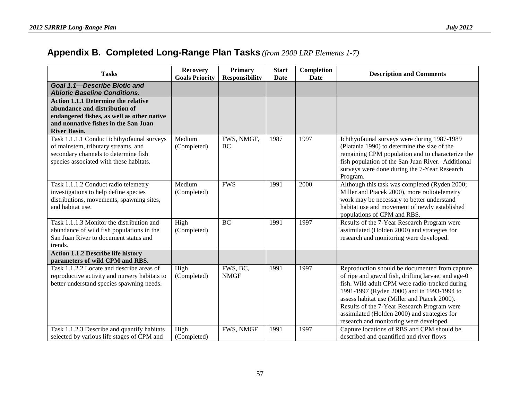### **Appendix B. Completed Long-Range Plan Tasks** *(from 2009 LRP Elements 1-7)*

<span id="page-60-0"></span>

| <b>Tasks</b>                                                                                                                                                                             | <b>Recovery</b><br><b>Goals Priority</b> | <b>Primary</b><br><b>Responsibility</b> | <b>Start</b><br><b>Date</b> | Completion<br><b>Date</b> | <b>Description and Comments</b>                                                                                                                                                                                                                                                                                                                                                                |
|------------------------------------------------------------------------------------------------------------------------------------------------------------------------------------------|------------------------------------------|-----------------------------------------|-----------------------------|---------------------------|------------------------------------------------------------------------------------------------------------------------------------------------------------------------------------------------------------------------------------------------------------------------------------------------------------------------------------------------------------------------------------------------|
| Goal 1.1-Describe Biotic and<br><b>Abiotic Baseline Conditions.</b>                                                                                                                      |                                          |                                         |                             |                           |                                                                                                                                                                                                                                                                                                                                                                                                |
| <b>Action 1.1.1 Determine the relative</b><br>abundance and distribution of<br>endangered fishes, as well as other native<br>and nonnative fishes in the San Juan<br><b>River Basin.</b> |                                          |                                         |                             |                           |                                                                                                                                                                                                                                                                                                                                                                                                |
| Task 1.1.1.1 Conduct ichthyofaunal surveys<br>of mainstem, tributary streams, and<br>secondary channels to determine fish<br>species associated with these habitats.                     | Medium<br>(Completed)                    | FWS, NMGF,<br>BC                        | 1987                        | 1997                      | Ichthyofaunal surveys were during 1987-1989<br>(Platania 1990) to determine the size of the<br>remaining CPM population and to characterize the<br>fish population of the San Juan River. Additional<br>surveys were done during the 7-Year Research<br>Program.                                                                                                                               |
| Task 1.1.1.2 Conduct radio telemetry<br>investigations to help define species<br>distributions, movements, spawning sites,<br>and habitat use.                                           | Medium<br>(Completed)                    | <b>FWS</b>                              | 1991                        | 2000                      | Although this task was completed (Ryden 2000;<br>Miller and Ptacek 2000), more radiotelemetry<br>work may be necessary to better understand<br>habitat use and movement of newly established<br>populations of CPM and RBS.                                                                                                                                                                    |
| Task 1.1.1.3 Monitor the distribution and<br>abundance of wild fish populations in the<br>San Juan River to document status and<br>trends.                                               | High<br>(Completed)                      | <b>BC</b>                               | 1991                        | 1997                      | Results of the 7-Year Research Program were<br>assimilated (Holden 2000) and strategies for<br>research and monitoring were developed.                                                                                                                                                                                                                                                         |
| <b>Action 1.1.2 Describe life history</b><br>parameters of wild CPM and RBS.                                                                                                             |                                          |                                         |                             |                           |                                                                                                                                                                                                                                                                                                                                                                                                |
| Task 1.1.2.2 Locate and describe areas of<br>reproductive activity and nursery habitats to<br>better understand species spawning needs.                                                  | High<br>(Completed)                      | FWS, BC,<br><b>NMGF</b>                 | 1991                        | 1997                      | Reproduction should be documented from capture<br>of ripe and gravid fish, drifting larvae, and age-0<br>fish. Wild adult CPM were radio-tracked during<br>1991-1997 (Ryden 2000) and in 1993-1994 to<br>assess habitat use (Miller and Ptacek 2000).<br>Results of the 7-Year Research Program were<br>assimilated (Holden 2000) and strategies for<br>research and monitoring were developed |
| Task 1.1.2.3 Describe and quantify habitats<br>selected by various life stages of CPM and                                                                                                | High<br>(Completed)                      | FWS, NMGF                               | 1991                        | 1997                      | Capture locations of RBS and CPM should be<br>described and quantified and river flows                                                                                                                                                                                                                                                                                                         |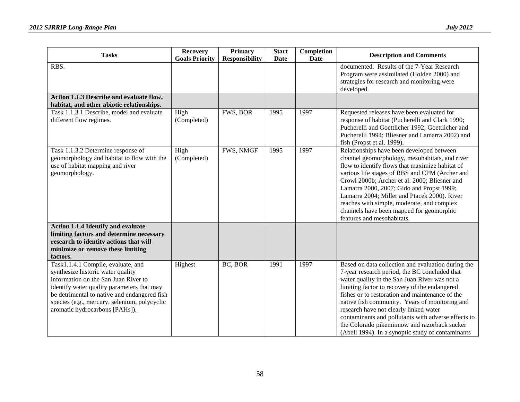| <b>Tasks</b>                                                                                                                                                                                                                                                                                    | <b>Recovery</b><br><b>Goals Priority</b> | <b>Primary</b><br><b>Responsibility</b> | <b>Start</b><br>Date | Completion<br>Date | <b>Description and Comments</b>                                                                                                                                                                                                                                                                                                                                                                                                                                                                                  |
|-------------------------------------------------------------------------------------------------------------------------------------------------------------------------------------------------------------------------------------------------------------------------------------------------|------------------------------------------|-----------------------------------------|----------------------|--------------------|------------------------------------------------------------------------------------------------------------------------------------------------------------------------------------------------------------------------------------------------------------------------------------------------------------------------------------------------------------------------------------------------------------------------------------------------------------------------------------------------------------------|
| RBS.                                                                                                                                                                                                                                                                                            |                                          |                                         |                      |                    | documented. Results of the 7-Year Research<br>Program were assimilated (Holden 2000) and<br>strategies for research and monitoring were<br>developed                                                                                                                                                                                                                                                                                                                                                             |
| Action 1.1.3 Describe and evaluate flow,<br>habitat, and other abiotic relationships.                                                                                                                                                                                                           |                                          |                                         |                      |                    |                                                                                                                                                                                                                                                                                                                                                                                                                                                                                                                  |
| Task 1.1.3.1 Describe, model and evaluate<br>different flow regimes.                                                                                                                                                                                                                            | High<br>(Completed)                      | FWS, BOR                                | 1995                 | 1997               | Requested releases have been evaluated for<br>response of habitat (Pucherelli and Clark 1990;<br>Pucherelli and Goettlicher 1992; Goettlicher and<br>Pucherelli 1994; Bliesner and Lamarra 2002) and<br>fish (Propst et al. 1999).                                                                                                                                                                                                                                                                               |
| Task 1.1.3.2 Determine response of<br>geomorphology and habitat to flow with the<br>use of habitat mapping and river<br>geomorphology.                                                                                                                                                          | High<br>(Completed)                      | FWS, NMGF                               | 1995                 | 1997               | Relationships have been developed between<br>channel geomorphology, mesohabitats, and river<br>flow to identify flows that maximize habitat of<br>various life stages of RBS and CPM (Archer and<br>Crowl 2000b; Archer et al. 2000; Bliesner and<br>Lamarra 2000, 2007; Gido and Propst 1999;<br>Lamarra 2004; Miller and Ptacek 2000). River<br>reaches with simple, moderate, and complex<br>channels have been mapped for geomorphic<br>features and mesohabitats.                                           |
| <b>Action 1.1.4 Identify and evaluate</b><br>limiting factors and determine necessary<br>research to identity actions that will<br>minimize or remove these limiting<br>factors.                                                                                                                |                                          |                                         |                      |                    |                                                                                                                                                                                                                                                                                                                                                                                                                                                                                                                  |
| Task1.1.4.1 Compile, evaluate, and<br>synthesize historic water quality<br>information on the San Juan River to<br>identify water quality parameters that may<br>be detrimental to native and endangered fish<br>species (e.g., mercury, selenium, polycyclic<br>aromatic hydrocarbons [PAHs]). | Highest                                  | BC, BOR                                 | 1991                 | 1997               | Based on data collection and evaluation during the<br>7-year research period, the BC concluded that<br>water quality in the San Juan River was not a<br>limiting factor to recovery of the endangered<br>fishes or to restoration and maintenance of the<br>native fish community. Years of monitoring and<br>research have not clearly linked water<br>contaminants and pollutants with adverse effects to<br>the Colorado pikeminnow and razorback sucker<br>(Abell 1994). In a synoptic study of contaminants |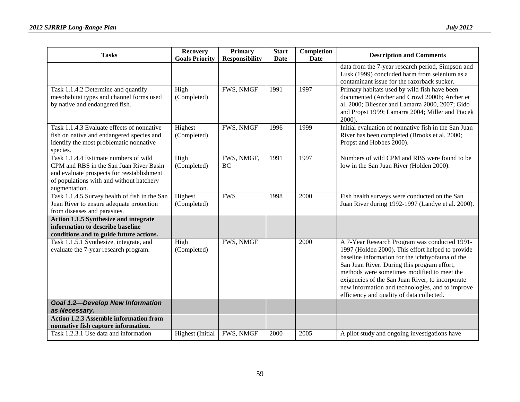| <b>Tasks</b>                                                                                                                                                                                | <b>Recovery</b><br><b>Goals Priority</b> | <b>Primary</b><br><b>Responsibility</b> | <b>Start</b><br>Date | Completion<br><b>Date</b> | <b>Description and Comments</b>                                                                                                                                                                                                                                                                                                                                                                           |
|---------------------------------------------------------------------------------------------------------------------------------------------------------------------------------------------|------------------------------------------|-----------------------------------------|----------------------|---------------------------|-----------------------------------------------------------------------------------------------------------------------------------------------------------------------------------------------------------------------------------------------------------------------------------------------------------------------------------------------------------------------------------------------------------|
|                                                                                                                                                                                             |                                          |                                         |                      |                           | data from the 7-year research period, Simpson and<br>Lusk (1999) concluded harm from selenium as a<br>contaminant issue for the razorback sucker.                                                                                                                                                                                                                                                         |
| Task 1.1.4.2 Determine and quantify<br>mesohabitat types and channel forms used<br>by native and endangered fish.                                                                           | High<br>(Completed)                      | FWS, NMGF                               | 1991                 | 1997                      | Primary habitats used by wild fish have been<br>documented (Archer and Crowl 2000b; Archer et<br>al. 2000; Bliesner and Lamarra 2000, 2007; Gido<br>and Propst 1999; Lamarra 2004; Miller and Ptacek<br>2000).                                                                                                                                                                                            |
| Task 1.1.4.3 Evaluate effects of nonnative<br>fish on native and endangered species and<br>identify the most problematic nonnative<br>species.                                              | Highest<br>(Completed)                   | FWS, NMGF                               | 1996                 | 1999                      | Initial evaluation of nonnative fish in the San Juan<br>River has been completed (Brooks et al. 2000;<br>Propst and Hobbes 2000).                                                                                                                                                                                                                                                                         |
| Task 1.1.4.4 Estimate numbers of wild<br>CPM and RBS in the San Juan River Basin<br>and evaluate prospects for reestablishment<br>of populations with and without hatchery<br>augmentation. | High<br>(Completed)                      | FWS, NMGF,<br>BC                        | 1991                 | 1997                      | Numbers of wild CPM and RBS were found to be<br>low in the San Juan River (Holden 2000).                                                                                                                                                                                                                                                                                                                  |
| Task 1.1.4.5 Survey health of fish in the San<br>Juan River to ensure adequate protection<br>from diseases and parasites.                                                                   | Highest<br>(Completed)                   | <b>FWS</b>                              | 1998                 | 2000                      | Fish health surveys were conducted on the San<br>Juan River during 1992-1997 (Landye et al. 2000).                                                                                                                                                                                                                                                                                                        |
| <b>Action 1.1.5 Synthesize and integrate</b><br>information to describe baseline<br>conditions and to guide future actions.                                                                 |                                          |                                         |                      |                           |                                                                                                                                                                                                                                                                                                                                                                                                           |
| Task 1.1.5.1 Synthesize, integrate, and<br>evaluate the 7-year research program.                                                                                                            | High<br>(Completed)                      | FWS, NMGF                               |                      | 2000                      | A 7-Year Research Program was conducted 1991-<br>1997 (Holden 2000). This effort helped to provide<br>baseline information for the ichthyofauna of the<br>San Juan River. During this program effort,<br>methods were sometimes modified to meet the<br>exigencies of the San Juan River, to incorporate<br>new information and technologies, and to improve<br>efficiency and quality of data collected. |
| <b>Goal 1.2-Develop New Information</b><br>as Necessary.                                                                                                                                    |                                          |                                         |                      |                           |                                                                                                                                                                                                                                                                                                                                                                                                           |
| <b>Action 1.2.3 Assemble information from</b><br>nonnative fish capture information.                                                                                                        |                                          |                                         |                      |                           |                                                                                                                                                                                                                                                                                                                                                                                                           |
| Task 1.2.3.1 Use data and information                                                                                                                                                       | <b>Highest</b> (Initial                  | FWS, NMGF                               | 2000                 | 2005                      | A pilot study and ongoing investigations have                                                                                                                                                                                                                                                                                                                                                             |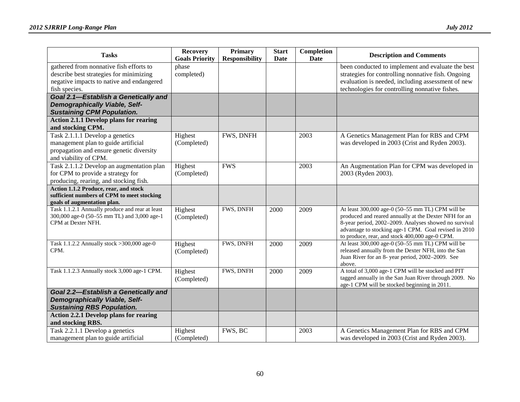| <b>Tasks</b>                                                                                                                                     | <b>Recovery</b><br><b>Goals Priority</b> | Primary<br><b>Responsibility</b> | <b>Start</b><br>Date | Completion<br><b>Date</b> | <b>Description and Comments</b>                                                                                                                                                                                                                                               |
|--------------------------------------------------------------------------------------------------------------------------------------------------|------------------------------------------|----------------------------------|----------------------|---------------------------|-------------------------------------------------------------------------------------------------------------------------------------------------------------------------------------------------------------------------------------------------------------------------------|
| gathered from nonnative fish efforts to<br>describe best strategies for minimizing<br>negative impacts to native and endangered<br>fish species. | phase<br>completed)                      |                                  |                      |                           | been conducted to implement and evaluate the best<br>strategies for controlling nonnative fish. Ongoing<br>evaluation is needed, including assessment of new<br>technologies for controlling nonnative fishes.                                                                |
| Goal 2.1-Establish a Genetically and<br><b>Demographically Viable, Self-</b><br><b>Sustaining CPM Population.</b>                                |                                          |                                  |                      |                           |                                                                                                                                                                                                                                                                               |
| <b>Action 2.1.1 Develop plans for rearing</b><br>and stocking CPM.                                                                               |                                          |                                  |                      |                           |                                                                                                                                                                                                                                                                               |
| Task $2.1.1.1$ Develop a genetics<br>management plan to guide artificial<br>propagation and ensure genetic diversity<br>and viability of CPM.    | Highest<br>(Completed)                   | FWS, DNFH                        |                      | 2003                      | A Genetics Management Plan for RBS and CPM<br>was developed in 2003 (Crist and Ryden 2003).                                                                                                                                                                                   |
| Task 2.1.1.2 Develop an augmentation plan<br>for CPM to provide a strategy for<br>producing, rearing, and stocking fish.                         | Highest<br>(Completed)                   | <b>FWS</b>                       |                      | 2003                      | An Augmentation Plan for CPM was developed in<br>2003 (Ryden 2003).                                                                                                                                                                                                           |
| Action 1.1.2 Produce, rear, and stock<br>sufficient numbers of CPM to meet stocking<br>goals of augmentation plan.                               |                                          |                                  |                      |                           |                                                                                                                                                                                                                                                                               |
| Task 1.1.2.1 Annually produce and rear at least<br>300,000 age-0 (50-55 mm TL) and 3,000 age-1<br>CPM at Dexter NFH.                             | Highest<br>(Completed)                   | FWS, DNFH                        | 2000                 | 2009                      | At least 300,000 age-0 (50-55 mm TL) CPM will be<br>produced and reared annually at the Dexter NFH for an<br>8-year period, 2002-2009. Analyses showed no survival<br>advantage to stocking age-1 CPM. Goal revised in 2010<br>to produce, rear, and stock 400,000 age-0 CPM. |
| Task 1.1.2.2 Annually stock > 300,000 age-0<br>CPM.                                                                                              | Highest<br>(Completed)                   | FWS, DNFH                        | 2000                 | 2009                      | At least 300,000 age-0 (50-55 mm TL) CPM will be<br>released annually from the Dexter NFH, into the San<br>Juan River for an 8- year period, 2002-2009. See<br>above.                                                                                                         |
| Task 1.1.2.3 Annually stock 3,000 age-1 CPM.                                                                                                     | Highest<br>(Completed)                   | FWS, DNFH                        | 2000                 | 2009                      | A total of 3,000 age-1 CPM will be stocked and PIT<br>tagged annually in the San Juan River through 2009. No<br>age-1 CPM will be stocked beginning in 2011.                                                                                                                  |
| Goal 2.2-Establish a Genetically and<br><b>Demographically Viable, Self-</b><br><b>Sustaining RBS Population.</b>                                |                                          |                                  |                      |                           |                                                                                                                                                                                                                                                                               |
| <b>Action 2.2.1 Develop plans for rearing</b><br>and stocking RBS.                                                                               |                                          |                                  |                      |                           |                                                                                                                                                                                                                                                                               |
| Task 2.2.1.1 Develop a genetics<br>management plan to guide artificial                                                                           | Highest<br>(Completed)                   | FWS, BC                          |                      | 2003                      | A Genetics Management Plan for RBS and CPM<br>was developed in 2003 (Crist and Ryden 2003).                                                                                                                                                                                   |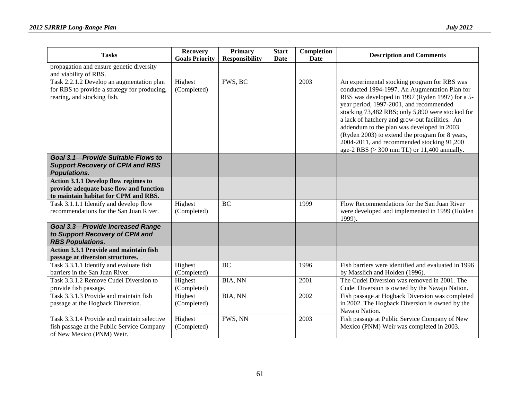| <b>Tasks</b>                                                                                                             | <b>Recovery</b><br><b>Goals Priority</b> | <b>Primary</b><br><b>Responsibility</b> | <b>Start</b><br>Date | Completion<br>Date | <b>Description and Comments</b>                                                                                                                                                                                                                                                                                                                                                                                                                                                                  |
|--------------------------------------------------------------------------------------------------------------------------|------------------------------------------|-----------------------------------------|----------------------|--------------------|--------------------------------------------------------------------------------------------------------------------------------------------------------------------------------------------------------------------------------------------------------------------------------------------------------------------------------------------------------------------------------------------------------------------------------------------------------------------------------------------------|
| propagation and ensure genetic diversity<br>and viability of RBS.                                                        |                                          |                                         |                      |                    |                                                                                                                                                                                                                                                                                                                                                                                                                                                                                                  |
| Task 2.2.1.2 Develop an augmentation plan<br>for RBS to provide a strategy for producing,<br>rearing, and stocking fish. | Highest<br>(Completed)                   | FWS, BC                                 |                      | 2003               | An experimental stocking program for RBS was<br>conducted 1994-1997. An Augmentation Plan for<br>RBS was developed in 1997 (Ryden 1997) for a 5-<br>year period, 1997-2001, and recommended<br>stocking 73,482 RBS; only 5,890 were stocked for<br>a lack of hatchery and grow-out facilities. An<br>addendum to the plan was developed in 2003<br>(Ryden 2003) to extend the program for 8 years,<br>2004-2011, and recommended stocking 91,200<br>age-2 RBS $(>300$ mm TL) or 11,400 annually. |
| Goal 3.1-Provide Suitable Flows to<br><b>Support Recovery of CPM and RBS</b><br><b>Populations.</b>                      |                                          |                                         |                      |                    |                                                                                                                                                                                                                                                                                                                                                                                                                                                                                                  |
| Action 3.1.1 Develop flow regimes to<br>provide adequate base flow and function<br>to maintain habitat for CPM and RBS.  |                                          |                                         |                      |                    |                                                                                                                                                                                                                                                                                                                                                                                                                                                                                                  |
| Task 3.1.1.1 Identify and develop flow<br>recommendations for the San Juan River.                                        | Highest<br>(Completed)                   | BC                                      |                      | 1999               | Flow Recommendations for the San Juan River<br>were developed and implemented in 1999 (Holden<br>1999).                                                                                                                                                                                                                                                                                                                                                                                          |
| <b>Goal 3.3-Provide Increased Range</b><br>to Support Recovery of CPM and<br><b>RBS Populations.</b>                     |                                          |                                         |                      |                    |                                                                                                                                                                                                                                                                                                                                                                                                                                                                                                  |
| <b>Action 3.3.1 Provide and maintain fish</b><br>passage at diversion structures.                                        |                                          |                                         |                      |                    |                                                                                                                                                                                                                                                                                                                                                                                                                                                                                                  |
| Task 3.3.1.1 Identify and evaluate fish<br>barriers in the San Juan River.                                               | Highest<br>(Completed)                   | <b>BC</b>                               |                      | 1996               | Fish barriers were identified and evaluated in 1996<br>by Masslich and Holden (1996).                                                                                                                                                                                                                                                                                                                                                                                                            |
| Task 3.3.1.2 Remove Cudei Diversion to<br>provide fish passage.                                                          | Highest<br>(Completed)                   | BIA, NN                                 |                      | 2001               | The Cudei Diversion was removed in 2001. The<br>Cudei Diversion is owned by the Navajo Nation.                                                                                                                                                                                                                                                                                                                                                                                                   |
| Task 3.3.1.3 Provide and maintain fish<br>passage at the Hogback Diversion.                                              | Highest<br>(Completed)                   | BIA, NN                                 |                      | 2002               | Fish passage at Hogback Diversion was completed<br>in 2002. The Hogback Diversion is owned by the<br>Navajo Nation.                                                                                                                                                                                                                                                                                                                                                                              |
| Task 3.3.1.4 Provide and maintain selective<br>fish passage at the Public Service Company<br>of New Mexico (PNM) Weir.   | Highest<br>(Completed)                   | FWS, NN                                 |                      | 2003               | Fish passage at Public Service Company of New<br>Mexico (PNM) Weir was completed in 2003.                                                                                                                                                                                                                                                                                                                                                                                                        |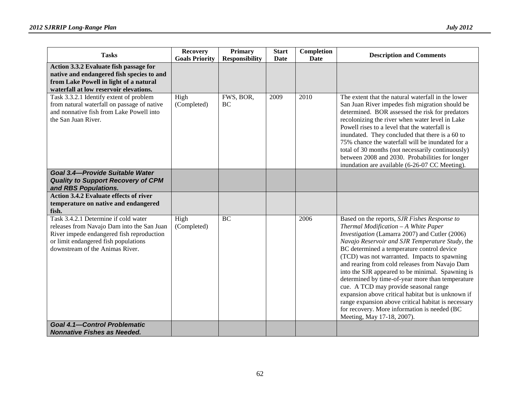| <b>Tasks</b>                                                                                                                                                                                                                                                      | <b>Recovery</b><br><b>Goals Priority</b> | Primary<br><b>Responsibility</b> | <b>Start</b><br><b>Date</b> | Completion<br>Date | <b>Description and Comments</b>                                                                                                                                                                                                                                                                                                                                                                                                                                                                                                                                                                                                                                                       |
|-------------------------------------------------------------------------------------------------------------------------------------------------------------------------------------------------------------------------------------------------------------------|------------------------------------------|----------------------------------|-----------------------------|--------------------|---------------------------------------------------------------------------------------------------------------------------------------------------------------------------------------------------------------------------------------------------------------------------------------------------------------------------------------------------------------------------------------------------------------------------------------------------------------------------------------------------------------------------------------------------------------------------------------------------------------------------------------------------------------------------------------|
| Action 3.3.2 Evaluate fish passage for<br>native and endangered fish species to and<br>from Lake Powell in light of a natural<br>waterfall at low reservoir elevations.                                                                                           |                                          |                                  |                             |                    |                                                                                                                                                                                                                                                                                                                                                                                                                                                                                                                                                                                                                                                                                       |
| Task 3.3.2.1 Identify extent of problem<br>from natural waterfall on passage of native<br>and nonnative fish from Lake Powell into<br>the San Juan River.<br>Goal 3.4-Provide Suitable Water<br><b>Quality to Support Recovery of CPM</b><br>and RBS Populations. | High<br>(Completed)                      | FWS, BOR,<br><b>BC</b>           | 2009                        | 2010               | The extent that the natural waterfall in the lower<br>San Juan River impedes fish migration should be<br>determined. BOR assessed the risk for predators<br>recolonizing the river when water level in Lake<br>Powell rises to a level that the waterfall is<br>inundated. They concluded that there is a 60 to<br>75% chance the waterfall will be inundated for a<br>total of 30 months (not necessarily continuously)<br>between 2008 and 2030. Probabilities for longer<br>inundation are available (6-26-07 CC Meeting).                                                                                                                                                         |
| <b>Action 3.4.2 Evaluate effects of river</b><br>temperature on native and endangered<br>fish.                                                                                                                                                                    |                                          |                                  |                             |                    |                                                                                                                                                                                                                                                                                                                                                                                                                                                                                                                                                                                                                                                                                       |
| Task 3.4.2.1 Determine if cold water<br>releases from Navajo Dam into the San Juan<br>River impede endangered fish reproduction<br>or limit endangered fish populations<br>downstream of the Animas River.                                                        | High<br>(Completed)                      | BC                               |                             | 2006               | Based on the reports, SJR Fishes Response to<br>Thermal Modification - A White Paper<br>Investigation (Lamarra 2007) and Cutler (2006)<br>Navajo Reservoir and SJR Temperature Study, the<br>BC determined a temperature control device<br>(TCD) was not warranted. Impacts to spawning<br>and rearing from cold releases from Navajo Dam<br>into the SJR appeared to be minimal. Spawning is<br>determined by time-of-year more than temperature<br>cue. A TCD may provide seasonal range<br>expansion above critical habitat but is unknown if<br>range expansion above critical habitat is necessary<br>for recovery. More information is needed (BC<br>Meeting, May 17-18, 2007). |
| <b>Goal 4.1-Control Problematic</b><br><b>Nonnative Fishes as Needed.</b>                                                                                                                                                                                         |                                          |                                  |                             |                    |                                                                                                                                                                                                                                                                                                                                                                                                                                                                                                                                                                                                                                                                                       |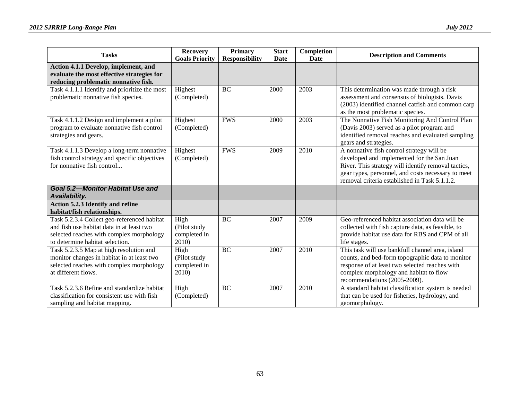| <b>Tasks</b>                                                                                                                                                            | <b>Recovery</b><br><b>Goals Priority</b>      | <b>Primary</b><br><b>Responsibility</b> | <b>Start</b><br>Date | Completion<br>Date | <b>Description and Comments</b>                                                                                                                                                                                                                       |
|-------------------------------------------------------------------------------------------------------------------------------------------------------------------------|-----------------------------------------------|-----------------------------------------|----------------------|--------------------|-------------------------------------------------------------------------------------------------------------------------------------------------------------------------------------------------------------------------------------------------------|
| Action 4.1.1 Develop, implement, and<br>evaluate the most effective strategies for<br>reducing problematic nonnative fish.                                              |                                               |                                         |                      |                    |                                                                                                                                                                                                                                                       |
| Task 4.1.1.1 Identify and prioritize the most<br>problematic nonnative fish species.                                                                                    | Highest<br>(Completed)                        | BC                                      | 2000                 | 2003               | This determination was made through a risk<br>assessment and consensus of biologists. Davis<br>(2003) identified channel catfish and common carp<br>as the most problematic species.                                                                  |
| Task 4.1.1.2 Design and implement a pilot<br>program to evaluate nonnative fish control<br>strategies and gears.                                                        | Highest<br>(Completed)                        | <b>FWS</b>                              | 2000                 | 2003               | The Nonnative Fish Monitoring And Control Plan<br>(Davis 2003) served as a pilot program and<br>identified removal reaches and evaluated sampling<br>gears and strategies.                                                                            |
| Task 4.1.1.3 Develop a long-term nonnative<br>fish control strategy and specific objectives<br>for nonnative fish control                                               | Highest<br>(Completed)                        | <b>FWS</b>                              | 2009                 | 2010               | A nonnative fish control strategy will be<br>developed and implemented for the San Juan<br>River. This strategy will identify removal tactics,<br>gear types, personnel, and costs necessary to meet<br>removal criteria established in Task 5.1.1.2. |
| <b>Goal 5.2-Monitor Habitat Use and</b><br>Availability.                                                                                                                |                                               |                                         |                      |                    |                                                                                                                                                                                                                                                       |
| Action 5.2.3 Identify and refine<br>habitat/fish relationships.                                                                                                         |                                               |                                         |                      |                    |                                                                                                                                                                                                                                                       |
| Task 5.2.3.4 Collect geo-referenced habitat<br>and fish use habitat data in at least two<br>selected reaches with complex morphology<br>to determine habitat selection. | High<br>(Pilot study<br>completed in<br>2010) | BC                                      | 2007                 | 2009               | Geo-referenced habitat association data will be<br>collected with fish capture data, as feasible, to<br>provide habitat use data for RBS and CPM of all<br>life stages.                                                                               |
| Task 5.2.3.5 Map at high resolution and<br>monitor changes in habitat in at least two<br>selected reaches with complex morphology<br>at different flows.                | High<br>(Pilot study<br>completed in<br>2010) | <b>BC</b>                               | 2007                 | 2010               | This task will use bankfull channel area, island<br>counts, and bed-form topographic data to monitor<br>response of at least two selected reaches with<br>complex morphology and habitat to flow<br>recommendations (2005-2009).                      |
| Task 5.2.3.6 Refine and standardize habitat<br>classification for consistent use with fish<br>sampling and habitat mapping.                                             | High<br>(Completed)                           | BC                                      | 2007                 | 2010               | A standard habitat classification system is needed<br>that can be used for fisheries, hydrology, and<br>geomorphology.                                                                                                                                |